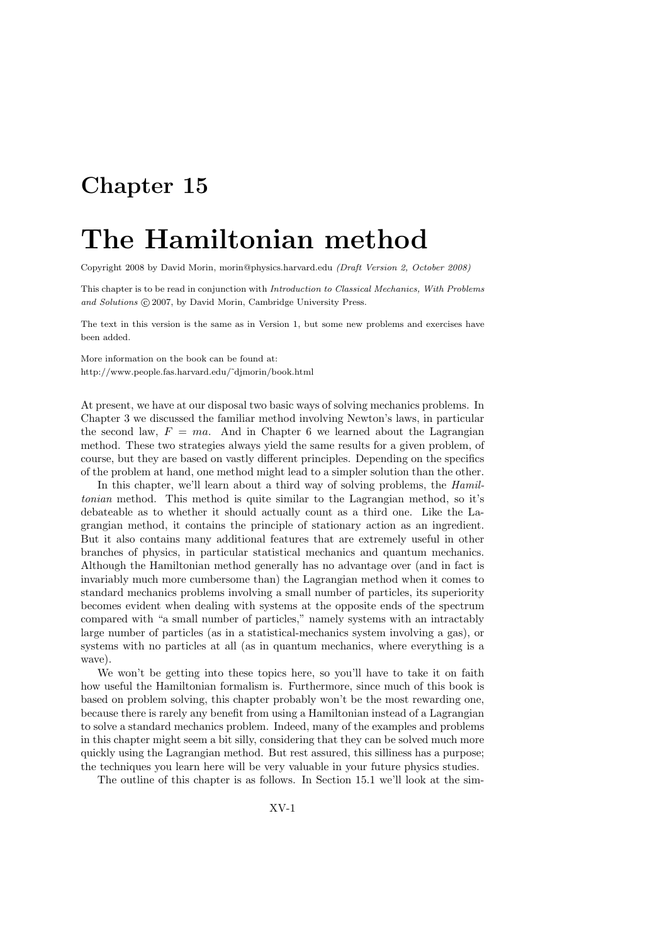# Chapter 15

# The Hamiltonian method

Copyright 2008 by David Morin, morin@physics.harvard.edu (Draft Version 2, October 2008)

This chapter is to be read in conjunction with Introduction to Classical Mechanics, With Problems and Solutions  $\odot$  2007, by David Morin, Cambridge University Press.

The text in this version is the same as in Version 1, but some new problems and exercises have been added.

More information on the book can be found at: http://www.people.fas.harvard.edu/˜djmorin/book.html

At present, we have at our disposal two basic ways of solving mechanics problems. In Chapter 3 we discussed the familiar method involving Newton's laws, in particular the second law,  $F = ma$ . And in Chapter 6 we learned about the Lagrangian method. These two strategies always yield the same results for a given problem, of course, but they are based on vastly different principles. Depending on the specifics of the problem at hand, one method might lead to a simpler solution than the other.

In this chapter, we'll learn about a third way of solving problems, the *Hamil*tonian method. This method is quite similar to the Lagrangian method, so it's debateable as to whether it should actually count as a third one. Like the Lagrangian method, it contains the principle of stationary action as an ingredient. But it also contains many additional features that are extremely useful in other branches of physics, in particular statistical mechanics and quantum mechanics. Although the Hamiltonian method generally has no advantage over (and in fact is invariably much more cumbersome than) the Lagrangian method when it comes to standard mechanics problems involving a small number of particles, its superiority becomes evident when dealing with systems at the opposite ends of the spectrum compared with "a small number of particles," namely systems with an intractably large number of particles (as in a statistical-mechanics system involving a gas), or systems with no particles at all (as in quantum mechanics, where everything is a wave).

We won't be getting into these topics here, so you'll have to take it on faith how useful the Hamiltonian formalism is. Furthermore, since much of this book is based on problem solving, this chapter probably won't be the most rewarding one, because there is rarely any benefit from using a Hamiltonian instead of a Lagrangian to solve a standard mechanics problem. Indeed, many of the examples and problems in this chapter might seem a bit silly, considering that they can be solved much more quickly using the Lagrangian method. But rest assured, this silliness has a purpose; the techniques you learn here will be very valuable in your future physics studies.

The outline of this chapter is as follows. In Section 15.1 we'll look at the sim-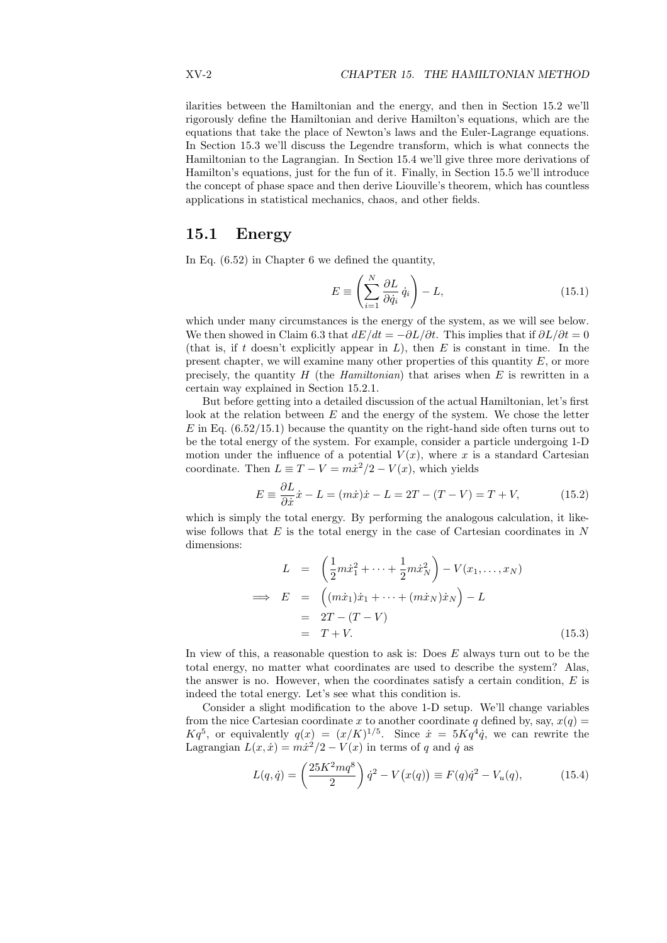ilarities between the Hamiltonian and the energy, and then in Section 15.2 we'll rigorously define the Hamiltonian and derive Hamilton's equations, which are the equations that take the place of Newton's laws and the Euler-Lagrange equations. In Section 15.3 we'll discuss the Legendre transform, which is what connects the Hamiltonian to the Lagrangian. In Section 15.4 we'll give three more derivations of Hamilton's equations, just for the fun of it. Finally, in Section 15.5 we'll introduce the concept of phase space and then derive Liouville's theorem, which has countless applications in statistical mechanics, chaos, and other fields.

# 15.1 Energy

In Eq. (6.52) in Chapter 6 we defined the quantity,

$$
E \equiv \left(\sum_{i=1}^{N} \frac{\partial L}{\partial \dot{q}_i} \dot{q}_i\right) - L,\tag{15.1}
$$

which under many circumstances is the energy of the system, as we will see below. We then showed in Claim 6.3 that  $dE/dt = -\partial L/\partial t$ . This implies that if  $\partial L/\partial t = 0$ (that is, if t doesn't explicitly appear in  $L$ ), then  $E$  is constant in time. In the present chapter, we will examine many other properties of this quantity  $E$ , or more precisely, the quantity  $H$  (the Hamiltonian) that arises when  $E$  is rewritten in a certain way explained in Section 15.2.1.

But before getting into a detailed discussion of the actual Hamiltonian, let's first look at the relation between  $E$  and the energy of the system. We chose the letter  $E$  in Eq. (6.52/15.1) because the quantity on the right-hand side often turns out to be the total energy of the system. For example, consider a particle undergoing 1-D motion under the influence of a potential  $V(x)$ , where x is a standard Cartesian coordinate. Then  $L \equiv T - V = m\dot{x}^2/2 - V(x)$ , which yields

$$
E \equiv \frac{\partial L}{\partial \dot{x}} \dot{x} - L = (m\dot{x})\dot{x} - L = 2T - (T - V) = T + V,\tag{15.2}
$$

which is simply the total energy. By performing the analogous calculation, it likewise follows that  $E$  is the total energy in the case of Cartesian coordinates in  $N$ dimensions:  $\overline{a}$  $\mathbf{r}$ 

$$
L = \left(\frac{1}{2}m\dot{x}_1^2 + \dots + \frac{1}{2}m\dot{x}_N^2\right) - V(x_1, \dots, x_N)
$$
  
\n
$$
\implies E = \left((m\dot{x}_1)\dot{x}_1 + \dots + (m\dot{x}_N)\dot{x}_N\right) - L
$$
  
\n
$$
= 2T - (T - V)
$$
  
\n
$$
= T + V.
$$
\n(15.3)

In view of this, a reasonable question to ask is: Does  $E$  always turn out to be the total energy, no matter what coordinates are used to describe the system? Alas, the answer is no. However, when the coordinates satisfy a certain condition,  $E$  is indeed the total energy. Let's see what this condition is.

Consider a slight modification to the above 1-D setup. We'll change variables from the nice Cartesian coordinate x to another coordinate q defined by, say,  $x(q) =$  $Kq^5$ , or equivalently  $q(x) = (x/K)^{1/5}$ . Since  $\dot{x} = 5Kq^4\dot{q}$ , we can rewrite the Lagrangian  $L(x, \dot{x}) = m\dot{x}^2/2 - V(x)$  in terms of q and  $\dot{q}$  as

$$
L(q, \dot{q}) = \left(\frac{25K^2mq^8}{2}\right)\dot{q}^2 - V(x(q)) \equiv F(q)\dot{q}^2 - V_u(q),\tag{15.4}
$$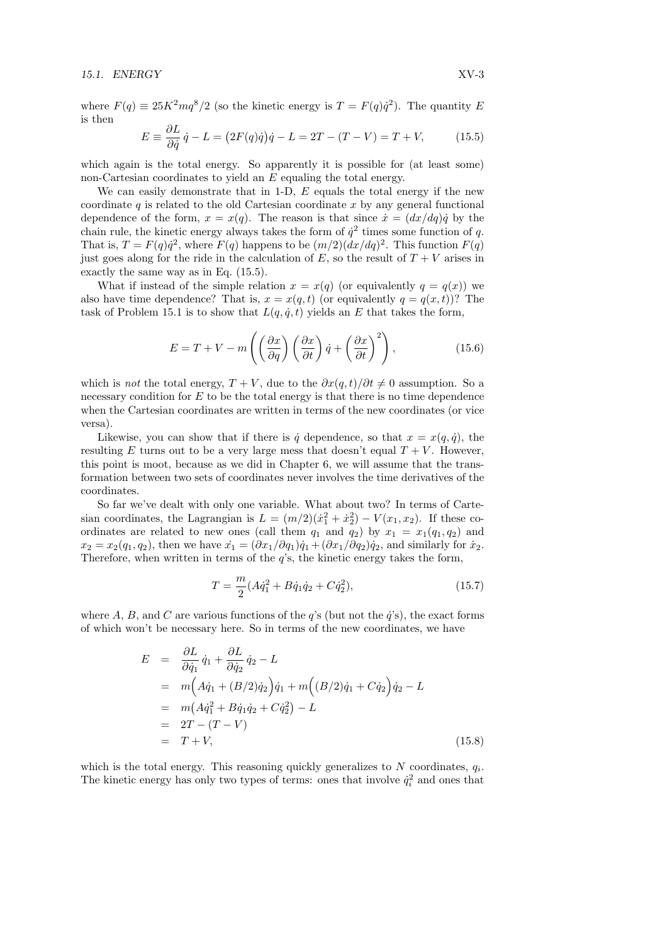#### 15.1. ENERGY XV-3

where  $F(q) \equiv 25K^2mq^8/2$  (so the kinetic energy is  $T = F(q)\dot{q}^2$ ). The quantity E is then

$$
E \equiv \frac{\partial L}{\partial \dot{q}} \dot{q} - L = (2F(q)\dot{q})\dot{q} - L = 2T - (T - V) = T + V, \tag{15.5}
$$

which again is the total energy. So apparently it is possible for (at least some) non-Cartesian coordinates to yield an E equaling the total energy.

We can easily demonstrate that in 1-D,  $E$  equals the total energy if the new coordinate  $q$  is related to the old Cartesian coordinate x by any general functional dependence of the form,  $x = x(q)$ . The reason is that since  $\dot{x} = (dx/dq)\dot{q}$  by the chain rule, the kinetic energy always takes the form of  $\dot{q}^2$  times some function of q. That is,  $T = F(q)\dot{q}^2$ , where  $F(q)$  happens to be  $(m/2)(dx/dq)^2$ . This function  $F(q)$ just goes along for the ride in the calculation of  $E$ , so the result of  $T + V$  arises in exactly the same way as in Eq. (15.5).

What if instead of the simple relation  $x = x(q)$  (or equivalently  $q = q(x)$ ) we also have time dependence? That is,  $x = x(q, t)$  (or equivalently  $q = q(x, t)$ )? The task of Problem 15.1 is to show that  $L(q, \dot{q}, t)$  yields an E that takes the form,

$$
E = T + V - m\left(\left(\frac{\partial x}{\partial q}\right)\left(\frac{\partial x}{\partial t}\right)\dot{q} + \left(\frac{\partial x}{\partial t}\right)^2\right),\tag{15.6}
$$

which is *not* the total energy,  $T + V$ , due to the  $\partial x(q, t)/\partial t \neq 0$  assumption. So a necessary condition for  $E$  to be the total energy is that there is no time dependence when the Cartesian coordinates are written in terms of the new coordinates (or vice versa).

Likewise, you can show that if there is  $\dot{q}$  dependence, so that  $x = x(q, \dot{q})$ , the resulting E turns out to be a very large mess that doesn't equal  $T + V$ . However, this point is moot, because as we did in Chapter 6, we will assume that the transformation between two sets of coordinates never involves the time derivatives of the coordinates.

So far we've dealt with only one variable. What about two? In terms of Cartesian coordinates, the Lagrangian is  $L = (m/2)(\dot{x}_1^2 + \dot{x}_2^2) - V(x_1, x_2)$ . If these coordinates are related to new ones (call them  $q_1$  and  $q_2$ ) by  $x_1 = x_1(q_1, q_2)$  and  $x_2 = x_2(q_1, q_2)$ , then we have  $\dot{x}_1 = (\partial x_1/\partial q_1)\dot{q}_1 + (\partial x_1/\partial q_2)\dot{q}_2$ , and similarly for  $\dot{x}_2$ . Therefore, when written in terms of the  $q$ 's, the kinetic energy takes the form,

$$
T = \frac{m}{2}(A\dot{q}_1^2 + B\dot{q}_1\dot{q}_2 + C\dot{q}_2^2),\tag{15.7}
$$

where A, B, and C are various functions of the  $q$ 's (but not the  $\dot{q}$ 's), the exact forms of which won't be necessary here. So in terms of the new coordinates, we have

$$
E = \frac{\partial L}{\partial \dot{q}_1} \dot{q}_1 + \frac{\partial L}{\partial \dot{q}_2} \dot{q}_2 - L
$$
  
\n
$$
= m \Big( A \dot{q}_1 + (B/2) \dot{q}_2 \Big) \dot{q}_1 + m \Big( (B/2) \dot{q}_1 + C \dot{q}_2 \Big) \dot{q}_2 - L
$$
  
\n
$$
= m \Big( A \dot{q}_1^2 + B \dot{q}_1 \dot{q}_2 + C \dot{q}_2^2 \Big) - L
$$
  
\n
$$
= 2T - (T - V)
$$
  
\n
$$
= T + V,
$$
\n(15.8)

which is the total energy. This reasoning quickly generalizes to  $N$  coordinates,  $q_i$ . The kinetic energy has only two types of terms: ones that involve  $\dot{q}_i^2$  and ones that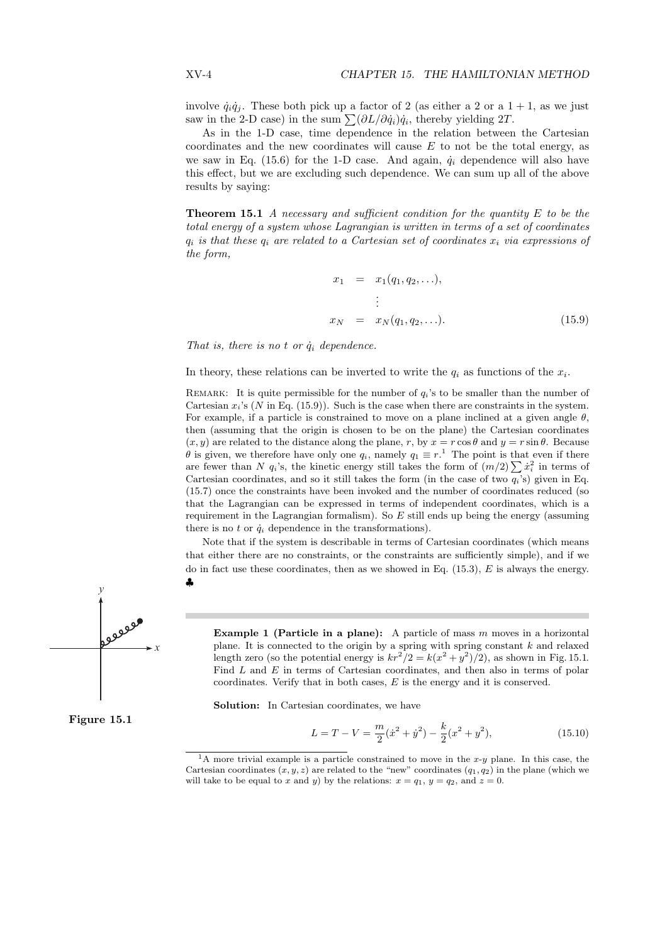involve  $\dot{q}_i\dot{q}_j$ . These both pick up a factor of 2 (as either a 2 or a 1 + 1, as we just saw in the 2-D case) in the sum  $\sum (\partial L/\partial \dot{q}_i)\dot{q}_i$ , thereby yielding 2T.

As in the 1-D case, time dependence in the relation between the Cartesian coordinates and the new coordinates will cause  $E$  to not be the total energy, as we saw in Eq. (15.6) for the 1-D case. And again,  $\dot{q}_i$  dependence will also have this effect, but we are excluding such dependence. We can sum up all of the above results by saying:

**Theorem 15.1** A necessary and sufficient condition for the quantity  $E$  to be the total energy of a system whose Lagrangian is written in terms of a set of coordinates  $q_i$  is that these  $q_i$  are related to a Cartesian set of coordinates  $x_i$  via expressions of the form,

$$
x_1 = x_1(q_1, q_2, \ldots),
$$
  
\n
$$
\vdots
$$
  
\n
$$
x_N = x_N(q_1, q_2, \ldots).
$$
 (15.9)

That is, there is no t or  $\dot{q}_i$  dependence.

In theory, these relations can be inverted to write the  $q_i$  as functions of the  $x_i$ .

REMARK: It is quite permissible for the number of  $q_i$ 's to be smaller than the number of Cartesian  $x_i$ 's (N in Eq. (15.9)). Such is the case when there are constraints in the system. For example, if a particle is constrained to move on a plane inclined at a given angle  $\theta$ , then (assuming that the origin is chosen to be on the plane) the Cartesian coordinates  $(x, y)$  are related to the distance along the plane, r, by  $x = r \cos \theta$  and  $y = r \sin \theta$ . Because  $\theta$  is given, we therefore have only one  $q_i$ , namely  $q_1 \equiv r$ <sup>1</sup>. The point is that even if there  $\theta$  is given, we therefore have only one  $q_i$ , namely  $q_1 \equiv r$ . The point is that even if there are fewer than N  $q_i$ 's, the kinetic energy still takes the form of  $(m/2) \sum \dot{x}_i^2$  in terms of Cartesian coordinates, and so it still takes the form (in the case of two  $q_i$ 's) given in Eq. (15.7) once the constraints have been invoked and the number of coordinates reduced (so that the Lagrangian can be expressed in terms of independent coordinates, which is a requirement in the Lagrangian formalism). So  $E$  still ends up being the energy (assuming there is no t or  $\dot{q}_i$  dependence in the transformations).

Note that if the system is describable in terms of Cartesian coordinates (which means that either there are no constraints, or the constraints are sufficiently simple), and if we do in fact use these coordinates, then as we showed in Eq.  $(15.3)$ , E is always the energy. ♣



Figure 15.1

**Example 1 (Particle in a plane):** A particle of mass *m* moves in a horizontal plane. It is connected to the origin by a spring with spring constant *k* and relaxed length zero (so the potential energy is 
$$
kr^2/2 = k(x^2 + y^2)/2
$$
), as shown in Fig. 15.1. Find *L* and *E* in terms of Cartesian coordinates, and then also in terms of polar coordinates. Verify that in both cases, *E* is the energy and it is conserved.

Solution: In Cartesian coordinates, we have

$$
L = T - V = \frac{m}{2}(\dot{x}^2 + \dot{y}^2) - \frac{k}{2}(x^2 + y^2),
$$
\n(15.10)

<sup>&</sup>lt;sup>1</sup>A more trivial example is a particle constrained to move in the x-y plane. In this case, the Cartesian coordinates  $(x, y, z)$  are related to the "new" coordinates  $(q_1, q_2)$  in the plane (which we will take to be equal to x and y) by the relations:  $x = q_1, y = q_2$ , and  $z = 0$ .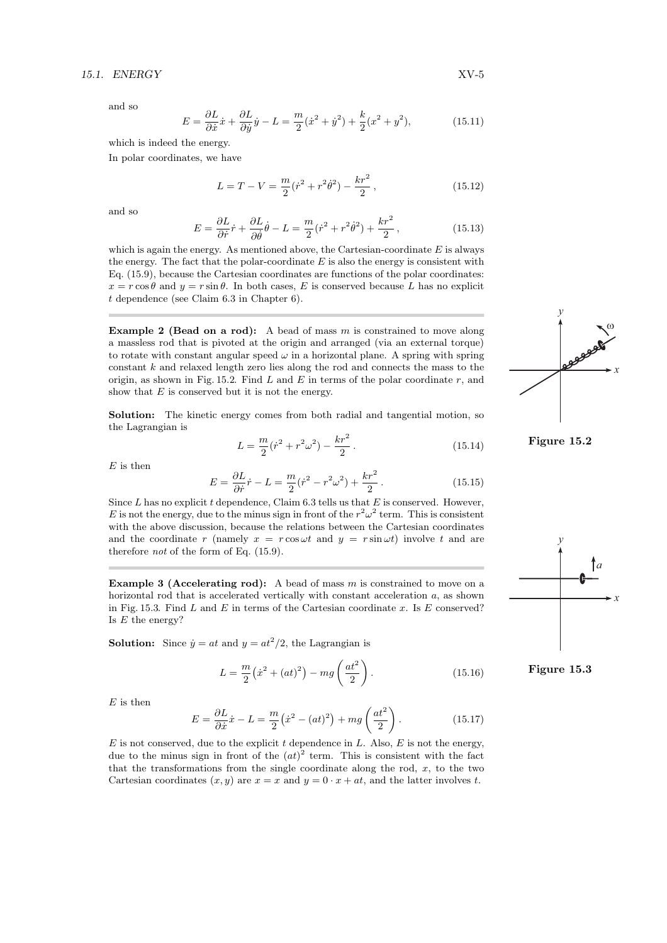#### 15.1. ENERGY XV-5

and so

$$
E = \frac{\partial L}{\partial \dot{x}} \dot{x} + \frac{\partial L}{\partial \dot{y}} \dot{y} - L = \frac{m}{2} (\dot{x}^2 + \dot{y}^2) + \frac{k}{2} (x^2 + y^2), \tag{15.11}
$$

which is indeed the energy.

In polar coordinates, we have

$$
L = T - V = \frac{m}{2}(\dot{r}^2 + r^2\dot{\theta}^2) - \frac{kr^2}{2},
$$
\n(15.12)

and so

$$
E = \frac{\partial L}{\partial \dot{r}} \dot{r} + \frac{\partial L}{\partial \dot{\theta}} \dot{\theta} - L = \frac{m}{2} (\dot{r}^2 + r^2 \dot{\theta}^2) + \frac{kr^2}{2},
$$
\n(15.13)

which is again the energy. As mentioned above, the Cartesian-coordinate  $E$  is always the energy. The fact that the polar-coordinate  $E$  is also the energy is consistent with Eq. (15.9), because the Cartesian coordinates are functions of the polar coordinates:  $x = r \cos \theta$  and  $y = r \sin \theta$ . In both cases, E is conserved because L has no explicit t dependence (see Claim 6.3 in Chapter 6).

**Example 2 (Bead on a rod):** A bead of mass  $m$  is constrained to move along a massless rod that is pivoted at the origin and arranged (via an external torque) to rotate with constant angular speed  $\omega$  in a horizontal plane. A spring with spring constant k and relaxed length zero lies along the rod and connects the mass to the origin, as shown in Fig. 15.2. Find  $L$  and  $E$  in terms of the polar coordinate  $r$ , and show that  $E$  is conserved but it is not the energy.

Solution: The kinetic energy comes from both radial and tangential motion, so the Lagrangian is

$$
L = \frac{m}{2}(\dot{r}^2 + r^2\omega^2) - \frac{kr^2}{2}.
$$
 (15.14)

 $E$  is then

$$
E = \frac{\partial L}{\partial \dot{r}} \dot{r} - L = \frac{m}{2} (\dot{r}^2 - r^2 \omega^2) + \frac{kr^2}{2}.
$$
 (15.15)

Since  $L$  has no explicit  $t$  dependence, Claim 6.3 tells us that  $E$  is conserved. However, E is not the energy, due to the minus sign in front of the  $r^2\omega^2$  term. This is consistent with the above discussion, because the relations between the Cartesian coordinates and the coordinate r (namely  $x = r \cos \omega t$  and  $y = r \sin \omega t$ ) involve t and are therefore not of the form of Eq. (15.9).

**Example 3 (Accelerating rod):** A bead of mass  $m$  is constrained to move on a horizontal rod that is accelerated vertically with constant acceleration a, as shown in Fig. 15.3. Find  $L$  and  $E$  in terms of the Cartesian coordinate  $x$ . Is  $E$  conserved? Is  $E$  the energy?

**Solution:** Since  $\dot{y} = at$  and  $y = at^2/2$ , the Lagrangian is

$$
L = \frac{m}{2} (\dot{x}^2 + (at)^2) - mg \left(\frac{at^2}{2}\right).
$$
 (15.16)

 $E$  is then

$$
E = \frac{\partial L}{\partial \dot{x}} \dot{x} - L = \frac{m}{2} (\dot{x}^2 - (at)^2) + mg \left(\frac{at^2}{2}\right).
$$
 (15.17)

 $E$  is not conserved, due to the explicit t dependence in  $L$ . Also,  $E$  is not the energy, due to the minus sign in front of the  $(at)^2$  term. This is consistent with the fact that the transformations from the single coordinate along the rod,  $x$ , to the two Cartesian coordinates  $(x, y)$  are  $x = x$  and  $y = 0 \cdot x + at$ , and the latter involves t.



Figure 15.2



Figure 15.3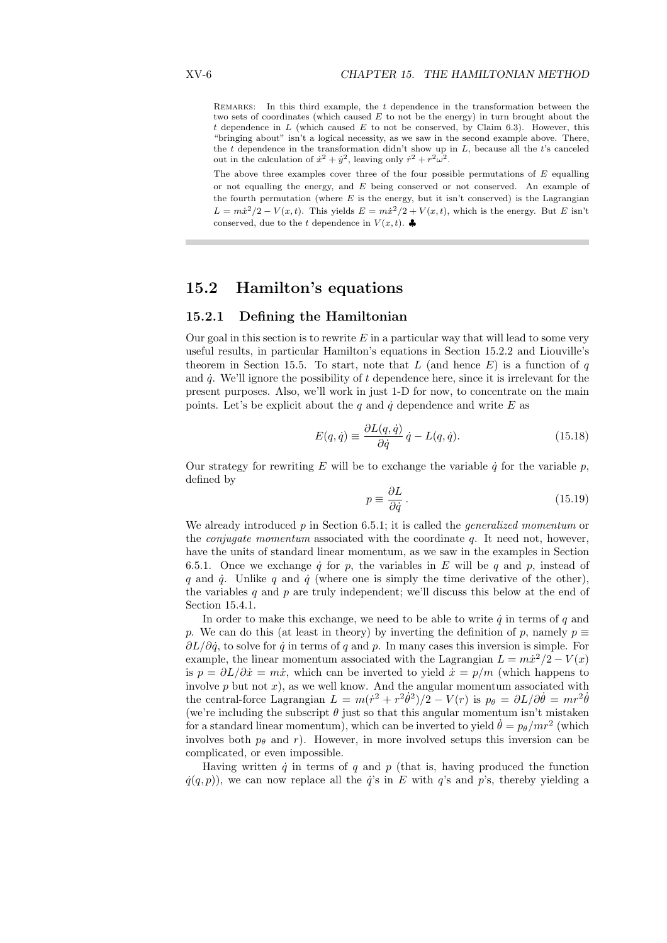REMARKS: In this third example, the  $t$  dependence in the transformation between the two sets of coordinates (which caused  $E$  to not be the energy) in turn brought about the t dependence in  $L$  (which caused  $E$  to not be conserved, by Claim 6.3). However, this "bringing about" isn't a logical necessity, as we saw in the second example above. There, the  $t$  dependence in the transformation didn't show up in  $L$ , because all the  $t$ 's canceled out in the calculation of  $\dot{x}^2 + \dot{y}^2$ , leaving only  $\dot{r}^2 + r^2\omega^2$ .

The above three examples cover three of the four possible permutations of  $E$  equalling or not equalling the energy, and E being conserved or not conserved. An example of the fourth permutation (where  $E$  is the energy, but it isn't conserved) is the Lagrangian  $L = m\dot{x}^2/2 - V(x,t)$ . This yields  $E = m\dot{x}^2/2 + V(x,t)$ , which is the energy. But E isn't conserved, due to the t dependence in  $V(x, t)$ .

# 15.2 Hamilton's equations

# 15.2.1 Defining the Hamiltonian

Our goal in this section is to rewrite  $E$  in a particular way that will lead to some very useful results, in particular Hamilton's equations in Section 15.2.2 and Liouville's theorem in Section 15.5. To start, note that L (and hence  $E$ ) is a function of q and  $\dot{q}$ . We'll ignore the possibility of t dependence here, since it is irrelevant for the present purposes. Also, we'll work in just 1-D for now, to concentrate on the main points. Let's be explicit about the q and  $\dot{q}$  dependence and write E as

$$
E(q, \dot{q}) \equiv \frac{\partial L(q, \dot{q})}{\partial \dot{q}} \dot{q} - L(q, \dot{q}).
$$
\n(15.18)

Our strategy for rewriting E will be to exchange the variable  $\dot{q}$  for the variable  $p$ , defined by

$$
p \equiv \frac{\partial L}{\partial \dot{q}}\,. \tag{15.19}
$$

We already introduced  $p$  in Section 6.5.1; it is called the *generalized momentum* or the *conjugate momentum* associated with the coordinate  $q$ . It need not, however, have the units of standard linear momentum, as we saw in the examples in Section 6.5.1. Once we exchange  $\dot{q}$  for p, the variables in E will be q and p, instead of q and  $\dot{q}$ . Unlike q and  $\dot{q}$  (where one is simply the time derivative of the other), the variables q and  $p$  are truly independent; we'll discuss this below at the end of Section 15.4.1.

In order to make this exchange, we need to be able to write  $\dot{q}$  in terms of q and p. We can do this (at least in theory) by inverting the definition of p, namely  $p \equiv$  $\partial L/\partial \dot{q}$ , to solve for  $\dot{q}$  in terms of q and p. In many cases this inversion is simple. For example, the linear momentum associated with the Lagrangian  $L = m\dot{x}^2/2 - V(x)$ is  $p = \partial L/\partial \dot{x} = m\dot{x}$ , which can be inverted to yield  $\dot{x} = p/m$  (which happens to involve  $p$  but not  $x$ ), as we well know. And the angular momentum associated with the central-force Lagrangian  $L = m(\dot{r}^2 + r^2\dot{\theta}^2)/2 - V(r)$  is  $p_\theta = \partial L/\partial \dot{\theta} = mr^2\dot{\theta}$ (we're including the subscript  $\theta$  just so that this angular momentum isn't mistaken for a standard linear momentum), which can be inverted to yield  $\dot{\theta} = p_{\theta}/mr^2$  (which involves both  $p_{\theta}$  and r). However, in more involved setups this inversion can be complicated, or even impossible.

Having written  $\dot{q}$  in terms of q and p (that is, having produced the function  $\dot{q}(q, p)$ ), we can now replace all the  $\dot{q}$ 's in E with  $q$ 's and p's, thereby yielding a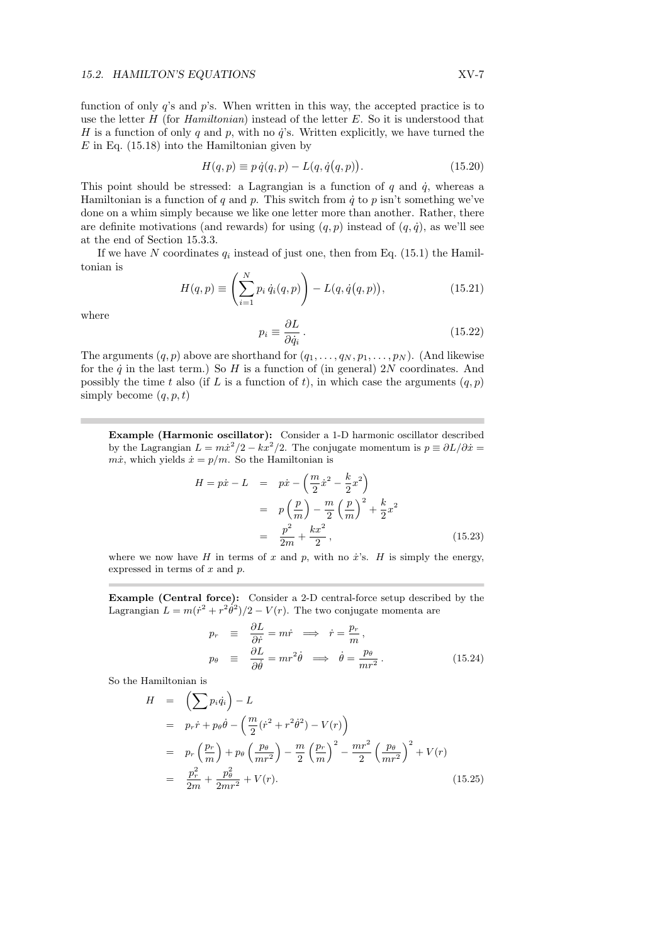function of only  $q$ 's and  $p$ 's. When written in this way, the accepted practice is to use the letter  $H$  (for Hamiltonian) instead of the letter  $E$ . So it is understood that H is a function of only q and p, with no  $\ddot{q}$ 's. Written explicitly, we have turned the  $E$  in Eq. (15.18) into the Hamiltonian given by

$$
H(q, p) \equiv p \dot{q}(q, p) - L(q, \dot{q}(q, p)).
$$
\n(15.20)

This point should be stressed: a Lagrangian is a function of  $q$  and  $\dot{q}$ , whereas a Hamiltonian is a function of q and p. This switch from  $\dot{q}$  to p isn't something we've done on a whim simply because we like one letter more than another. Rather, there are definite motivations (and rewards) for using  $(q, p)$  instead of  $(q, \dot{q})$ , as we'll see at the end of Section 15.3.3.

If we have N coordinates  $q_i$  instead of just one, then from Eq. (15.1) the Hamiltonian is !<br>.

$$
H(q, p) \equiv \left(\sum_{i=1}^{N} p_i \dot{q}_i(q, p)\right) - L(q, \dot{q}(q, p)),
$$
\n(15.21)

where

$$
p_i \equiv \frac{\partial L}{\partial \dot{q}_i} \,. \tag{15.22}
$$

The arguments  $(q, p)$  above are shorthand for  $(q_1, \ldots, q_N, p_1, \ldots, p_N)$ . (And likewise for the  $\dot{q}$  in the last term.) So H is a function of (in general) 2N coordinates. And possibly the time t also (if L is a function of t), in which case the arguments  $(q, p)$ simply become  $(q, p, t)$ 

Example (Harmonic oscillator): Consider a 1-D harmonic oscillator described by the Lagrangian  $L = m\dot{x}^2/2 - kx^2/2$ . The conjugate momentum is  $p = \partial L/\partial \dot{x} =$  $m\dot{x}$ , which yields  $\dot{x} = p/m$ . So the Hamiltonian is

$$
H = p\dot{x} - L = p\dot{x} - \left(\frac{m}{2}\dot{x}^2 - \frac{k}{2}x^2\right)
$$
  
=  $p\left(\frac{p}{m}\right) - \frac{m}{2}\left(\frac{p}{m}\right)^2 + \frac{k}{2}x^2$   
=  $\frac{p^2}{2m} + \frac{kx^2}{2}$ , (15.23)

where we now have H in terms of x and p, with no  $\dot{x}$ 's. H is simply the energy, expressed in terms of  $x$  and  $p$ .

Example (Central force): Consider a 2-D central-force setup described by the Lagrangian  $L = m(r^2 + r^2\dot{\theta}^2)/2 - V(r)$ . The two conjugate momenta are

$$
p_r \equiv \frac{\partial L}{\partial \dot{r}} = m\dot{r} \implies \dot{r} = \frac{p_r}{m},
$$
  
\n
$$
p_\theta \equiv \frac{\partial L}{\partial \dot{\theta}} = mr^2 \dot{\theta} \implies \dot{\theta} = \frac{p_\theta}{mr^2}.
$$
\n(15.24)

So the Hamiltonian is

$$
H = \left(\sum p_i \dot{q}_i\right) - L
$$
  
\n
$$
= p_r \dot{r} + p_\theta \dot{\theta} - \left(\frac{m}{2}(\dot{r}^2 + r^2 \dot{\theta}^2) - V(r)\right)
$$
  
\n
$$
= p_r \left(\frac{p_r}{m}\right) + p_\theta \left(\frac{p_\theta}{mr^2}\right) - \frac{m}{2} \left(\frac{p_r}{m}\right)^2 - \frac{mr^2}{2} \left(\frac{p_\theta}{mr^2}\right)^2 + V(r)
$$
  
\n
$$
= \frac{p_r^2}{2m} + \frac{p_\theta^2}{2mr^2} + V(r).
$$
 (15.25)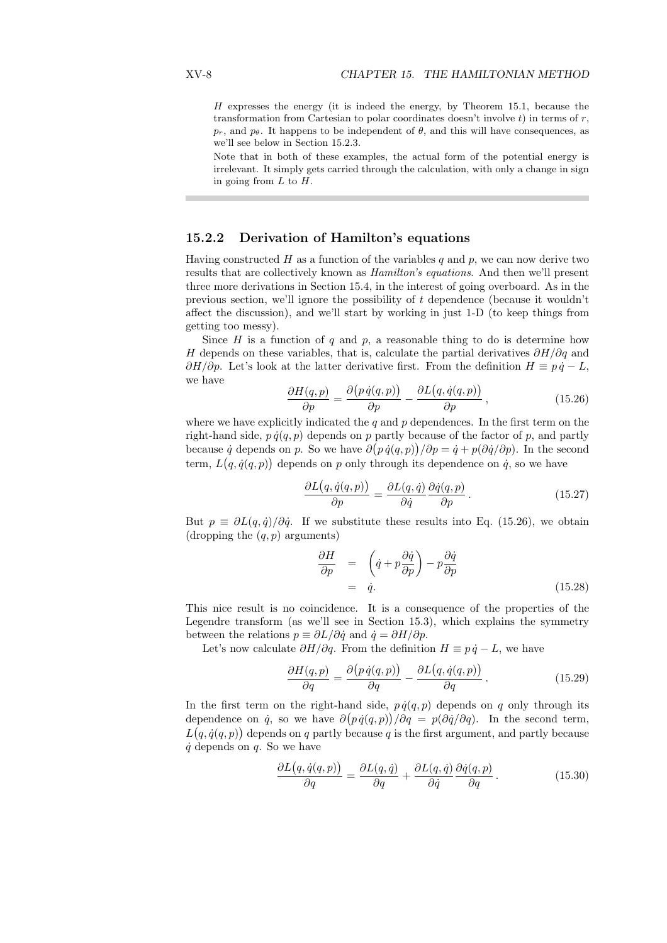$H$  expresses the energy (it is indeed the energy, by Theorem 15.1, because the transformation from Cartesian to polar coordinates doesn't involve  $t$ ) in terms of  $r$ ,  $p_r$ , and  $p_\theta$ . It happens to be independent of  $\theta$ , and this will have consequences, as we'll see below in Section 15.2.3.

Note that in both of these examples, the actual form of the potential energy is irrelevant. It simply gets carried through the calculation, with only a change in sign in going from  $L$  to  $H$ .

# 15.2.2 Derivation of Hamilton's equations

Having constructed  $H$  as a function of the variables  $q$  and  $p$ , we can now derive two results that are collectively known as Hamilton's equations. And then we'll present three more derivations in Section 15.4, in the interest of going overboard. As in the previous section, we'll ignore the possibility of t dependence (because it wouldn't affect the discussion), and we'll start by working in just 1-D (to keep things from getting too messy).

Since  $H$  is a function of  $q$  and  $p$ , a reasonable thing to do is determine how H depends on these variables, that is, calculate the partial derivatives  $\partial H/\partial q$  and  $\partial H/\partial p$ . Let's look at the latter derivative first. From the definition  $H \equiv p \dot{q} - L$ , we have ¡ ¢

$$
\frac{\partial H(q,p)}{\partial p} = \frac{\partial (p \dot{q}(q,p))}{\partial p} - \frac{\partial L(q, \dot{q}(q,p))}{\partial p}, \qquad (15.26)
$$

where we have explicitly indicated the  $q$  and  $p$  dependences. In the first term on the right-hand side,  $p \dot{q}(q, p)$  depends on p partly because of the factor of p, and partly because q depends on p. So we have  $\partial (p \dot{q}(q, p)) / \partial p = \dot{q} + p(\partial \dot{q}/\partial p)$ . In the second term,  $L(q, \dot{q}(q, p))$  depends on p only through its dependence on  $\dot{q}$ , so we have

$$
\frac{\partial L(q, \dot{q}(q, p))}{\partial p} = \frac{\partial L(q, \dot{q})}{\partial \dot{q}} \frac{\partial \dot{q}(q, p)}{\partial p}.
$$
\n(15.27)

But  $p \equiv \partial L(q, \dot{q})/\partial \dot{q}$ . If we substitute these results into Eq. (15.26), we obtain (dropping the  $(q, p)$  arguments)

$$
\frac{\partial H}{\partial p} = \left(\dot{q} + p \frac{\partial \dot{q}}{\partial p}\right) - p \frac{\partial \dot{q}}{\partial p} \n= \dot{q}.
$$
\n(15.28)

This nice result is no coincidence. It is a consequence of the properties of the Legendre transform (as we'll see in Section 15.3), which explains the symmetry between the relations  $p \equiv \partial L/\partial \dot{q}$  and  $\dot{q} = \partial H/\partial p$ .

Let's now calculate  $\partial H/\partial q$ . From the definition  $H \equiv p \dot{q} - L$ , we have

$$
\frac{\partial H(q,p)}{\partial q} = \frac{\partial (p \dot{q}(q,p))}{\partial q} - \frac{\partial L(q, \dot{q}(q,p))}{\partial q}.
$$
\n(15.29)

In the first term on the right-hand side,  $p \dot{q}(q, p)$  depends on q only through its dependence on  $\dot{q}$ , so we have  $\partial (p \dot{q}(q, p)) / \partial q = p(\partial \dot{q}/\partial q)$ . In the second term,  $L(q, \dot{q}(q, p))$  depends on q partly because q is the first argument, and partly because  $\dot{q}$  depends on  $q$ . So we have

$$
\frac{\partial L(q, \dot{q}(q, p))}{\partial q} = \frac{\partial L(q, \dot{q})}{\partial q} + \frac{\partial L(q, \dot{q})}{\partial \dot{q}} \frac{\partial \dot{q}(q, p)}{\partial q}.
$$
(15.30)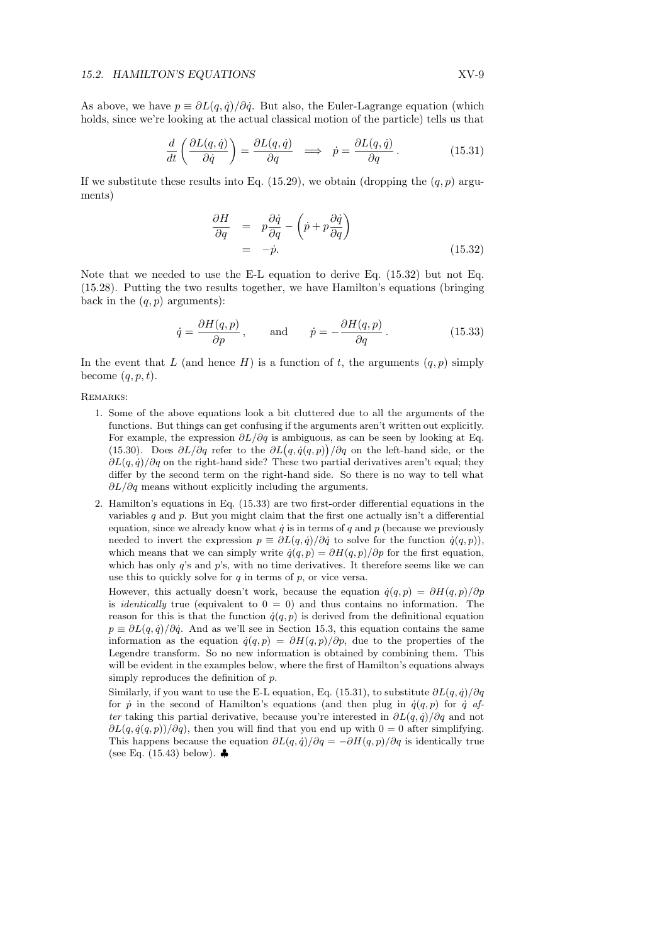As above, we have  $p \equiv \partial L(q, \dot{q})/\partial \dot{q}$ . But also, the Euler-Lagrange equation (which holds, since we're looking at the actual classical motion of the particle) tells us that

$$
\frac{d}{dt}\left(\frac{\partial L(q,\dot{q})}{\partial \dot{q}}\right) = \frac{\partial L(q,\dot{q})}{\partial q} \implies \dot{p} = \frac{\partial L(q,\dot{q})}{\partial q}.
$$
\n(15.31)

If we substitute these results into Eq.  $(15.29)$ , we obtain (dropping the  $(q, p)$  arguments)

$$
\frac{\partial H}{\partial q} = p \frac{\partial \dot{q}}{\partial q} - \left( \dot{p} + p \frac{\partial \dot{q}}{\partial q} \right) \n= -\dot{p}.
$$
\n(15.32)

Note that we needed to use the E-L equation to derive Eq. (15.32) but not Eq. (15.28). Putting the two results together, we have Hamilton's equations (bringing back in the  $(q, p)$  arguments):

$$
\dot{q} = \frac{\partial H(q, p)}{\partial p}
$$
, and  $\dot{p} = -\frac{\partial H(q, p)}{\partial q}$ . (15.33)

In the event that L (and hence H) is a function of t, the arguments  $(q, p)$  simply become  $(q, p, t)$ .

Remarks:

- 1. Some of the above equations look a bit cluttered due to all the arguments of the functions. But things can get confusing if the arguments aren't written out explicitly. For example, the expression  $\partial L/\partial q$  is ambiguous, as can be seen by looking at Eq. For example, the expression  $\partial L/\partial q$  is ambiguous, as can be seen by looking at Eq. (15.30). Does  $\partial L/\partial q$  refer to the  $\partial L(q, \dot{q}(q, p))/\partial q$  on the left-hand side, or the  $\partial L(q, \dot{q})/\partial q$  on the right-hand side? These two partial derivatives aren't equal; they differ by the second term on the right-hand side. So there is no way to tell what  $\partial L/\partial q$  means without explicitly including the arguments.
- 2. Hamilton's equations in Eq. (15.33) are two first-order differential equations in the variables  $q$  and  $p$ . But you might claim that the first one actually isn't a differential equation, since we already know what  $\dot{q}$  is in terms of q and p (because we previously needed to invert the expression  $p \equiv \partial L(q, \dot{q})/\partial \dot{q}$  to solve for the function  $\dot{q}(q, p)$ ), which means that we can simply write  $\dot{q}(q, p) = \partial H(q, p)/\partial p$  for the first equation, which has only  $q$ 's and  $p$ 's, with no time derivatives. It therefore seems like we can use this to quickly solve for  $q$  in terms of  $p$ , or vice versa.

However, this actually doesn't work, because the equation  $\dot{q}(q, p) = \partial H(q, p)/\partial p$ is *identically* true (equivalent to  $0 = 0$ ) and thus contains no information. The reason for this is that the function  $\dot{q}(q, p)$  is derived from the definitional equation  $p \equiv \partial L(q, \dot{q})/\partial \dot{q}$ . And as we'll see in Section 15.3, this equation contains the same information as the equation  $\dot{q}(q, p) = \partial H(q, p)/\partial p$ , due to the properties of the Legendre transform. So no new information is obtained by combining them. This will be evident in the examples below, where the first of Hamilton's equations always simply reproduces the definition of p.

Similarly, if you want to use the E-L equation, Eq. (15.31), to substitute  $\partial L(q, \dot{q})/\partial q$ for  $\dot{p}$  in the second of Hamilton's equations (and then plug in  $\dot{q}(q, p)$  for  $\dot{q}$  after taking this partial derivative, because you're interested in  $\partial L(q, \dot{q})/\partial q$  and not  $\partial L(q, \dot{q}(q, p))/\partial q$ , then you will find that you end up with  $0 = 0$  after simplifying. This happens because the equation  $\partial L(q, \dot{q})/\partial q = -\partial H(q, p)/\partial q$  is identically true (see Eq.  $(15.43)$  below).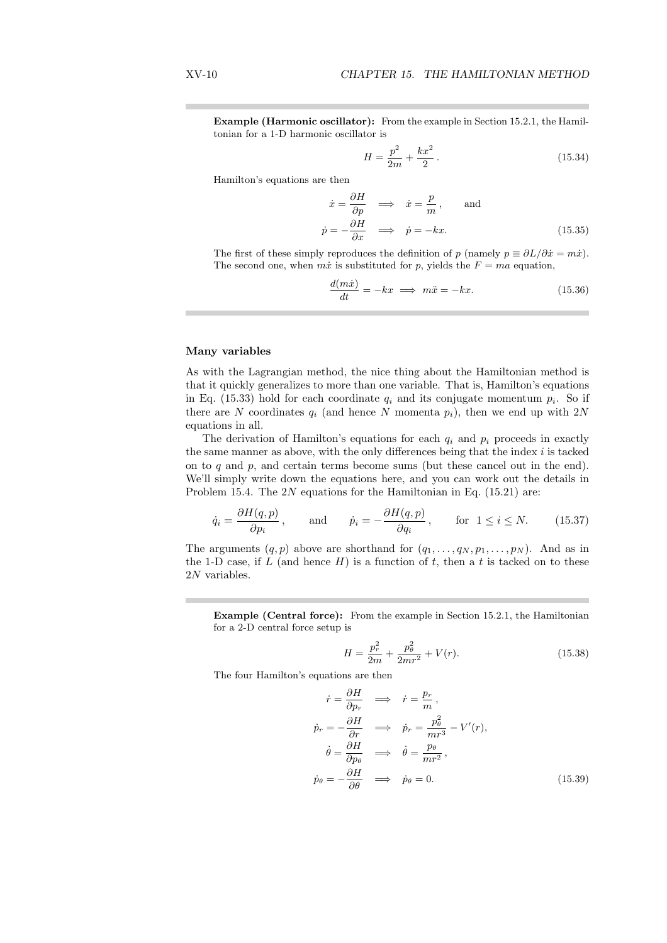Example (Harmonic oscillator): From the example in Section 15.2.1, the Hamiltonian for a 1-D harmonic oscillator is

$$
H = \frac{p^2}{2m} + \frac{kx^2}{2}.
$$
\n(15.34)

Hamilton's equations are then

$$
\dot{x} = \frac{\partial H}{\partial p} \implies \dot{x} = \frac{p}{m}, \text{ and}
$$
  

$$
\dot{p} = -\frac{\partial H}{\partial x} \implies \dot{p} = -kx.
$$
 (15.35)

The first of these simply reproduces the definition of p (namely  $p \equiv \partial L/\partial \dot{x} = m\dot{x}$ ). The second one, when  $m\dot{x}$  is substituted for p, yields the  $F = ma$  equation,

$$
\frac{d(m\dot{x})}{dt} = -kx \implies m\ddot{x} = -kx.
$$
 (15.36)

#### Many variables

As with the Lagrangian method, the nice thing about the Hamiltonian method is that it quickly generalizes to more than one variable. That is, Hamilton's equations in Eq. (15.33) hold for each coordinate  $q_i$  and its conjugate momentum  $p_i$ . So if there are N coordinates  $q_i$  (and hence N momenta  $p_i$ ), then we end up with 2N equations in all.

The derivation of Hamilton's equations for each  $q_i$  and  $p_i$  proceeds in exactly the same manner as above, with the only differences being that the index  $i$  is tacked on to  $q$  and  $p$ , and certain terms become sums (but these cancel out in the end). We'll simply write down the equations here, and you can work out the details in Problem 15.4. The  $2N$  equations for the Hamiltonian in Eq. (15.21) are:

$$
\dot{q}_i = \frac{\partial H(q, p)}{\partial p_i}
$$
, and  $\dot{p}_i = -\frac{\partial H(q, p)}{\partial q_i}$ , for  $1 \le i \le N$ . (15.37)

The arguments  $(q, p)$  above are shorthand for  $(q_1, \ldots, q_N, p_1, \ldots, p_N)$ . And as in the 1-D case, if L (and hence  $H$ ) is a function of t, then a t is tacked on to these 2N variables.

Example (Central force): From the example in Section 15.2.1, the Hamiltonian for a 2-D central force setup is

$$
H = \frac{p_r^2}{2m} + \frac{p_\theta^2}{2mr^2} + V(r).
$$
 (15.38)

The four Hamilton's equations are then

$$
\dot{r} = \frac{\partial H}{\partial p_r} \implies \dot{r} = \frac{p_r}{m},
$$
\n
$$
\dot{p}_r = -\frac{\partial H}{\partial r} \implies \dot{p}_r = \frac{p_\theta^2}{mr^3} - V'(r),
$$
\n
$$
\dot{\theta} = \frac{\partial H}{\partial p_\theta} \implies \dot{\theta} = \frac{p_\theta}{mr^2},
$$
\n
$$
\dot{p}_\theta = -\frac{\partial H}{\partial \theta} \implies \dot{p}_\theta = 0.
$$
\n(15.39)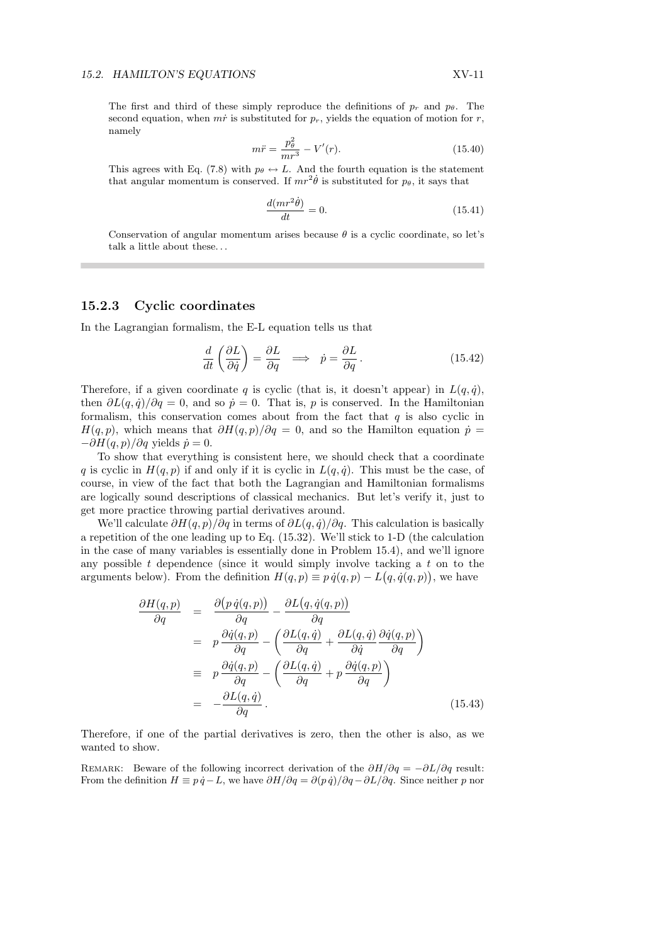The first and third of these simply reproduce the definitions of  $p_r$  and  $p_\theta$ . The second equation, when  $m\dot{r}$  is substituted for  $p_r$ , yields the equation of motion for r, namely

$$
m\ddot{r} = \frac{p_{\theta}^2}{mr^3} - V'(r). \tag{15.40}
$$

This agrees with Eq. (7.8) with  $p_{\theta} \leftrightarrow L$ . And the fourth equation is the statement that angular momentum is conserved. If  $mr^2\dot{\theta}$  is substituted for  $p_{\theta}$ , it says that

$$
\frac{d(mr^2\dot{\theta})}{dt} = 0.\t(15.41)
$$

Conservation of angular momentum arises because  $\theta$  is a cyclic coordinate, so let's talk a little about these. . .

#### 15.2.3 Cyclic coordinates

In the Lagrangian formalism, the E-L equation tells us that

$$
\frac{d}{dt}\left(\frac{\partial L}{\partial \dot{q}}\right) = \frac{\partial L}{\partial q} \implies \dot{p} = \frac{\partial L}{\partial q}.
$$
\n(15.42)

Therefore, if a given coordinate q is cyclic (that is, it doesn't appear) in  $L(q, \dot{q})$ , then  $\partial L(q, \dot{q})/\partial q = 0$ , and so  $\dot{p} = 0$ . That is, p is conserved. In the Hamiltonian formalism, this conservation comes about from the fact that  $q$  is also cyclic in  $H(q, p)$ , which means that  $\partial H(q, p)/\partial q = 0$ , and so the Hamilton equation  $\dot{p} =$  $-\partial H(q, p)/\partial q$  yields  $\dot{p} = 0$ .

To show that everything is consistent here, we should check that a coordinate q is cyclic in  $H(q, p)$  if and only if it is cyclic in  $L(q, \dot{q})$ . This must be the case, of course, in view of the fact that both the Lagrangian and Hamiltonian formalisms are logically sound descriptions of classical mechanics. But let's verify it, just to get more practice throwing partial derivatives around.

We'll calculate  $\partial H(q, p)/\partial q$  in terms of  $\partial L(q, \dot{q})/\partial q$ . This calculation is basically a repetition of the one leading up to Eq. (15.32). We'll stick to 1-D (the calculation in the case of many variables is essentially done in Problem 15.4), and we'll ignore any possible  $t$  dependence (since it would simply involve tacking a  $t$  on to the arguments below). From the definition  $H(q, p) \equiv p \dot{q}(q, p) - L(q, \dot{q}(q, p))$ , we have

$$
\frac{\partial H(q,p)}{\partial q} = \frac{\partial (p \dot{q}(q,p))}{\partial q} - \frac{\partial L(q, \dot{q}(q,p))}{\partial q} \n= p \frac{\partial \dot{q}(q,p)}{\partial q} - \left( \frac{\partial L(q, \dot{q})}{\partial q} + \frac{\partial L(q, \dot{q})}{\partial \dot{q}} \frac{\partial \dot{q}(q,p)}{\partial q} \right) \n\equiv p \frac{\partial \dot{q}(q,p)}{\partial q} - \left( \frac{\partial L(q, \dot{q})}{\partial q} + p \frac{\partial \dot{q}(q,p)}{\partial q} \right) \n= -\frac{\partial L(q, \dot{q})}{\partial q}.
$$
\n(15.43)

Therefore, if one of the partial derivatives is zero, then the other is also, as we wanted to show.

REMARK: Beware of the following incorrect derivation of the  $\partial H/\partial q = -\partial L/\partial q$  result: From the definition  $H \equiv p \dot{q} - L$ , we have  $\partial H/\partial q = \partial (p \dot{q})/\partial q - \partial L/\partial q$ . Since neither p nor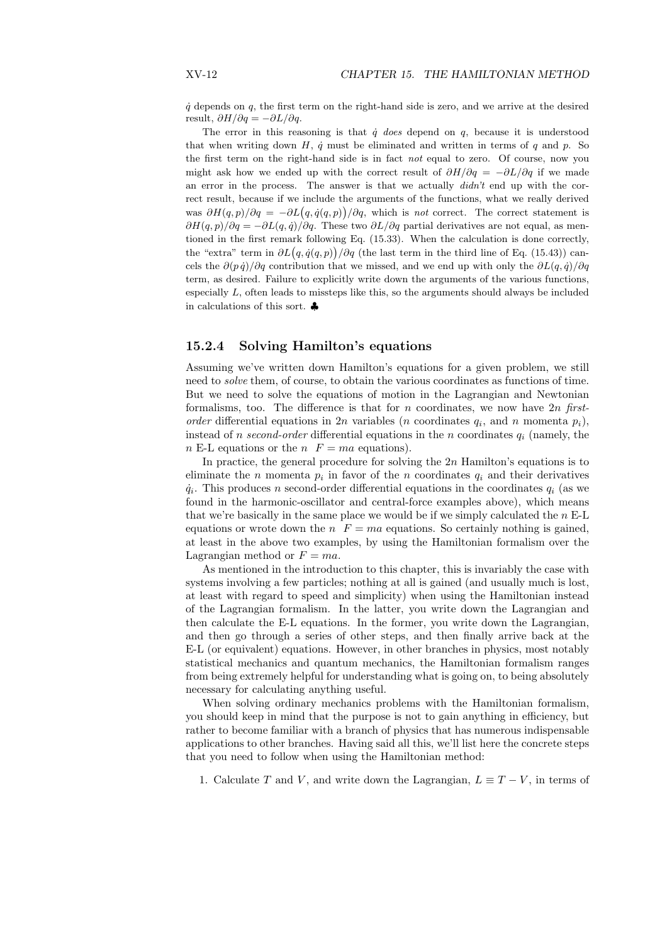$\dot{q}$  depends on  $q$ , the first term on the right-hand side is zero, and we arrive at the desired result,  $\partial H/\partial q = -\partial L/\partial q$ .

The error in this reasoning is that  $\dot{q}$  does depend on q, because it is understood that when writing down  $H$ ,  $\dot{q}$  must be eliminated and written in terms of  $q$  and  $p$ . So the first term on the right-hand side is in fact not equal to zero. Of course, now you might ask how we ended up with the correct result of  $\partial H/\partial q = -\partial L/\partial q$  if we made an error in the process. The answer is that we actually  $\text{d}idn't$  end up with the correct result, because if we include the arguments of the functions, what we really derived rect result, because if we include the arguments of the functions, what we really derived<br>was  $\partial H(q,p)/\partial q = -\partial L(q,\dot{q}(q,p))/\partial q$ , which is *not* correct. The correct statement is  $\partial H(q, p)/\partial q = -\partial L(q, \dot{q})/\partial q$ . These two  $\partial L/\partial q$  partial derivatives are not equal, as mentioned in the first remark following Eq. (15.33). When the calculation is done correctly, tioned in the first remark following Eq. (15.33). When the calculation is done correctly,<br>the "extra" term in  $\partial L(q, \dot{q}(q, p)) / \partial q$  (the last term in the third line of Eq. (15.43)) cancels the  $\partial (p \dot{q})/\partial q$  contribution that we missed, and we end up with only the  $\partial L(q, \dot{q})/\partial q$ term, as desired. Failure to explicitly write down the arguments of the various functions, especially L, often leads to missteps like this, so the arguments should always be included in calculations of this sort. ♣

### 15.2.4 Solving Hamilton's equations

Assuming we've written down Hamilton's equations for a given problem, we still need to solve them, of course, to obtain the various coordinates as functions of time. But we need to solve the equations of motion in the Lagrangian and Newtonian formalisms, too. The difference is that for n coordinates, we now have  $2n$  firstorder differential equations in 2n variables (n coordinates  $q_i$ , and n momenta  $p_i$ ), instead of *n* second-order differential equations in the *n* coordinates  $q_i$  (namely, the  $n E$ -L equations or the  $n F = ma$  equations).

In practice, the general procedure for solving the  $2n$  Hamilton's equations is to eliminate the *n* momenta  $p_i$  in favor of the *n* coordinates  $q_i$  and their derivatives  $\dot{q}_i$ . This produces n second-order differential equations in the coordinates  $q_i$  (as we found in the harmonic-oscillator and central-force examples above), which means that we're basically in the same place we would be if we simply calculated the  $n \text{ E-L}$ equations or wrote down the  $n \ F = ma$  equations. So certainly nothing is gained, at least in the above two examples, by using the Hamiltonian formalism over the Lagrangian method or  $F = ma$ .

As mentioned in the introduction to this chapter, this is invariably the case with systems involving a few particles; nothing at all is gained (and usually much is lost, at least with regard to speed and simplicity) when using the Hamiltonian instead of the Lagrangian formalism. In the latter, you write down the Lagrangian and then calculate the E-L equations. In the former, you write down the Lagrangian, and then go through a series of other steps, and then finally arrive back at the E-L (or equivalent) equations. However, in other branches in physics, most notably statistical mechanics and quantum mechanics, the Hamiltonian formalism ranges from being extremely helpful for understanding what is going on, to being absolutely necessary for calculating anything useful.

When solving ordinary mechanics problems with the Hamiltonian formalism, you should keep in mind that the purpose is not to gain anything in efficiency, but rather to become familiar with a branch of physics that has numerous indispensable applications to other branches. Having said all this, we'll list here the concrete steps that you need to follow when using the Hamiltonian method:

1. Calculate T and V, and write down the Lagrangian,  $L \equiv T - V$ , in terms of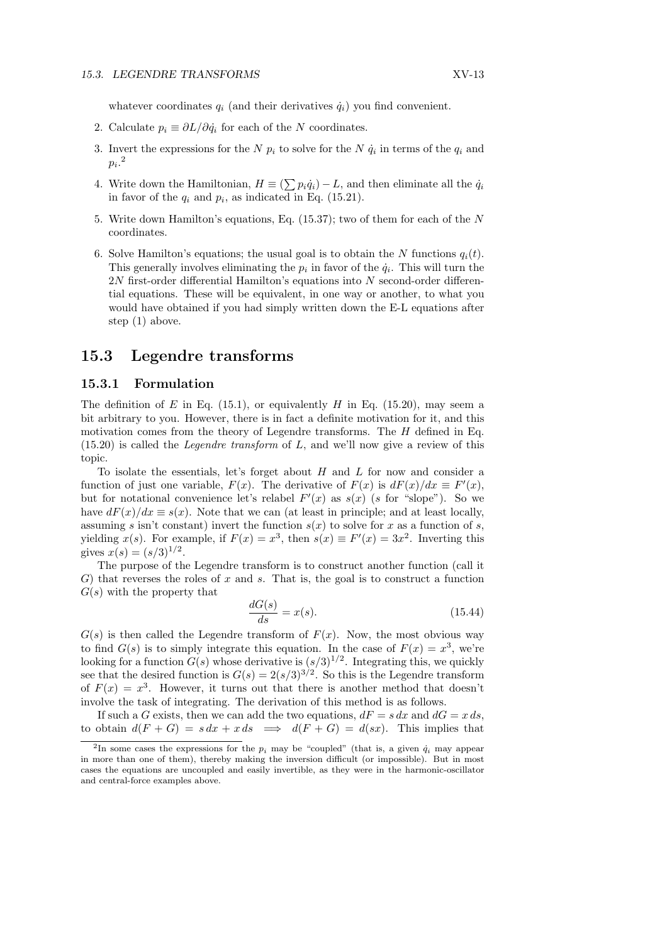whatever coordinates  $q_i$  (and their derivatives  $\dot{q}_i$ ) you find convenient.

- 2. Calculate  $p_i \equiv \partial L/\partial \dot{q}_i$  for each of the N coordinates.
- 3. Invert the expressions for the N  $p_i$  to solve for the N  $\dot{q}_i$  in terms of the  $q_i$  and  $p_i.^2$
- 4. Write down the Hamiltonian,  $H \equiv \left(\sum p_i \dot{q}_i\right) L$ , and then eliminate all the  $\dot{q}_i$ in favor of the  $q_i$  and  $p_i$ , as indicated in Eq. (15.21).
- 5. Write down Hamilton's equations, Eq. (15.37); two of them for each of the N coordinates.
- 6. Solve Hamilton's equations; the usual goal is to obtain the N functions  $q_i(t)$ . This generally involves eliminating the  $p_i$  in favor of the  $\dot{q}_i$ . This will turn the  $2N$  first-order differential Hamilton's equations into  $N$  second-order differential equations. These will be equivalent, in one way or another, to what you would have obtained if you had simply written down the E-L equations after step (1) above.

# 15.3 Legendre transforms

### 15.3.1 Formulation

The definition of E in Eq. (15.1), or equivalently H in Eq. (15.20), may seem a bit arbitrary to you. However, there is in fact a definite motivation for it, and this motivation comes from the theory of Legendre transforms. The  $H$  defined in Eq.  $(15.20)$  is called the *Legendre transform* of L, and we'll now give a review of this topic.

To isolate the essentials, let's forget about  $H$  and  $L$  for now and consider a function of just one variable,  $F(x)$ . The derivative of  $F(x)$  is  $dF(x)/dx \equiv F'(x)$ , but for notational convenience let's relabel  $F'(x)$  as  $s(x)$  (s for "slope"). So we have  $dF(x)/dx \equiv s(x)$ . Note that we can (at least in principle; and at least locally, assuming s isn't constant) invert the function  $s(x)$  to solve for x as a function of s, yielding  $x(s)$ . For example, if  $F(x) = x^3$ , then  $s(x) \equiv F'(x) = 3x^2$ . Inverting this gives  $x(s) = (s/3)^{1/2}$ .

The purpose of the Legendre transform is to construct another function (call it  $G$ ) that reverses the roles of x and s. That is, the goal is to construct a function  $G(s)$  with the property that

$$
\frac{dG(s)}{ds} = x(s). \tag{15.44}
$$

 $G(s)$  is then called the Legendre transform of  $F(x)$ . Now, the most obvious way to find  $G(s)$  is to simply integrate this equation. In the case of  $F(x) = x^3$ , we're looking for a function  $G(s)$  whose derivative is  $(s/3)^{1/2}$ . Integrating this, we quickly see that the desired function is  $G(s) = 2(s/3)^{3/2}$ . So this is the Legendre transform of  $F(x) = x^3$ . However, it turns out that there is another method that doesn't involve the task of integrating. The derivation of this method is as follows.

If such a G exists, then we can add the two equations,  $dF = s dx$  and  $dG = x ds$ , to obtain  $d(F+G) = s dx + x ds \implies d(F+G) = d(sx)$ . This implies that

<sup>&</sup>lt;sup>2</sup>In some cases the expressions for the  $p_i$  may be "coupled" (that is, a given  $\dot{q}_i$  may appear in more than one of them), thereby making the inversion difficult (or impossible). But in most cases the equations are uncoupled and easily invertible, as they were in the harmonic-oscillator and central-force examples above.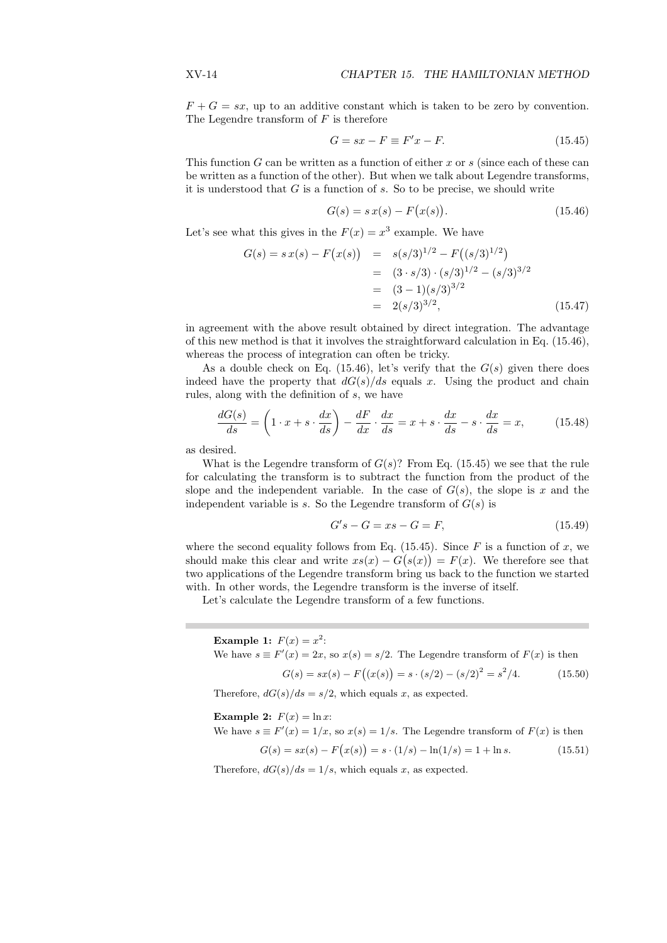$F + G = sx$ , up to an additive constant which is taken to be zero by convention. The Legendre transform of  $F$  is therefore

$$
G = sx - F \equiv F'x - F.
$$
\n<sup>(15.45)</sup>

This function  $G$  can be written as a function of either  $x$  or  $s$  (since each of these can be written as a function of the other). But when we talk about Legendre transforms, it is understood that  $G$  is a function of  $s$ . So to be precise, we should write

$$
G(s) = s x(s) - F(x(s)).
$$
\n(15.46)

Let's see what this gives in the  $F(x) = x^3$  example. We have

$$
G(s) = s x(s) - F(x(s)) = s(s/3)^{1/2} - F((s/3)^{1/2})
$$
  
= (3 · s/3) · (s/3)<sup>1/2</sup> - (s/3)<sup>3/2</sup>  
= (3 - 1)(s/3)<sup>3/2</sup>  
= 2(s/3)<sup>3/2</sup>, (15.47)

in agreement with the above result obtained by direct integration. The advantage of this new method is that it involves the straightforward calculation in Eq. (15.46), whereas the process of integration can often be tricky.

As a double check on Eq. (15.46), let's verify that the  $G(s)$  given there does indeed have the property that  $dG(s)/ds$  equals x. Using the product and chain rules, along with the definition of s, we have

$$
\frac{dG(s)}{ds} = \left(1 \cdot x + s \cdot \frac{dx}{ds}\right) - \frac{dF}{dx} \cdot \frac{dx}{ds} = x + s \cdot \frac{dx}{ds} - s \cdot \frac{dx}{ds} = x,\tag{15.48}
$$

as desired.

What is the Legendre transform of  $G(s)$ ? From Eq. (15.45) we see that the rule for calculating the transform is to subtract the function from the product of the slope and the independent variable. In the case of  $G(s)$ , the slope is x and the independent variable is s. So the Legendre transform of  $G(s)$  is

$$
G's - G = xs - G = F,\tag{15.49}
$$

where the second equality follows from Eq.  $(15.45)$ . Since F is a function of x, we should make this clear and write  $xs(x) - G(s(x)) = F(x)$ . We therefore see that two applications of the Legendre transform bring us back to the function we started with. In other words, the Legendre transform is the inverse of itself.

Let's calculate the Legendre transform of a few functions.

Example 1:  $F(x) = x^2$ : We have  $s \equiv F'(x) = 2x$ , so  $x(s) = s/2$ . The Legendre transform of  $F(x)$  is then  $G(s) = sx(s) - F((x(s)) = s \cdot (s/2) - (s/2)^2 = s^2$  $(15.50)$ 

Therefore,  $dG(s)/ds = s/2$ , which equals x, as expected.

Example 2:  $F(x) = \ln x$ :

We have 
$$
s \equiv F'(x) = 1/x
$$
, so  $x(s) = 1/s$ . The Legendre transform of  $F(x)$  is then

$$
G(s) = sx(s) - F(x(s)) = s \cdot (1/s) - \ln(1/s) = 1 + \ln s. \tag{15.51}
$$

Therefore,  $dG(s)/ds = 1/s$ , which equals x, as expected.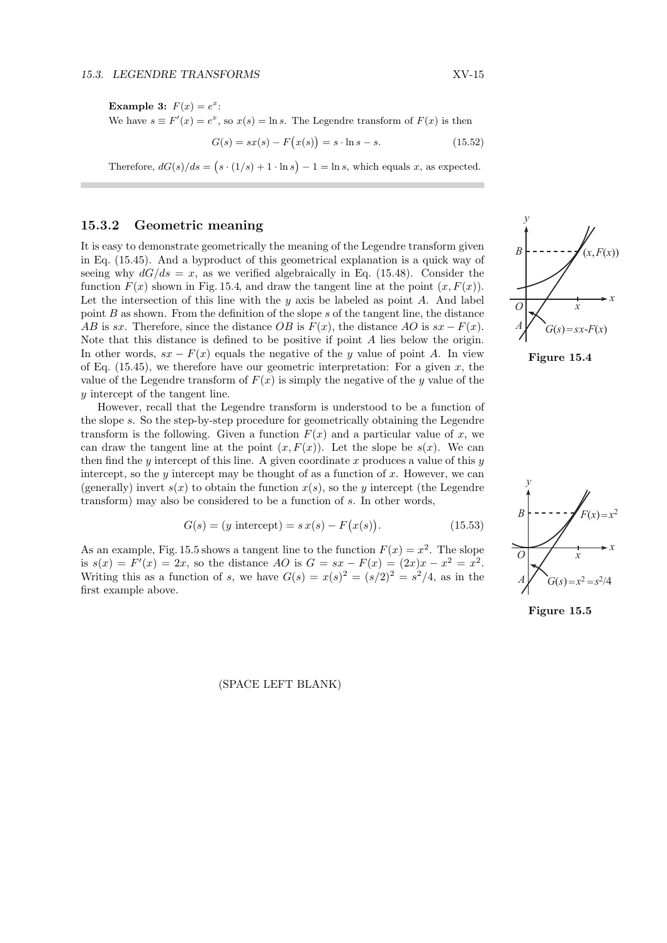Example 3:  $F(x) = e^x$ : We have  $s \equiv F'(x) = e^x$ , so  $x(s) = \ln s$ . The Legendre transform of  $F(x)$  is then

$$
G(s) = sx(s) - F(x(s)) = s \cdot \ln s - s.
$$
 (15.52)

Therefore,  $dG(s)/ds = (s \cdot (1/s) + 1 \cdot \ln s) - 1 = \ln s$ , which equals x, as expected.

# 15.3.2 Geometric meaning

It is easy to demonstrate geometrically the meaning of the Legendre transform given in Eq. (15.45). And a byproduct of this geometrical explanation is a quick way of seeing why  $dG/ds = x$ , as we verified algebraically in Eq. (15.48). Consider the function  $F(x)$  shown in Fig. 15.4, and draw the tangent line at the point  $(x, F(x))$ . Let the intersection of this line with the  $y$  axis be labeled as point  $A$ . And label point  $B$  as shown. From the definition of the slope  $s$  of the tangent line, the distance AB is sx. Therefore, since the distance  $OB$  is  $F(x)$ , the distance AO is  $sx - F(x)$ . Note that this distance is defined to be positive if point A lies below the origin. In other words,  $sx - F(x)$  equals the negative of the y value of point A. In view of Eq.  $(15.45)$ , we therefore have our geometric interpretation: For a given x, the value of the Legendre transform of  $F(x)$  is simply the negative of the y value of the y intercept of the tangent line.

However, recall that the Legendre transform is understood to be a function of the slope s. So the step-by-step procedure for geometrically obtaining the Legendre transform is the following. Given a function  $F(x)$  and a particular value of x, we can draw the tangent line at the point  $(x, F(x))$ . Let the slope be  $s(x)$ . We can then find the y intercept of this line. A given coordinate x produces a value of this  $y$ intercept, so the y intercept may be thought of as a function of x. However, we can (generally) invert  $s(x)$  to obtain the function  $x(s)$ , so the y intercept (the Legendre transform) may also be considered to be a function of s. In other words,

$$
G(s) = (y \text{ intercept}) = s x(s) - F(x(s)).
$$
 (15.53)

As an example, Fig. 15.5 shows a tangent line to the function  $F(x) = x^2$ . The slope is  $s(x) = F'(x) = 2x$ , so the distance AO is  $G = sx - F(x) = (2x)x - x^2 = x^2$ . Writing this as a function of s, we have  $G(s) = x(s)^2 = (s/2)^2 = s^2/4$ , as in the first example above.

(SPACE LEFT BLANK)







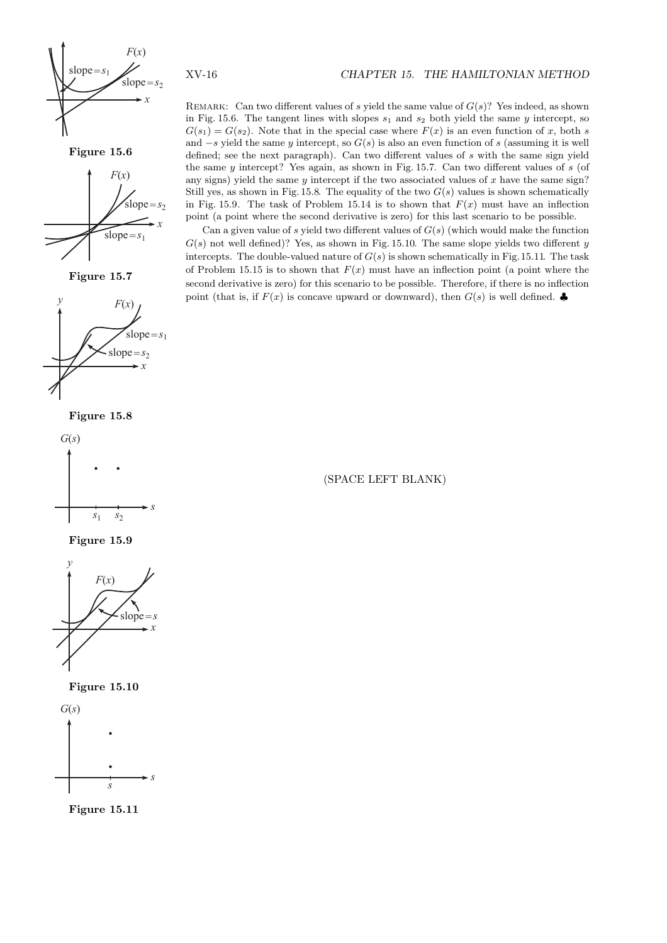

Figure 15.6



Figure 15.7











Figure 15.10



Figure 15.11

REMARK: Can two different values of s yield the same value of  $G(s)$ ? Yes indeed, as shown in Fig. 15.6. The tangent lines with slopes  $s_1$  and  $s_2$  both yield the same y intercept, so  $G(s_1) = G(s_2)$ . Note that in the special case where  $F(x)$  is an even function of x, both s and  $-s$  yield the same y intercept, so  $G(s)$  is also an even function of s (assuming it is well defined; see the next paragraph). Can two different values of  $s$  with the same sign yield the same  $y$  intercept? Yes again, as shown in Fig. 15.7. Can two different values of  $s$  (of any signs) yield the same  $y$  intercept if the two associated values of  $x$  have the same sign? Still yes, as shown in Fig. 15.8. The equality of the two  $G(s)$  values is shown schematically in Fig. 15.9. The task of Problem 15.14 is to shown that  $F(x)$  must have an inflection point (a point where the second derivative is zero) for this last scenario to be possible.

Can a given value of s yield two different values of  $G(s)$  (which would make the function  $G(s)$  not well defined)? Yes, as shown in Fig. 15.10. The same slope yields two different y intercepts. The double-valued nature of  $G(s)$  is shown schematically in Fig.15.11. The task of Problem 15.15 is to shown that  $F(x)$  must have an inflection point (a point where the second derivative is zero) for this scenario to be possible. Therefore, if there is no inflection point (that is, if  $F(x)$  is concave upward or downward), then  $G(s)$  is well defined.

(SPACE LEFT BLANK)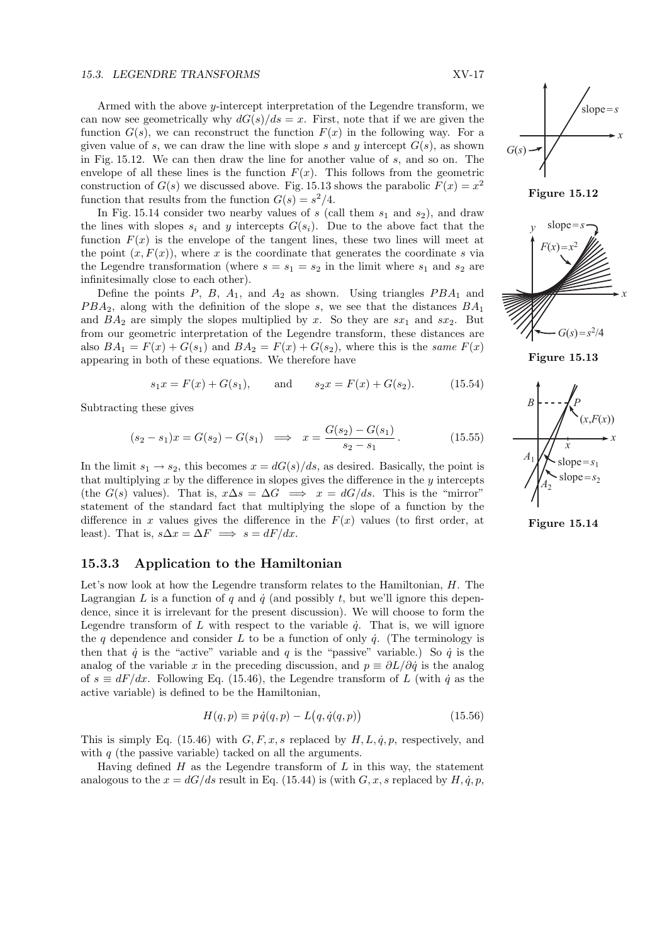#### 15.3. LEGENDRE TRANSFORMS XV-17

Armed with the above  $y$ -intercept interpretation of the Legendre transform, we can now see geometrically why  $dG(s)/ds = x$ . First, note that if we are given the function  $G(s)$ , we can reconstruct the function  $F(x)$  in the following way. For a given value of s, we can draw the line with slope s and y intercept  $G(s)$ , as shown in Fig. 15.12. We can then draw the line for another value of s, and so on. The envelope of all these lines is the function  $F(x)$ . This follows from the geometric construction of  $G(s)$  we discussed above. Fig. 15.13 shows the parabolic  $F(x) = x^2$ function that results from the function  $G(s) = s^2/4$ .

In Fig. 15.14 consider two nearby values of  $s$  (call them  $s_1$  and  $s_2$ ), and draw the lines with slopes  $s_i$  and y intercepts  $G(s_i)$ . Due to the above fact that the function  $F(x)$  is the envelope of the tangent lines, these two lines will meet at the point  $(x, F(x))$ , where x is the coordinate that generates the coordinate s via the Legendre transformation (where  $s = s_1 = s_2$  in the limit where  $s_1$  and  $s_2$  are infinitesimally close to each other).

Define the points  $P$ ,  $B$ ,  $A_1$ , and  $A_2$  as shown. Using triangles  $PBA_1$  and  $PBA_2$ , along with the definition of the slope s, we see that the distances  $BA_1$ and  $BA_2$  are simply the slopes multiplied by x. So they are  $sx_1$  and  $sx_2$ . But from our geometric interpretation of the Legendre transform, these distances are also  $BA_1 = F(x) + G(s_1)$  and  $BA_2 = F(x) + G(s_2)$ , where this is the same  $F(x)$ appearing in both of these equations. We therefore have

$$
s_1x = F(x) + G(s_1)
$$
, and  $s_2x = F(x) + G(s_2)$ . (15.54)

Subtracting these gives

$$
(s_2 - s_1)x = G(s_2) - G(s_1) \implies x = \frac{G(s_2) - G(s_1)}{s_2 - s_1}.
$$
 (15.55)

In the limit  $s_1 \rightarrow s_2$ , this becomes  $x = dG(s)/ds$ , as desired. Basically, the point is that multiplying  $x$  by the difference in slopes gives the difference in the  $y$  intercepts (the  $G(s)$  values). That is,  $x\Delta s = \Delta G \implies x = dG/ds$ . This is the "mirror" statement of the standard fact that multiplying the slope of a function by the difference in x values gives the difference in the  $F(x)$  values (to first order, at least). That is,  $s\Delta x = \Delta F \implies s = dF/dx$ .

# 15.3.3 Application to the Hamiltonian

Let's now look at how the Legendre transform relates to the Hamiltonian,  $H$ . The Lagrangian L is a function of q and  $\dot{q}$  (and possibly t, but we'll ignore this dependence, since it is irrelevant for the present discussion). We will choose to form the Legendre transform of L with respect to the variable  $\dot{q}$ . That is, we will ignore the q dependence and consider L to be a function of only  $\dot{q}$ . (The terminology is then that  $\dot{q}$  is the "active" variable and  $q$  is the "passive" variable.) So  $\dot{q}$  is the analog of the variable x in the preceding discussion, and  $p \equiv \partial L/\partial \dot{q}$  is the analog of  $s \equiv dF/dx$ . Following Eq. (15.46), the Legendre transform of L (with  $\dot{q}$  as the active variable) is defined to be the Hamiltonian,

$$
H(q, p) \equiv p \dot{q}(q, p) - L(q, \dot{q}(q, p)) \tag{15.56}
$$

This is simply Eq. (15.46) with  $G, F, x, s$  replaced by  $H, L, \dot{q}, p$ , respectively, and with  $q$  (the passive variable) tacked on all the arguments.

Having defined  $H$  as the Legendre transform of  $L$  in this way, the statement analogous to the  $x = dG/ds$  result in Eq. (15.44) is (with G, x, s replaced by H,  $\dot{q}$ , p,

*x* slope=*s G*(*s*)





Figure 15.13



Figure 15.14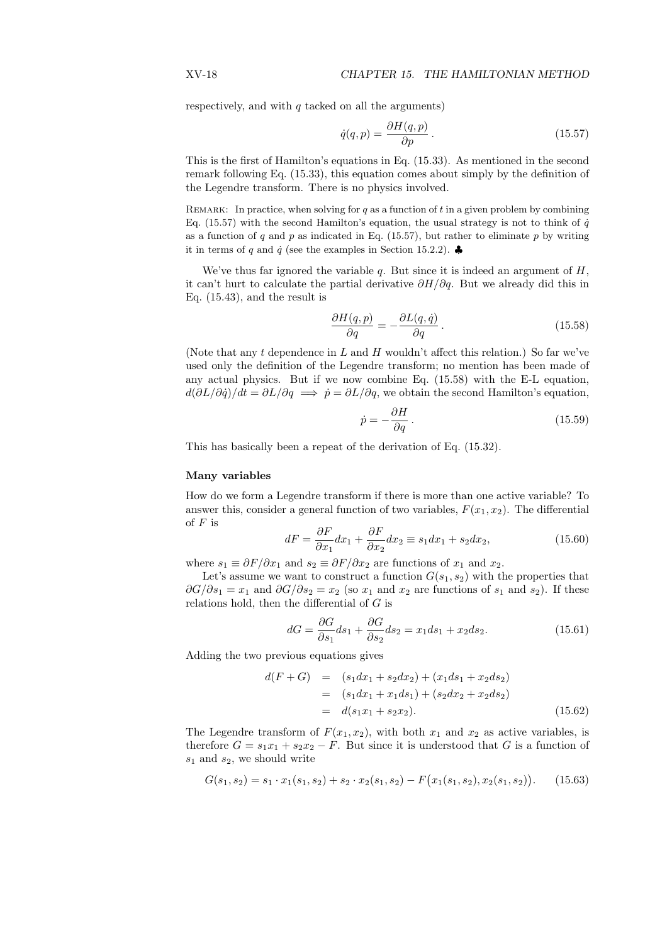respectively, and with  $q$  tacked on all the arguments)

$$
\dot{q}(q, p) = \frac{\partial H(q, p)}{\partial p}.
$$
\n(15.57)

This is the first of Hamilton's equations in Eq. (15.33). As mentioned in the second remark following Eq. (15.33), this equation comes about simply by the definition of the Legendre transform. There is no physics involved.

REMARK: In practice, when solving for q as a function of t in a given problem by combining Eq. (15.57) with the second Hamilton's equation, the usual strategy is not to think of  $\dot{q}$ as a function of q and p as indicated in Eq. (15.57), but rather to eliminate p by writing it in terms of q and  $\dot{q}$  (see the examples in Section 15.2.2).

We've thus far ignored the variable  $q$ . But since it is indeed an argument of  $H$ , it can't hurt to calculate the partial derivative  $\partial H/\partial q$ . But we already did this in Eq. (15.43), and the result is

$$
\frac{\partial H(q,p)}{\partial q} = -\frac{\partial L(q,\dot{q})}{\partial q}.
$$
\n(15.58)

(Note that any t dependence in L and H wouldn't affect this relation.) So far we've used only the definition of the Legendre transform; no mention has been made of any actual physics. But if we now combine Eq. (15.58) with the E-L equation,  $d(\partial L/\partial \dot{q})/dt = \partial L/\partial q \implies \dot{p} = \partial L/\partial q$ , we obtain the second Hamilton's equation,

$$
\dot{p} = -\frac{\partial H}{\partial q} \,. \tag{15.59}
$$

This has basically been a repeat of the derivation of Eq. (15.32).

#### Many variables

How do we form a Legendre transform if there is more than one active variable? To answer this, consider a general function of two variables,  $F(x_1, x_2)$ . The differential of  $F$  is

$$
dF = \frac{\partial F}{\partial x_1} dx_1 + \frac{\partial F}{\partial x_2} dx_2 \equiv s_1 dx_1 + s_2 dx_2, \qquad (15.60)
$$

where  $s_1 \equiv \partial F / \partial x_1$  and  $s_2 \equiv \partial F / \partial x_2$  are functions of  $x_1$  and  $x_2$ .

Let's assume we want to construct a function  $G(s_1, s_2)$  with the properties that  $\partial G/\partial s_1 = x_1$  and  $\partial G/\partial s_2 = x_2$  (so  $x_1$  and  $x_2$  are functions of  $s_1$  and  $s_2$ ). If these relations hold, then the differential of  $G$  is

$$
dG = \frac{\partial G}{\partial s_1} ds_1 + \frac{\partial G}{\partial s_2} ds_2 = x_1 ds_1 + x_2 ds_2.
$$
 (15.61)

Adding the two previous equations gives

$$
d(F+G) = (s_1dx_1 + s_2dx_2) + (x_1ds_1 + x_2ds_2)
$$
  
=  $(s_1dx_1 + x_1ds_1) + (s_2dx_2 + x_2ds_2)$   
=  $d(s_1x_1 + s_2x_2).$  (15.62)

The Legendre transform of  $F(x_1, x_2)$ , with both  $x_1$  and  $x_2$  as active variables, is therefore  $G = s_1x_1 + s_2x_2 - F$ . But since it is understood that G is a function of  $s_1$  and  $s_2$ , we should write

$$
G(s_1, s_2) = s_1 \cdot x_1(s_1, s_2) + s_2 \cdot x_2(s_1, s_2) - F(x_1(s_1, s_2), x_2(s_1, s_2)).
$$
 (15.63)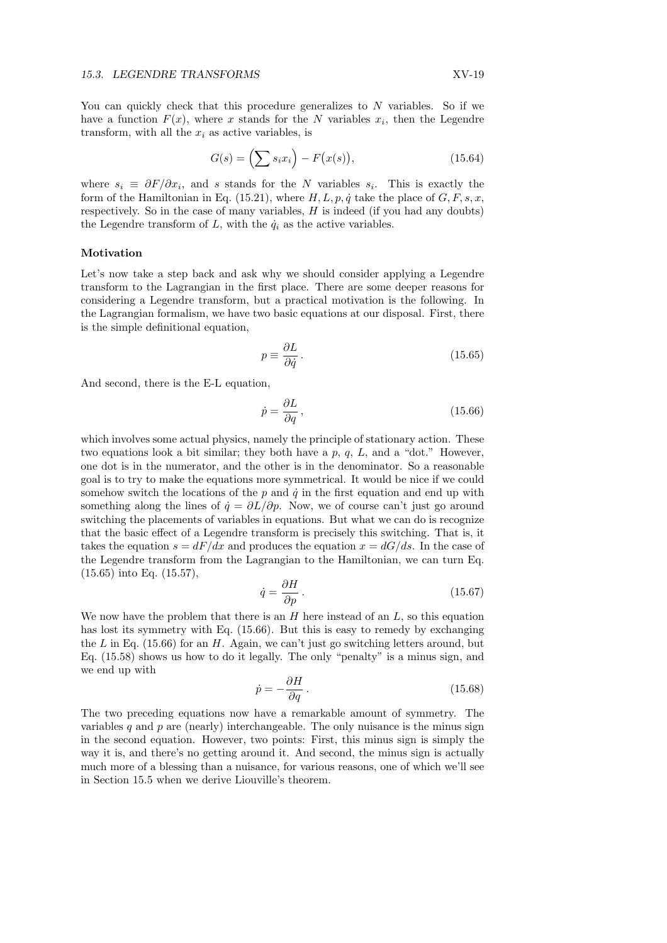You can quickly check that this procedure generalizes to  $N$  variables. So if we have a function  $F(x)$ , where x stands for the N variables  $x_i$ , then the Legendre transform, with all the  $x_i$  as active variables, is

$$
G(s) = \left(\sum s_i x_i\right) - F\big(x(s)\big),\tag{15.64}
$$

where  $s_i \equiv \partial F / \partial x_i$ , and s stands for the N variables  $s_i$ . This is exactly the form of the Hamiltonian in Eq. (15.21), where  $H, L, p, \dot{q}$  take the place of  $G, F, s, x$ , respectively. So in the case of many variables,  $H$  is indeed (if you had any doubts) the Legendre transform of L, with the  $\dot{q}_i$  as the active variables.

#### Motivation

Let's now take a step back and ask why we should consider applying a Legendre transform to the Lagrangian in the first place. There are some deeper reasons for considering a Legendre transform, but a practical motivation is the following. In the Lagrangian formalism, we have two basic equations at our disposal. First, there is the simple definitional equation,

$$
p \equiv \frac{\partial L}{\partial \dot{q}}\,. \tag{15.65}
$$

And second, there is the E-L equation,

$$
\dot{p} = \frac{\partial L}{\partial q},\tag{15.66}
$$

which involves some actual physics, namely the principle of stationary action. These two equations look a bit similar; they both have a  $p, q, L$ , and a "dot." However, one dot is in the numerator, and the other is in the denominator. So a reasonable goal is to try to make the equations more symmetrical. It would be nice if we could somehow switch the locations of the  $p$  and  $\dot{q}$  in the first equation and end up with something along the lines of  $\dot{q} = \partial L/\partial p$ . Now, we of course can't just go around switching the placements of variables in equations. But what we can do is recognize that the basic effect of a Legendre transform is precisely this switching. That is, it takes the equation  $s = dF/dx$  and produces the equation  $x = dG/ds$ . In the case of the Legendre transform from the Lagrangian to the Hamiltonian, we can turn Eq. (15.65) into Eq. (15.57),

$$
q = \frac{\partial H}{\partial p}.
$$
\n(15.67)

We now have the problem that there is an  $H$  here instead of an  $L$ , so this equation has lost its symmetry with Eq. (15.66). But this is easy to remedy by exchanging the L in Eq.  $(15.66)$  for an H. Again, we can't just go switching letters around, but Eq. (15.58) shows us how to do it legally. The only "penalty" is a minus sign, and we end up with

 $\ddot{\epsilon}$ 

$$
\dot{p} = -\frac{\partial H}{\partial q} \,. \tag{15.68}
$$

The two preceding equations now have a remarkable amount of symmetry. The variables q and  $p$  are (nearly) interchangeable. The only nuisance is the minus sign in the second equation. However, two points: First, this minus sign is simply the way it is, and there's no getting around it. And second, the minus sign is actually much more of a blessing than a nuisance, for various reasons, one of which we'll see in Section 15.5 when we derive Liouville's theorem.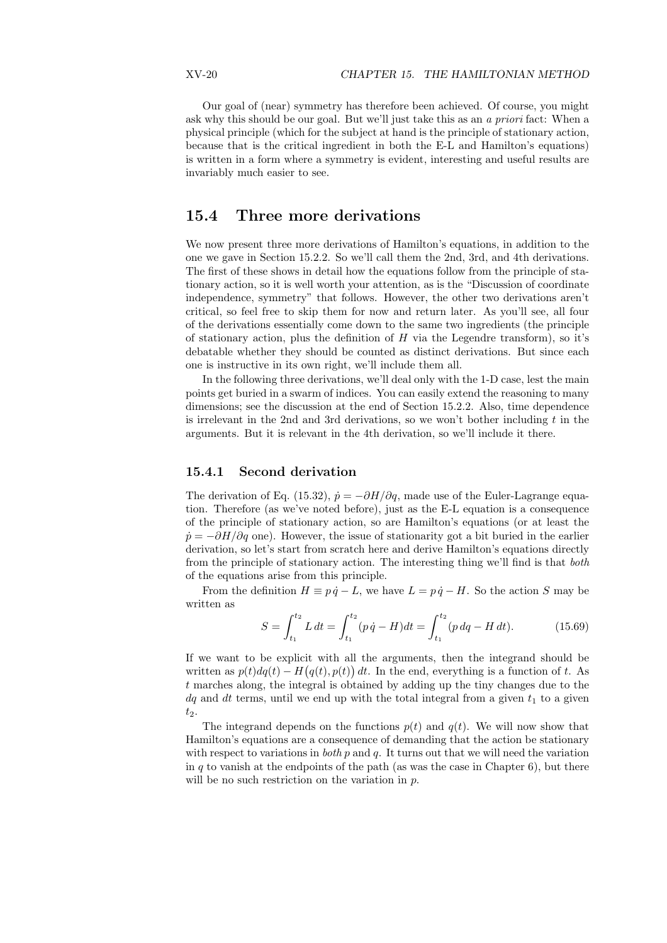Our goal of (near) symmetry has therefore been achieved. Of course, you might ask why this should be our goal. But we'll just take this as an a priori fact: When a physical principle (which for the subject at hand is the principle of stationary action, because that is the critical ingredient in both the E-L and Hamilton's equations) is written in a form where a symmetry is evident, interesting and useful results are invariably much easier to see.

# 15.4 Three more derivations

We now present three more derivations of Hamilton's equations, in addition to the one we gave in Section 15.2.2. So we'll call them the 2nd, 3rd, and 4th derivations. The first of these shows in detail how the equations follow from the principle of stationary action, so it is well worth your attention, as is the "Discussion of coordinate independence, symmetry" that follows. However, the other two derivations aren't critical, so feel free to skip them for now and return later. As you'll see, all four of the derivations essentially come down to the same two ingredients (the principle of stationary action, plus the definition of  $H$  via the Legendre transform), so it's debatable whether they should be counted as distinct derivations. But since each one is instructive in its own right, we'll include them all.

In the following three derivations, we'll deal only with the 1-D case, lest the main points get buried in a swarm of indices. You can easily extend the reasoning to many dimensions; see the discussion at the end of Section 15.2.2. Also, time dependence is irrelevant in the 2nd and 3rd derivations, so we won't bother including  $t$  in the arguments. But it is relevant in the 4th derivation, so we'll include it there.

# 15.4.1 Second derivation

The derivation of Eq. (15.32),  $\dot{p} = -\partial H/\partial q$ , made use of the Euler-Lagrange equation. Therefore (as we've noted before), just as the E-L equation is a consequence of the principle of stationary action, so are Hamilton's equations (or at least the  $\dot{p} = -\partial H/\partial q$  one). However, the issue of stationarity got a bit buried in the earlier derivation, so let's start from scratch here and derive Hamilton's equations directly from the principle of stationary action. The interesting thing we'll find is that both of the equations arise from this principle.

From the definition  $H \equiv p \dot{q} - L$ , we have  $L = p \dot{q} - H$ . So the action S may be written as

$$
S = \int_{t_1}^{t_2} L dt = \int_{t_1}^{t_2} (p \dot{q} - H) dt = \int_{t_1}^{t_2} (p dq - H dt). \tag{15.69}
$$

If we want to be explicit with all the arguments, then the integrand should be written as  $p(t) dq(t) - H(q(t), p(t)) dt$ . In the end, everything is a function of t. As t marches along, the integral is obtained by adding up the tiny changes due to the  $dq$  and dt terms, until we end up with the total integral from a given  $t_1$  to a given  $t_2$ .

The integrand depends on the functions  $p(t)$  and  $q(t)$ . We will now show that Hamilton's equations are a consequence of demanding that the action be stationary with respect to variations in *both*  $p$  and  $q$ . It turns out that we will need the variation in q to vanish at the endpoints of the path (as was the case in Chapter 6), but there will be no such restriction on the variation in p.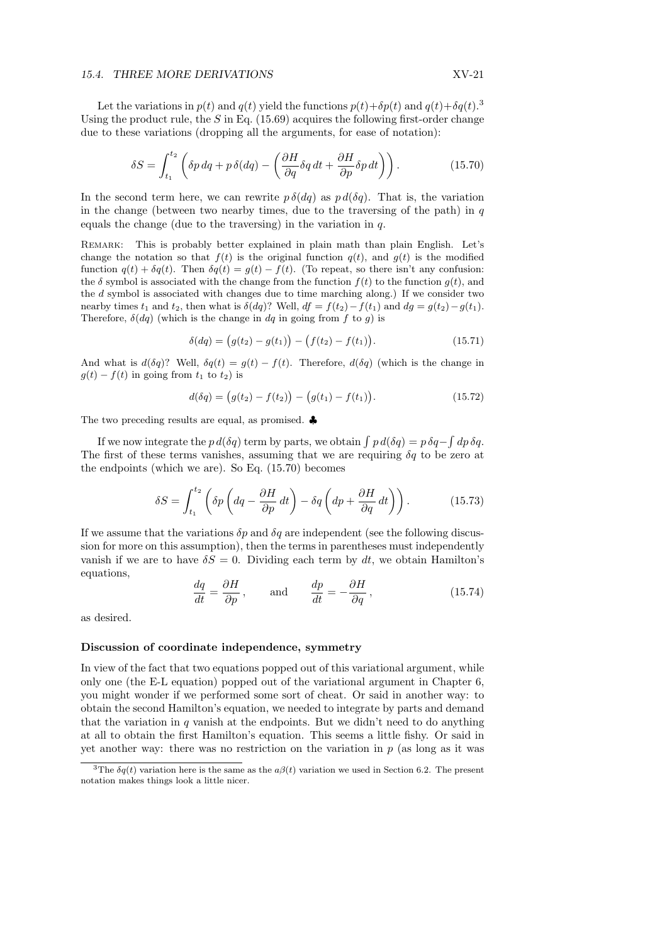#### 15.4. THREE MORE DERIVATIONS XV-21

Let the variations in  $p(t)$  and  $q(t)$  yield the functions  $p(t)+\delta p(t)$  and  $q(t)+\delta q(t).$ <sup>3</sup> Using the product rule, the S in Eq.  $(15.69)$  acquires the following first-order change due to these variations (dropping all the arguments, for ease of notation):

$$
\delta S = \int_{t_1}^{t_2} \left( \delta p \, dq + p \, \delta (dq) - \left( \frac{\partial H}{\partial q} \delta q \, dt + \frac{\partial H}{\partial p} \delta p \, dt \right) \right). \tag{15.70}
$$

In the second term here, we can rewrite  $p \delta(dq)$  as  $p d(\delta q)$ . That is, the variation in the change (between two nearby times, due to the traversing of the path) in  $q$ equals the change (due to the traversing) in the variation in  $q$ .

Remark: This is probably better explained in plain math than plain English. Let's change the notation so that  $f(t)$  is the original function  $q(t)$ , and  $g(t)$  is the modified function  $q(t) + \delta q(t)$ . Then  $\delta q(t) = g(t) - f(t)$ . (To repeat, so there isn't any confusion: the  $\delta$  symbol is associated with the change from the function  $f(t)$  to the function  $q(t)$ , and the d symbol is associated with changes due to time marching along.) If we consider two nearby times  $t_1$  and  $t_2$ , then what is  $\delta(dq)$ ? Well,  $df = f(t_2) - f(t_1)$  and  $dg = g(t_2) - g(t_1)$ . Therefore,  $\delta(dq)$  (which is the change in dq in going from f to g) is

$$
\delta(dq) = (g(t_2) - g(t_1)) - (f(t_2) - f(t_1)).
$$
\n(15.71)

And what is  $d(\delta q)$ ? Well,  $\delta q(t) = g(t) - f(t)$ . Therefore,  $d(\delta q)$  (which is the change in  $g(t) - f(t)$  in going from  $t_1$  to  $t_2$ ) is

$$
d(\delta q) = (g(t_2) - f(t_2)) - (g(t_1) - f(t_1)).
$$
\n(15.72)

The two preceding results are equal, as promised. ♣

If we now integrate the  $p d(\delta q)$  term by parts, we obtain  $\int p d(\delta q) = p \delta q -$ R  $dp \,\delta q.$ The first of these terms vanishes, assuming that we are requiring  $\delta q$  to be zero at the endpoints (which we are). So Eq. (15.70) becomes

$$
\delta S = \int_{t_1}^{t_2} \left( \delta p \left( dq - \frac{\partial H}{\partial p} dt \right) - \delta q \left( dp + \frac{\partial H}{\partial q} dt \right) \right). \tag{15.73}
$$

If we assume that the variations  $\delta p$  and  $\delta q$  are independent (see the following discussion for more on this assumption), then the terms in parentheses must independently vanish if we are to have  $\delta S = 0$ . Dividing each term by dt, we obtain Hamilton's equations,

$$
\frac{dq}{dt} = \frac{\partial H}{\partial p}, \quad \text{and} \quad \frac{dp}{dt} = -\frac{\partial H}{\partial q}, \quad (15.74)
$$

as desired.

#### Discussion of coordinate independence, symmetry

In view of the fact that two equations popped out of this variational argument, while only one (the E-L equation) popped out of the variational argument in Chapter 6, you might wonder if we performed some sort of cheat. Or said in another way: to obtain the second Hamilton's equation, we needed to integrate by parts and demand that the variation in  $q$  vanish at the endpoints. But we didn't need to do anything at all to obtain the first Hamilton's equation. This seems a little fishy. Or said in yet another way: there was no restriction on the variation in  $p$  (as long as it was

<sup>&</sup>lt;sup>3</sup>The  $\delta q(t)$  variation here is the same as the  $a\beta(t)$  variation we used in Section 6.2. The present notation makes things look a little nicer.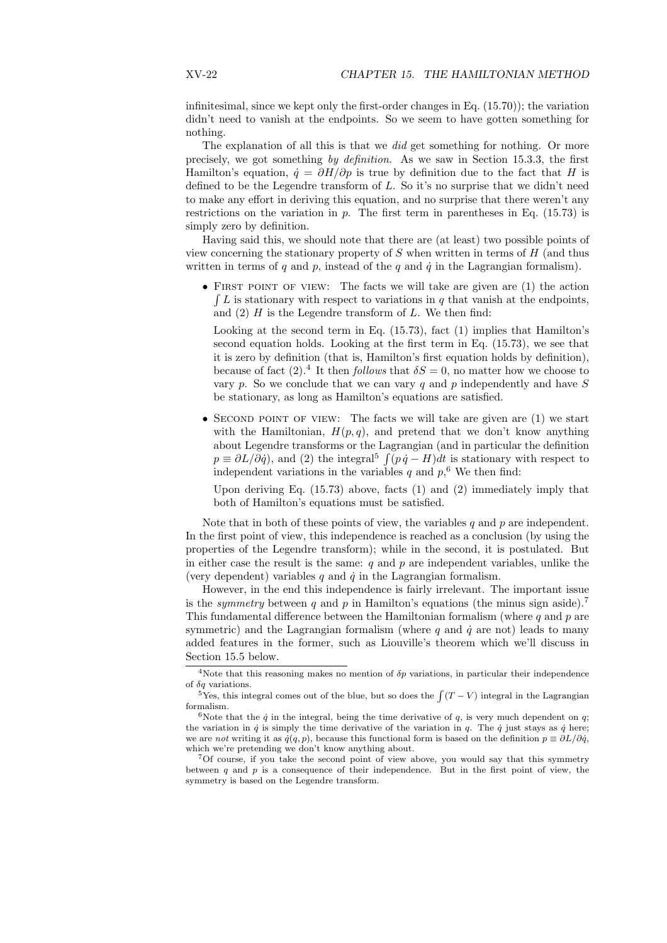infinitesimal, since we kept only the first-order changes in Eq.  $(15.70)$ ; the variation didn't need to vanish at the endpoints. So we seem to have gotten something for nothing.

The explanation of all this is that we *did* get something for nothing. Or more precisely, we got something by definition. As we saw in Section 15.3.3, the first Hamilton's equation,  $\dot{q} = \partial H/\partial p$  is true by definition due to the fact that H is defined to be the Legendre transform of L. So it's no surprise that we didn't need to make any effort in deriving this equation, and no surprise that there weren't any restrictions on the variation in  $p$ . The first term in parentheses in Eq. (15.73) is simply zero by definition.

Having said this, we should note that there are (at least) two possible points of view concerning the stationary property of  $S$  when written in terms of  $H$  (and thus written in terms of q and  $p$ , instead of the q and  $\dot{q}$  in the Lagrangian formalism).

• FIRST POINT OF VIEW: The facts we will take are given are  $(1)$  the action  $\int L$  is stationary with respect to variations in q that vanish at the endpoints, and  $(2)$  H is the Legendre transform of L. We then find:

Looking at the second term in Eq. (15.73), fact (1) implies that Hamilton's second equation holds. Looking at the first term in Eq. (15.73), we see that it is zero by definition (that is, Hamilton's first equation holds by definition), because of fact  $(2)$ .<sup>4</sup> It then *follows* that  $\delta S = 0$ , no matter how we choose to vary  $p$ . So we conclude that we can vary  $q$  and  $p$  independently and have  $S$ be stationary, as long as Hamilton's equations are satisfied.

• SECOND POINT OF VIEW: The facts we will take are given are (1) we start with the Hamiltonian,  $H(p,q)$ , and pretend that we don't know anything about Legendre transforms or the Lagrangian (and in particular the definition R  $p \equiv \partial L/\partial \dot{q}$ , and (2) the integral<sup>5</sup>  $\int (p \dot{q} - H) dt$  is stationary with respect to independent variations in the variables q and  $p<sub>1</sub>$ <sup>6</sup> We then find:

Upon deriving Eq. (15.73) above, facts (1) and (2) immediately imply that both of Hamilton's equations must be satisfied.

Note that in both of these points of view, the variables  $q$  and  $p$  are independent. In the first point of view, this independence is reached as a conclusion (by using the properties of the Legendre transform); while in the second, it is postulated. But in either case the result is the same:  $q$  and  $p$  are independent variables, unlike the (very dependent) variables  $q$  and  $\dot{q}$  in the Lagrangian formalism.

However, in the end this independence is fairly irrelevant. The important issue is the *symmetry* between q and p in Hamilton's equations (the minus sign aside).<sup>7</sup> This fundamental difference between the Hamiltonian formalism (where  $q$  and  $p$  are symmetric) and the Lagrangian formalism (where  $q$  and  $\dot{q}$  are not) leads to many added features in the former, such as Liouville's theorem which we'll discuss in Section 15.5 below.

<sup>&</sup>lt;sup>4</sup>Note that this reasoning makes no mention of  $\delta p$  variations, in particular their independence of  $\delta q$  variations.  $5q$  variations.<br><sup>5</sup>Yes, this integral comes out of the blue, but so does the  $\int (T - V)$  integral in the Lagrangian

formalism.

<sup>&</sup>lt;sup>6</sup>Note that the  $\dot{q}$  in the integral, being the time derivative of q, is very much dependent on q; the variation in  $\dot{q}$  is simply the time derivative of the variation in  $q$ . The  $\dot{q}$  just stays as  $\dot{q}$  here; we are not writing it as  $\dot{q}(q, p)$ , because this functional form is based on the definition  $p \equiv \partial L/\partial \dot{q}$ , which we're pretending we don't know anything about.

<sup>7</sup>Of course, if you take the second point of view above, you would say that this symmetry between  $q$  and  $p$  is a consequence of their independence. But in the first point of view, the symmetry is based on the Legendre transform.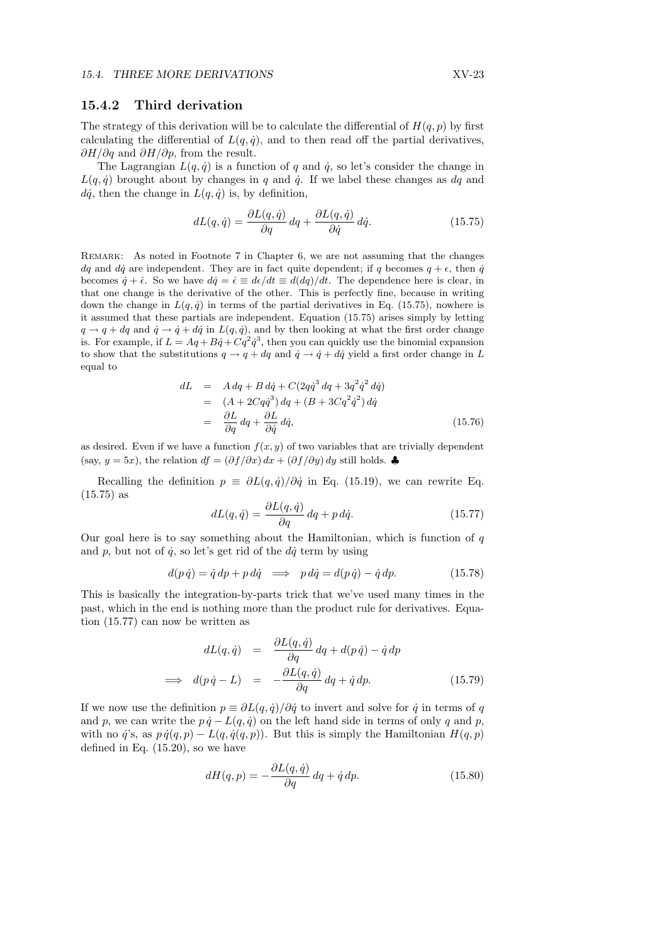### 15.4.2 Third derivation

The strategy of this derivation will be to calculate the differential of  $H(q, p)$  by first calculating the differential of  $L(q, \dot{q})$ , and to then read off the partial derivatives,  $\partial H/\partial q$  and  $\partial H/\partial p$ , from the result.

The Lagrangian  $L(q, \dot{q})$  is a function of q and  $\dot{q}$ , so let's consider the change in  $L(q, \dot{q})$  brought about by changes in q and  $\dot{q}$ . If we label these changes as  $dq$  and  $d\dot{q}$ , then the change in  $L(q, \dot{q})$  is, by definition,

$$
dL(q, \dot{q}) = \frac{\partial L(q, \dot{q})}{\partial q} dq + \frac{\partial L(q, \dot{q})}{\partial \dot{q}} d\dot{q}.
$$
 (15.75)

REMARK: As noted in Footnote 7 in Chapter 6, we are not assuming that the changes dq and dq are independent. They are in fact quite dependent; if q becomes  $q + \epsilon$ , then q becomes  $\dot{q} + \dot{\epsilon}$ . So we have  $d\dot{q} = \dot{\epsilon} \equiv d\epsilon/dt \equiv d(dq)/dt$ . The dependence here is clear, in that one change is the derivative of the other. This is perfectly fine, because in writing down the change in  $L(q, \dot{q})$  in terms of the partial derivatives in Eq. (15.75), nowhere is it assumed that these partials are independent. Equation (15.75) arises simply by letting  $q \rightarrow q + dq$  and  $\dot{q} \rightarrow \dot{q} + d\dot{q}$  in  $L(q, \dot{q})$ , and by then looking at what the first order change is. For example, if  $L = Aq + B\dot{q} + Cq^2\dot{q}^3$ , then you can quickly use the binomial expansion to show that the substitutions  $q \to q + dq$  and  $\dot{q} \to \dot{q} + d\dot{q}$  yield a first order change in L equal to

$$
dL = A dq + B d\dot{q} + C(2q\dot{q}^3 dq + 3q^2 \dot{q}^2 dq)
$$
  
= 
$$
(A + 2Cq\dot{q}^3) dq + (B + 3Cq^2 \dot{q}^2) d\dot{q}
$$
  
= 
$$
\frac{\partial L}{\partial q} dq + \frac{\partial L}{\partial \dot{q}} d\dot{q},
$$
(15.76)

as desired. Even if we have a function  $f(x, y)$  of two variables that are trivially dependent (say,  $y = 5x$ ), the relation  $df = (\partial f / \partial x) dx + (\partial f / \partial y) dy$  still holds. ♣

Recalling the definition  $p \equiv \partial L(q, \dot{q})/\partial \dot{q}$  in Eq. (15.19), we can rewrite Eq. (15.75) as

$$
dL(q, \dot{q}) = \frac{\partial L(q, \dot{q})}{\partial q} dq + p \, d\dot{q}.\tag{15.77}
$$

Our goal here is to say something about the Hamiltonian, which is function of  $q$ and p, but not of  $\dot{q}$ , so let's get rid of the  $d\dot{q}$  term by using

$$
d(p \dot{q}) = \dot{q} dp + p \, d\dot{q} \implies p \, d\dot{q} = d(p \, \dot{q}) - \dot{q} \, dp. \tag{15.78}
$$

This is basically the integration-by-parts trick that we've used many times in the past, which in the end is nothing more than the product rule for derivatives. Equation (15.77) can now be written as

$$
dL(q, \dot{q}) = \frac{\partial L(q, \dot{q})}{\partial q} dq + d(p \dot{q}) - \dot{q} dp
$$
  
\n
$$
\implies d(p \dot{q} - L) = -\frac{\partial L(q, \dot{q})}{\partial q} dq + \dot{q} dp.
$$
 (15.79)

If we now use the definition  $p \equiv \partial L(q, \dot{q})/\partial \dot{q}$  to invert and solve for  $\dot{q}$  in terms of q and p, we can write the  $p \dot{q} - L(q, \dot{q})$  on the left hand side in terms of only q and p, with no  $\ddot{q}$ 's, as  $p\dot{q}(q, p) - L(q, \dot{q}(q, p))$ . But this is simply the Hamiltonian  $H(q, p)$ defined in Eq. (15.20), so we have

$$
dH(q,p) = -\frac{\partial L(q,\dot{q})}{\partial q} dq + \dot{q} dp.
$$
\n(15.80)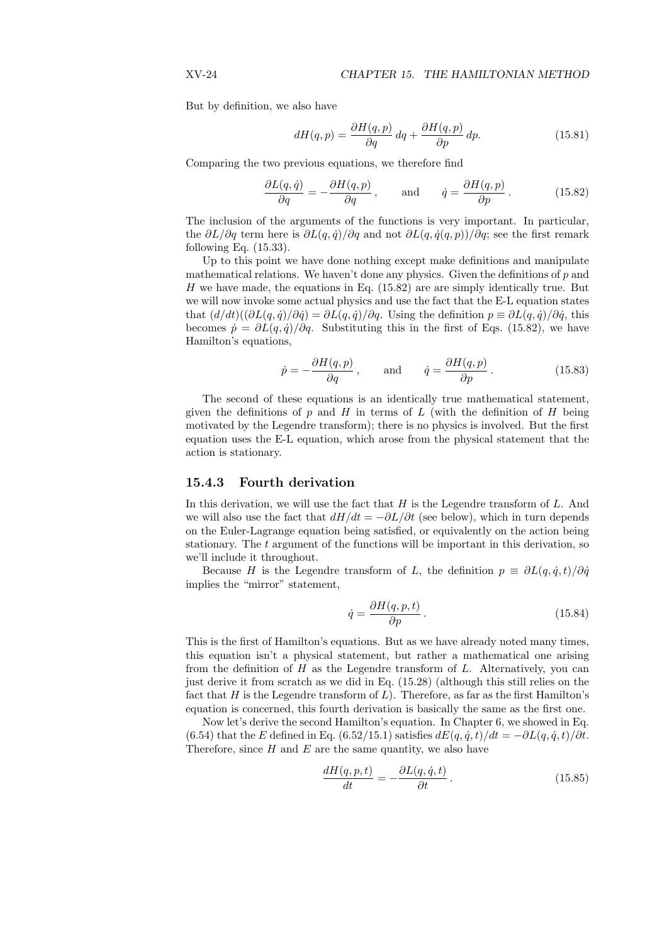But by definition, we also have

$$
dH(q,p) = \frac{\partial H(q,p)}{\partial q} dq + \frac{\partial H(q,p)}{\partial p} dp.
$$
 (15.81)

Comparing the two previous equations, we therefore find

$$
\frac{\partial L(q,\dot{q})}{\partial q} = -\frac{\partial H(q,p)}{\partial q}, \quad \text{and} \quad \dot{q} = \frac{\partial H(q,p)}{\partial p}.
$$
 (15.82)

The inclusion of the arguments of the functions is very important. In particular, the  $\partial L/\partial q$  term here is  $\partial L(q, \dot{q})/\partial q$  and not  $\partial L(q, \dot{q}(q, p))/\partial q$ ; see the first remark following Eq.  $(15.33)$ .

Up to this point we have done nothing except make definitions and manipulate mathematical relations. We haven't done any physics. Given the definitions of  $p$  and  $H$  we have made, the equations in Eq. (15.82) are are simply identically true. But we will now invoke some actual physics and use the fact that the E-L equation states that  $(d/dt)((\partial L(q, \dot{q})/\partial \dot{q}) = \partial L(q, \dot{q})/\partial q$ . Using the definition  $p \equiv \partial L(q, \dot{q})/\partial \dot{q}$ , this becomes  $\dot{p} = \partial L(q, \dot{q})/\partial q$ . Substituting this in the first of Eqs. (15.82), we have Hamilton's equations,

$$
\dot{p} = -\frac{\partial H(q, p)}{\partial q}, \quad \text{and} \quad \dot{q} = \frac{\partial H(q, p)}{\partial p}.
$$
 (15.83)

The second of these equations is an identically true mathematical statement, given the definitions of p and H in terms of L (with the definition of H being motivated by the Legendre transform); there is no physics is involved. But the first equation uses the E-L equation, which arose from the physical statement that the action is stationary.

## 15.4.3 Fourth derivation

In this derivation, we will use the fact that  $H$  is the Legendre transform of  $L$ . And we will also use the fact that  $dH/dt = -\partial L/\partial t$  (see below), which in turn depends on the Euler-Lagrange equation being satisfied, or equivalently on the action being stationary. The  $t$  argument of the functions will be important in this derivation, so we'll include it throughout.

Because H is the Legendre transform of L, the definition  $p \equiv \partial L(q, \dot{q}, t)/\partial \dot{q}$ implies the "mirror" statement,

$$
\dot{q} = \frac{\partial H(q, p, t)}{\partial p}.
$$
\n(15.84)

This is the first of Hamilton's equations. But as we have already noted many times, this equation isn't a physical statement, but rather a mathematical one arising from the definition of  $H$  as the Legendre transform of  $L$ . Alternatively, you can just derive it from scratch as we did in Eq. (15.28) (although this still relies on the fact that  $H$  is the Legendre transform of  $L$ ). Therefore, as far as the first Hamilton's equation is concerned, this fourth derivation is basically the same as the first one.

Now let's derive the second Hamilton's equation. In Chapter 6, we showed in Eq. (6.54) that the E defined in Eq. (6.52/15.1) satisfies  $dE(q, \dot{q}, t)/dt = -\partial L(q, \dot{q}, t)/\partial t$ . Therefore, since  $H$  and  $E$  are the same quantity, we also have

$$
\frac{dH(q, p, t)}{dt} = -\frac{\partial L(q, \dot{q}, t)}{\partial t}.
$$
\n(15.85)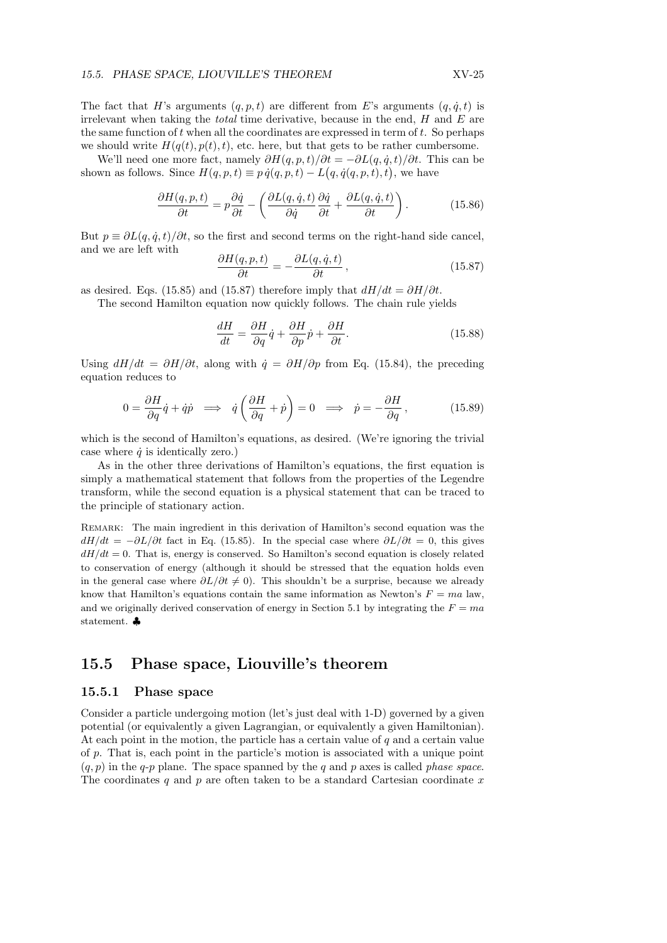The fact that H's arguments  $(q, p, t)$  are different from E's arguments  $(q, \dot{q}, t)$  is irrelevant when taking the *total* time derivative, because in the end,  $H$  and  $E$  are the same function of  $t$  when all the coordinates are expressed in term of  $t$ . So perhaps we should write  $H(q(t), p(t), t)$ , etc. here, but that gets to be rather cumbersome.

We'll need one more fact, namely  $\partial H(q, p, t) / \partial t = -\partial L(q, \dot{q}, t) / \partial t$ . This can be we if head one more fact, namely  $\partial H(q, p, t)/\partial t = -\partial L(q, q, t)/\partial t$ . If shown as follows. Since  $H(q, p, t) \equiv p \dot{q}(q, p, t) - L(q, \dot{q}(q, p, t), t)$ , we have

$$
\frac{\partial H(q, p, t)}{\partial t} = p \frac{\partial \dot{q}}{\partial t} - \left( \frac{\partial L(q, \dot{q}, t)}{\partial \dot{q}} \frac{\partial \dot{q}}{\partial t} + \frac{\partial L(q, \dot{q}, t)}{\partial t} \right). \tag{15.86}
$$

But  $p \equiv \partial L(q, \dot{q}, t) / \partial t$ , so the first and second terms on the right-hand side cancel, and we are left with

$$
\frac{\partial H(q, p, t)}{\partial t} = -\frac{\partial L(q, \dot{q}, t)}{\partial t},\qquad(15.87)
$$

as desired. Eqs. (15.85) and (15.87) therefore imply that  $dH/dt = \partial H/\partial t$ .

The second Hamilton equation now quickly follows. The chain rule yields

$$
\frac{dH}{dt} = \frac{\partial H}{\partial q}\dot{q} + \frac{\partial H}{\partial p}\dot{p} + \frac{\partial H}{\partial t}.
$$
\n(15.88)

Using  $dH/dt = \partial H/\partial t$ , along with  $\dot{q} = \partial H/\partial p$  from Eq. (15.84), the preceding equation reduces to

$$
0 = \frac{\partial H}{\partial q}\dot{q} + \dot{q}\dot{p} \implies \dot{q}\left(\frac{\partial H}{\partial q} + \dot{p}\right) = 0 \implies \dot{p} = -\frac{\partial H}{\partial q},\tag{15.89}
$$

which is the second of Hamilton's equations, as desired. (We're ignoring the trivial case where  $\dot{q}$  is identically zero.)

As in the other three derivations of Hamilton's equations, the first equation is simply a mathematical statement that follows from the properties of the Legendre transform, while the second equation is a physical statement that can be traced to the principle of stationary action.

Remark: The main ingredient in this derivation of Hamilton's second equation was the  $dH/dt = -\partial L/\partial t$  fact in Eq. (15.85). In the special case where  $\partial L/\partial t = 0$ , this gives  $dH/dt = 0$ . That is, energy is conserved. So Hamilton's second equation is closely related to conservation of energy (although it should be stressed that the equation holds even in the general case where  $\partial L/\partial t \neq 0$ ). This shouldn't be a surprise, because we already know that Hamilton's equations contain the same information as Newton's  $F = ma$  law, and we originally derived conservation of energy in Section 5.1 by integrating the  $F = ma$ statement. ♣

# 15.5 Phase space, Liouville's theorem

# 15.5.1 Phase space

Consider a particle undergoing motion (let's just deal with 1-D) governed by a given potential (or equivalently a given Lagrangian, or equivalently a given Hamiltonian). At each point in the motion, the particle has a certain value of  $q$  and a certain value of p. That is, each point in the particle's motion is associated with a unique point  $(q, p)$  in the q-p plane. The space spanned by the q and p axes is called phase space. The coordinates q and p are often taken to be a standard Cartesian coordinate  $x$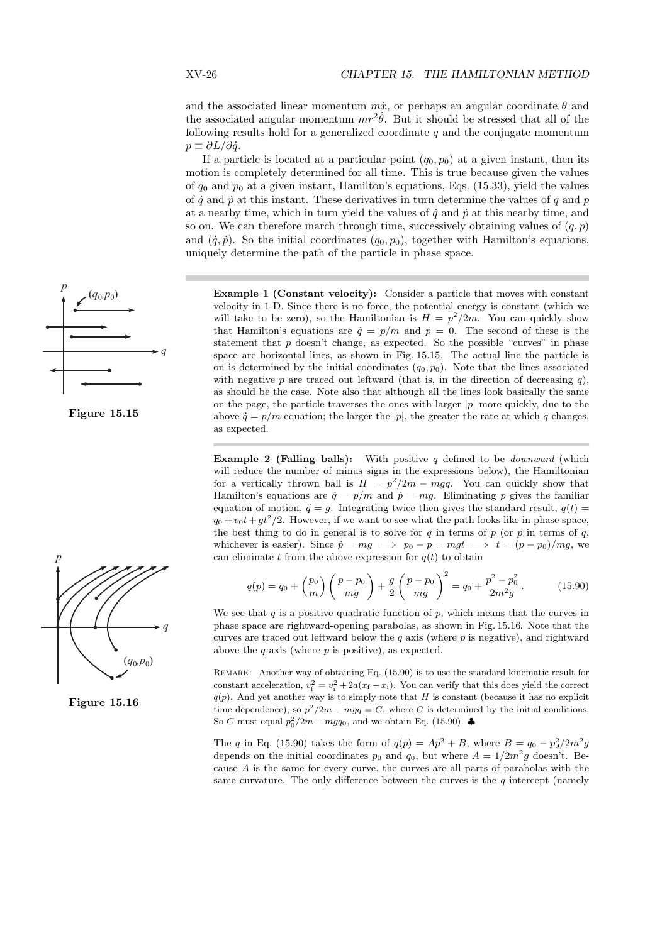and the associated linear momentum  $m\dot{x}$ , or perhaps an angular coordinate  $\theta$  and the associated angular momentum  $mr^2\dot{\theta}$ . But it should be stressed that all of the following results hold for a generalized coordinate  $q$  and the conjugate momentum  $p \equiv \partial L / \partial \dot{q}$ .

If a particle is located at a particular point  $(q_0, p_0)$  at a given instant, then its motion is completely determined for all time. This is true because given the values of  $q_0$  and  $p_0$  at a given instant, Hamilton's equations, Eqs. (15.33), yield the values of  $\dot{q}$  and  $\dot{p}$  at this instant. These derivatives in turn determine the values of q and p at a nearby time, which in turn yield the values of  $\dot{q}$  and  $\dot{p}$  at this nearby time, and so on. We can therefore march through time, successively obtaining values of  $(q, p)$ and  $(\dot{q}, \dot{p})$ . So the initial coordinates  $(q_0, p_0)$ , together with Hamilton's equations, uniquely determine the path of the particle in phase space.

Example 1 (Constant velocity): Consider a particle that moves with constant velocity in 1-D. Since there is no force, the potential energy is constant (which we will take to be zero), so the Hamiltonian is  $H = p^2/2m$ . You can quickly show that Hamilton's equations are  $\dot{q} = p/m$  and  $\dot{p} = 0$ . The second of these is the statement that  $p$  doesn't change, as expected. So the possible "curves" in phase space are horizontal lines, as shown in Fig. 15.15. The actual line the particle is on is determined by the initial coordinates  $(q_0, p_0)$ . Note that the lines associated with negative p are traced out leftward (that is, in the direction of decreasing  $q$ ), as should be the case. Note also that although all the lines look basically the same on the page, the particle traverses the ones with larger  $|p|$  more quickly, due to the above  $\dot{q} = p/m$  equation; the larger the |p|, the greater the rate at which q changes, as expected.

**Example 2 (Falling balls):** With positive q defined to be *downward* (which will reduce the number of minus signs in the expressions below), the Hamiltonian for a vertically thrown ball is  $H = p^2/2m - mgq$ . You can quickly show that Hamilton's equations are  $\dot{q} = p/m$  and  $\dot{p} = mg$ . Eliminating p gives the familiar equation of motion,  $\ddot{q} = g$ . Integrating twice then gives the standard result,  $q(t) =$  $q_0 + v_0 t + gt^2/2$ . However, if we want to see what the path looks like in phase space, the best thing to do in general is to solve for  $q$  in terms of  $p$  (or  $p$  in terms of  $q$ , whichever is easier). Since  $\dot{p} = mg \implies p_0 - p = mgt \implies t = (p - p_0)/mg$ , we can eliminate t from the above expression for  $q(t)$  to obtain

$$
q(p) = q_0 + \left(\frac{p_0}{m}\right)\left(\frac{p - p_0}{mg}\right) + \frac{g}{2}\left(\frac{p - p_0}{mg}\right)^2 = q_0 + \frac{p^2 - p_0^2}{2m^2g}.
$$
 (15.90)

We see that q is a positive quadratic function of p, which means that the curves in phase space are rightward-opening parabolas, as shown in Fig. 15.16. Note that the curves are traced out leftward below the  $q$  axis (where  $p$  is negative), and rightward above the  $q$  axis (where  $p$  is positive), as expected.

Remark: Another way of obtaining Eq. (15.90) is to use the standard kinematic result for constant acceleration,  $v_f^2 = v_i^2 + 2a(x_f - x_i)$ . You can verify that this does yield the correct  $q(p)$ . And yet another way is to simply note that H is constant (because it has no explicit time dependence), so  $p^2/2m - mgq = C$ , where C is determined by the initial conditions. So C must equal  $p_0^2/2m - mgq_0$ , and we obtain Eq. (15.90).

The q in Eq. (15.90) takes the form of  $q(p) = Ap^2 + B$ , where  $B = q_0 - p_0^2/2m^2g$ depends on the initial coordinates  $p_0$  and  $q_0$ , but where  $A = 1/2m^2g$  doesn't. Because A is the same for every curve, the curves are all parts of parabolas with the same curvature. The only difference between the curves is the  $q$  intercept (namely







Figure 15.16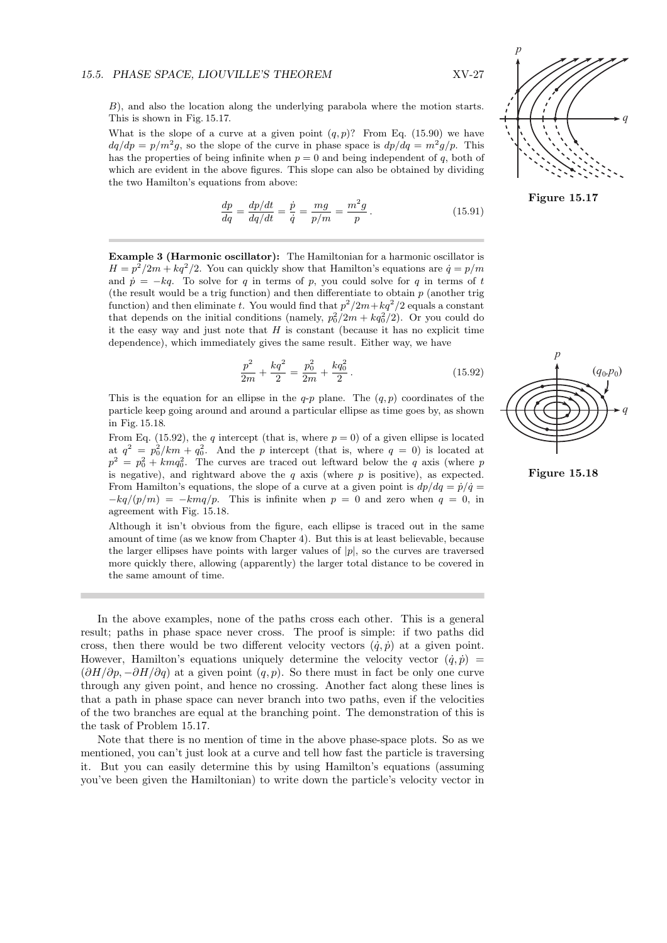B), and also the location along the underlying parabola where the motion starts. This is shown in Fig. 15.17.

What is the slope of a curve at a given point  $(q, p)$ ? From Eq. (15.90) we have  $dq/dp = p/m^2g$ , so the slope of the curve in phase space is  $dp/dq = m^2g/p$ . This has the properties of being infinite when  $p = 0$  and being independent of q, both of which are evident in the above figures. This slope can also be obtained by dividing the two Hamilton's equations from above:

$$
\frac{dp}{dq} = \frac{dp/dt}{dq/dt} = \frac{\dot{p}}{\dot{q}} = \frac{mg}{p/m} = \frac{m^2g}{p}.
$$
\n(15.91)

Example 3 (Harmonic oscillator): The Hamiltonian for a harmonic oscillator is  $H = p^2/2m + kq^2/2$ . You can quickly show that Hamilton's equations are  $\dot{q} = p/m$ and  $\dot{p} = -kq$ . To solve for q in terms of p, you could solve for q in terms of t (the result would be a trig function) and then differentiate to obtain  $p$  (another trig function) and then eliminate t. You would find that  $p^2/2m+kq^2/2$  equals a constant that depends on the initial conditions (namely,  $p_0^2/2m + kq_0^2/2$ ). Or you could do it the easy way and just note that  $H$  is constant (because it has no explicit time dependence), which immediately gives the same result. Either way, we have

$$
\frac{p^2}{2m} + \frac{kq^2}{2} = \frac{p_0^2}{2m} + \frac{kq_0^2}{2}.
$$
 (15.92)

This is the equation for an ellipse in the  $q$ -p plane. The  $(q, p)$  coordinates of the particle keep going around and around a particular ellipse as time goes by, as shown in Fig. 15.18.

From Eq. (15.92), the q intercept (that is, where  $p = 0$ ) of a given ellipse is located at  $q^2 = p_0^2/km + q_0^2$ . And the p intercept (that is, where  $q = 0$ ) is located at  $p^2 = p_0^2 + kmq_0^2$ . The curves are traced out leftward below the q axis (where p is negative), and rightward above the q axis (where  $p$  is positive), as expected. From Hamilton's equations, the slope of a curve at a given point is  $dp/dq = \dot{p}/\dot{q} =$  $-kq/(p/m) = -kmq/p$ . This is infinite when  $p = 0$  and zero when  $q = 0$ , in agreement with Fig. 15.18.

Although it isn't obvious from the figure, each ellipse is traced out in the same amount of time (as we know from Chapter 4). But this is at least believable, because the larger ellipses have points with larger values of  $|p|$ , so the curves are traversed more quickly there, allowing (apparently) the larger total distance to be covered in the same amount of time.

In the above examples, none of the paths cross each other. This is a general result; paths in phase space never cross. The proof is simple: if two paths did cross, then there would be two different velocity vectors  $(\dot{q}, \dot{p})$  at a given point. However, Hamilton's equations uniquely determine the velocity vector  $(\dot{q}, \dot{p})$  =  $(\partial H/\partial p, -\partial H/\partial q)$  at a given point  $(q, p)$ . So there must in fact be only one curve through any given point, and hence no crossing. Another fact along these lines is that a path in phase space can never branch into two paths, even if the velocities of the two branches are equal at the branching point. The demonstration of this is the task of Problem 15.17.

Note that there is no mention of time in the above phase-space plots. So as we mentioned, you can't just look at a curve and tell how fast the particle is traversing it. But you can easily determine this by using Hamilton's equations (assuming you've been given the Hamiltonian) to write down the particle's velocity vector in



Figure 15.17



Figure 15.18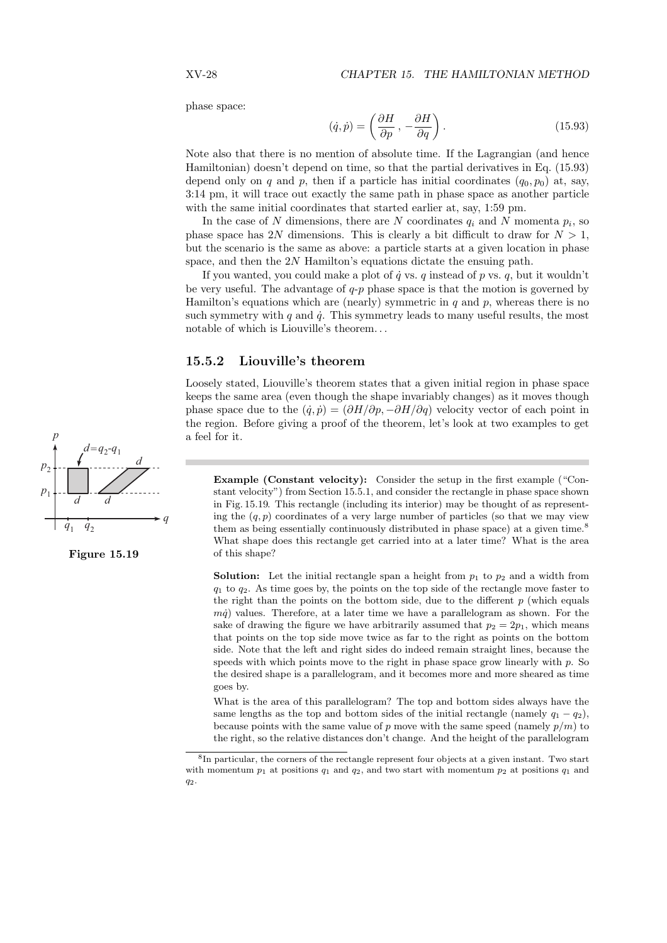phase space:

$$
(\dot{q}, \dot{p}) = \left(\frac{\partial H}{\partial p}, -\frac{\partial H}{\partial q}\right). \tag{15.93}
$$

Note also that there is no mention of absolute time. If the Lagrangian (and hence Hamiltonian) doesn't depend on time, so that the partial derivatives in Eq. (15.93) depend only on q and p, then if a particle has initial coordinates  $(q_0, p_0)$  at, say, 3:14 pm, it will trace out exactly the same path in phase space as another particle with the same initial coordinates that started earlier at, say, 1:59 pm.

In the case of N dimensions, there are N coordinates  $q_i$  and N momenta  $p_i$ , so phase space has 2N dimensions. This is clearly a bit difficult to draw for  $N > 1$ , but the scenario is the same as above: a particle starts at a given location in phase space, and then the  $2N$  Hamilton's equations dictate the ensuing path.

If you wanted, you could make a plot of  $\dot{q}$  vs. q instead of p vs. q, but it wouldn't be very useful. The advantage of  $q-p$  phase space is that the motion is governed by Hamilton's equations which are (nearly) symmetric in  $q$  and  $p$ , whereas there is no such symmetry with q and  $\dot{q}$ . This symmetry leads to many useful results, the most notable of which is Liouville's theorem. . .

# 15.5.2 Liouville's theorem

Loosely stated, Liouville's theorem states that a given initial region in phase space keeps the same area (even though the shape invariably changes) as it moves though phase space due to the  $(\dot{q}, \dot{p}) = (\partial H/\partial p, -\partial H/\partial q)$  velocity vector of each point in the region. Before giving a proof of the theorem, let's look at two examples to get a feel for it.

Example (Constant velocity): Consider the setup in the first example ("Constant velocity") from Section 15.5.1, and consider the rectangle in phase space shown in Fig. 15.19. This rectangle (including its interior) may be thought of as representing the  $(q, p)$  coordinates of a very large number of particles (so that we may view them as being essentially continuously distributed in phase space) at a given time.<sup>8</sup> What shape does this rectangle get carried into at a later time? What is the area of this shape?

**Solution:** Let the initial rectangle span a height from  $p_1$  to  $p_2$  and a width from  $q_1$  to  $q_2$ . As time goes by, the points on the top side of the rectangle move faster to the right than the points on the bottom side, due to the different  $p$  (which equals  $m\dot{q}$ ) values. Therefore, at a later time we have a parallelogram as shown. For the sake of drawing the figure we have arbitrarily assumed that  $p_2 = 2p_1$ , which means that points on the top side move twice as far to the right as points on the bottom side. Note that the left and right sides do indeed remain straight lines, because the speeds with which points move to the right in phase space grow linearly with  $p$ . So the desired shape is a parallelogram, and it becomes more and more sheared as time goes by.

What is the area of this parallelogram? The top and bottom sides always have the same lengths as the top and bottom sides of the initial rectangle (namely  $q_1 - q_2$ ), because points with the same value of p move with the same speed (namely  $p/m$ ) to the right, so the relative distances don't change. And the height of the parallelogram





<sup>8</sup> In particular, the corners of the rectangle represent four objects at a given instant. Two start with momentum  $p_1$  at positions  $q_1$  and  $q_2$ , and two start with momentum  $p_2$  at positions  $q_1$  and q2.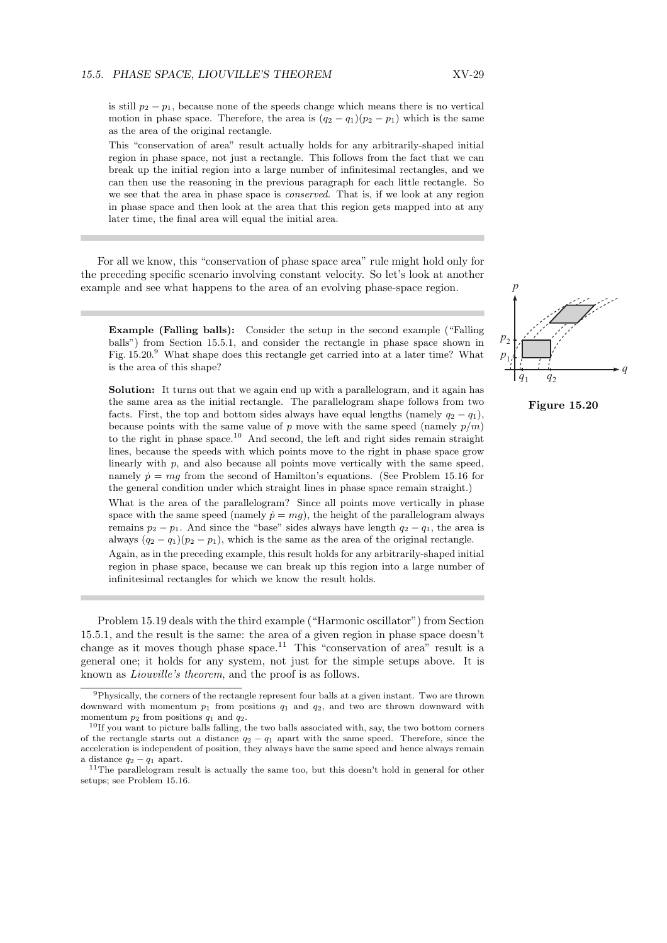is still  $p_2 - p_1$ , because none of the speeds change which means there is no vertical motion in phase space. Therefore, the area is  $(q_2 - q_1)(p_2 - p_1)$  which is the same as the area of the original rectangle.

This "conservation of area" result actually holds for any arbitrarily-shaped initial region in phase space, not just a rectangle. This follows from the fact that we can break up the initial region into a large number of infinitesimal rectangles, and we can then use the reasoning in the previous paragraph for each little rectangle. So we see that the area in phase space is *conserved*. That is, if we look at any region in phase space and then look at the area that this region gets mapped into at any later time, the final area will equal the initial area.

For all we know, this "conservation of phase space area" rule might hold only for the preceding specific scenario involving constant velocity. So let's look at another example and see what happens to the area of an evolving phase-space region.

Example (Falling balls): Consider the setup in the second example ("Falling balls") from Section 15.5.1, and consider the rectangle in phase space shown in Fig. 15.20.<sup>9</sup> What shape does this rectangle get carried into at a later time? What is the area of this shape?

Solution: It turns out that we again end up with a parallelogram, and it again has the same area as the initial rectangle. The parallelogram shape follows from two facts. First, the top and bottom sides always have equal lengths (namely  $q_2 - q_1$ ), because points with the same value of p move with the same speed (namely  $p/m$ ) to the right in phase space.<sup>10</sup> And second, the left and right sides remain straight lines, because the speeds with which points move to the right in phase space grow linearly with  $p$ , and also because all points move vertically with the same speed, namely  $\dot{p} = mg$  from the second of Hamilton's equations. (See Problem 15.16 for the general condition under which straight lines in phase space remain straight.)

What is the area of the parallelogram? Since all points move vertically in phase space with the same speed (namely  $\dot{p} = mq$ ), the height of the parallelogram always remains  $p_2 - p_1$ . And since the "base" sides always have length  $q_2 - q_1$ , the area is always  $(q_2 - q_1)(p_2 - p_1)$ , which is the same as the area of the original rectangle.

Again, as in the preceding example, this result holds for any arbitrarily-shaped initial region in phase space, because we can break up this region into a large number of infinitesimal rectangles for which we know the result holds.

Problem 15.19 deals with the third example ("Harmonic oscillator") from Section 15.5.1, and the result is the same: the area of a given region in phase space doesn't change as it moves though phase space.<sup>11</sup> This "conservation of area" result is a general one; it holds for any system, not just for the simple setups above. It is known as Liouville's theorem, and the proof is as follows.





<sup>9</sup>Physically, the corners of the rectangle represent four balls at a given instant. Two are thrown downward with momentum  $p_1$  from positions  $q_1$  and  $q_2$ , and two are thrown downward with momentum  $p_2$  from positions  $q_1$  and  $q_2$ .

<sup>&</sup>lt;sup>10</sup>If you want to picture balls falling, the two balls associated with, say, the two bottom corners of the rectangle starts out a distance  $q_2 - q_1$  apart with the same speed. Therefore, since the acceleration is independent of position, they always have the same speed and hence always remain a distance  $q_2 - q_1$  apart.

<sup>&</sup>lt;sup>11</sup>The parallelogram result is actually the same too, but this doesn't hold in general for other setups; see Problem 15.16.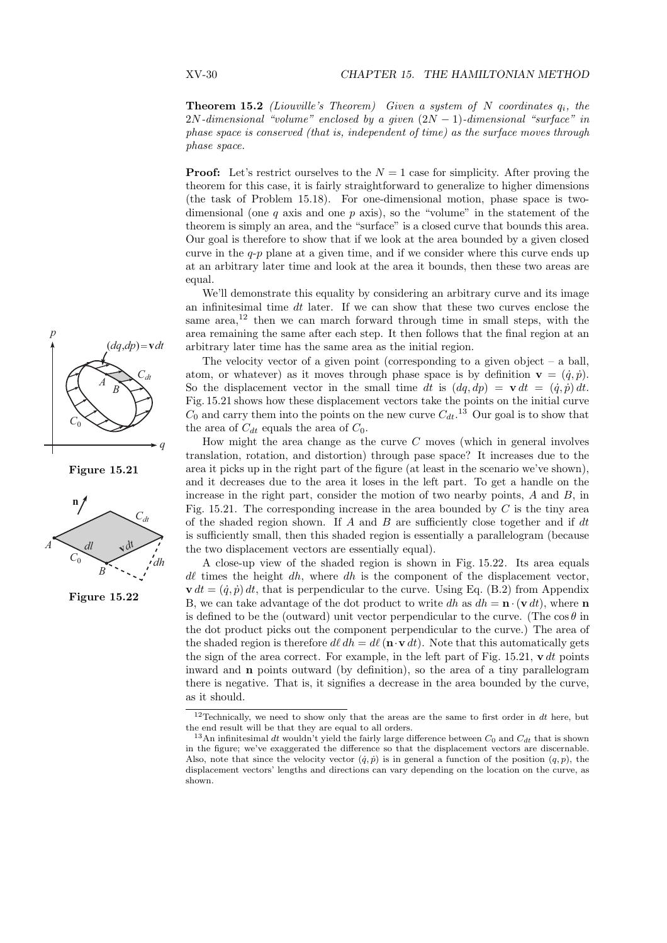**Theorem 15.2** (Liouville's Theorem) Given a system of N coordinates  $q_i$ , the  $2N$ -dimensional "volume" enclosed by a given  $(2N - 1)$ -dimensional "surface" in phase space is conserved (that is, independent of time) as the surface moves through phase space.

**Proof:** Let's restrict ourselves to the  $N = 1$  case for simplicity. After proving the theorem for this case, it is fairly straightforward to generalize to higher dimensions (the task of Problem 15.18). For one-dimensional motion, phase space is twodimensional (one  $q$  axis and one  $p$  axis), so the "volume" in the statement of the theorem is simply an area, and the "surface" is a closed curve that bounds this area. Our goal is therefore to show that if we look at the area bounded by a given closed curve in the  $q-p$  plane at a given time, and if we consider where this curve ends up at an arbitrary later time and look at the area it bounds, then these two areas are equal.

We'll demonstrate this equality by considering an arbitrary curve and its image an infinitesimal time  $dt$  later. If we can show that these two curves enclose the same area, $12$  then we can march forward through time in small steps, with the area remaining the same after each step. It then follows that the final region at an arbitrary later time has the same area as the initial region.

The velocity vector of a given point (corresponding to a given object  $-$  a ball, atom, or whatever) as it moves through phase space is by definition  $\mathbf{v} = (\dot{q}, \dot{p}).$ So the displacement vector in the small time dt is  $(dq, dp) = \mathbf{v} dt = (\dot{q}, \dot{p}) dt$ . Fig. 15.21 shows how these displacement vectors take the points on the initial curve  $C_0$  and carry them into the points on the new curve  $C_{dt}$ .<sup>13</sup> Our goal is to show that the area of  $C_{dt}$  equals the area of  $C_0$ .

How might the area change as the curve C moves (which in general involves translation, rotation, and distortion) through pase space? It increases due to the area it picks up in the right part of the figure (at least in the scenario we've shown), and it decreases due to the area it loses in the left part. To get a handle on the increase in the right part, consider the motion of two nearby points,  $A$  and  $B$ , in Fig. 15.21. The corresponding increase in the area bounded by  $C$  is the tiny area of the shaded region shown. If  $A$  and  $B$  are sufficiently close together and if  $dt$ is sufficiently small, then this shaded region is essentially a parallelogram (because the two displacement vectors are essentially equal).

A close-up view of the shaded region is shown in Fig. 15.22. Its area equals  $d\ell$  times the height dh, where dh is the component of the displacement vector,  $\mathbf{v} dt = (\dot{q}, \dot{p}) dt$ , that is perpendicular to the curve. Using Eq. (B.2) from Appendix B, we can take advantage of the dot product to write dh as  $dh = \mathbf{n} \cdot (\mathbf{v} dt)$ , where  $\mathbf{n}$ is defined to be the (outward) unit vector perpendicular to the curve. (The  $\cos \theta$  in the dot product picks out the component perpendicular to the curve.) The area of the shaded region is therefore  $d\ell dh = d\ell (\mathbf{n} \cdot \mathbf{v} dt)$ . Note that this automatically gets the sign of the area correct. For example, in the left part of Fig. 15.21,  $\mathbf{v} dt$  points inward and n points outward (by definition), so the area of a tiny parallelogram there is negative. That is, it signifies a decrease in the area bounded by the curve, as it should.



Figure 15.21



Figure 15.22

<sup>&</sup>lt;sup>12</sup>Technically, we need to show only that the areas are the same to first order in  $dt$  here, but the end result will be that they are equal to all orders.

<sup>&</sup>lt;sup>13</sup>An infinitesimal dt wouldn't yield the fairly large difference between  $C_0$  and  $C_{dt}$  that is shown in the figure; we've exaggerated the difference so that the displacement vectors are discernable. Also, note that since the velocity vector  $(\dot{q}, \dot{p})$  is in general a function of the position  $(q, p)$ , the displacement vectors' lengths and directions can vary depending on the location on the curve, as shown.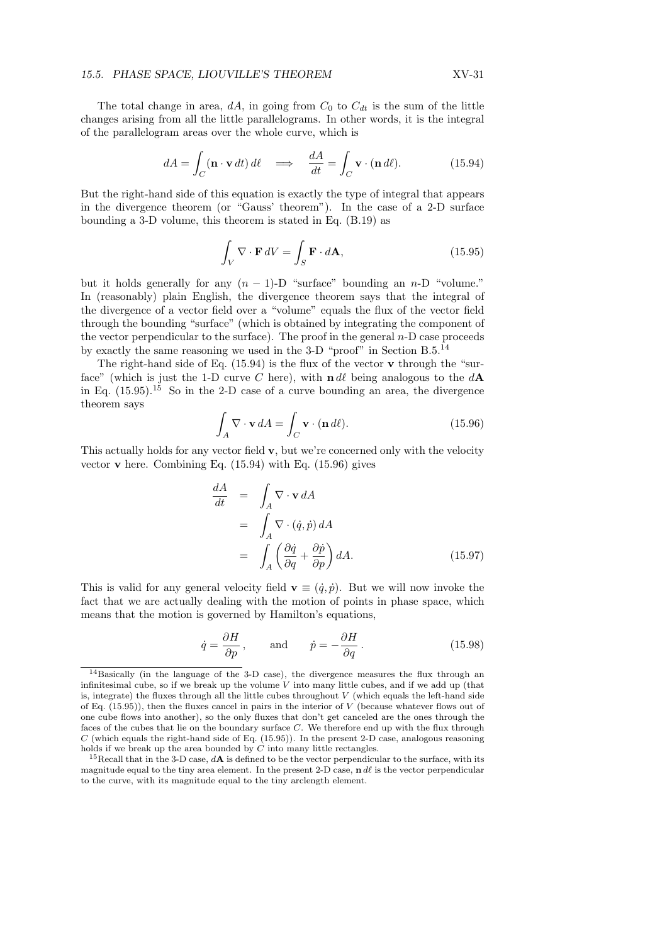The total change in area, dA, in going from  $C_0$  to  $C_{dt}$  is the sum of the little changes arising from all the little parallelograms. In other words, it is the integral of the parallelogram areas over the whole curve, which is

$$
dA = \int_C (\mathbf{n} \cdot \mathbf{v} \, dt) \, d\ell \quad \Longrightarrow \quad \frac{dA}{dt} = \int_C \mathbf{v} \cdot (\mathbf{n} \, d\ell). \tag{15.94}
$$

But the right-hand side of this equation is exactly the type of integral that appears in the divergence theorem (or "Gauss' theorem"). In the case of a 2-D surface bounding a 3-D volume, this theorem is stated in Eq. (B.19) as

$$
\int_{V} \nabla \cdot \mathbf{F} \, dV = \int_{S} \mathbf{F} \cdot d\mathbf{A},\tag{15.95}
$$

but it holds generally for any  $(n - 1)$ -D "surface" bounding an n-D "volume." In (reasonably) plain English, the divergence theorem says that the integral of the divergence of a vector field over a "volume" equals the flux of the vector field through the bounding "surface" (which is obtained by integrating the component of the vector perpendicular to the surface). The proof in the general  $n-D$  case proceeds by exactly the same reasoning we used in the 3-D "proof" in Section B.5.<sup>14</sup>

The right-hand side of Eq.  $(15.94)$  is the flux of the vector **v** through the "surface" (which is just the 1-D curve C here), with  $\mathbf{n} d\ell$  being analogous to the  $d\mathbf{A}$ in Eq.  $(15.95)$ <sup>15</sup> So in the 2-D case of a curve bounding an area, the divergence theorem says

$$
\int_{A} \nabla \cdot \mathbf{v} \, dA = \int_{C} \mathbf{v} \cdot (\mathbf{n} \, d\ell). \tag{15.96}
$$

This actually holds for any vector field v, but we're concerned only with the velocity vector **v** here. Combining Eq.  $(15.94)$  with Eq.  $(15.96)$  gives

$$
\frac{dA}{dt} = \int_{A} \nabla \cdot \mathbf{v} dA
$$
\n
$$
= \int_{A} \nabla \cdot (\dot{q}, \dot{p}) dA
$$
\n
$$
= \int_{A} \left( \frac{\partial \dot{q}}{\partial q} + \frac{\partial \dot{p}}{\partial p} \right) dA.
$$
\n(15.97)

This is valid for any general velocity field  $\mathbf{v} \equiv (\dot{q}, \dot{p})$ . But we will now invoke the fact that we are actually dealing with the motion of points in phase space, which means that the motion is governed by Hamilton's equations,

$$
\dot{q} = \frac{\partial H}{\partial p}
$$
, and  $\dot{p} = -\frac{\partial H}{\partial q}$ . (15.98)

<sup>14</sup>Basically (in the language of the 3-D case), the divergence measures the flux through an infinitesimal cube, so if we break up the volume  $V$  into many little cubes, and if we add up (that is, integrate) the fluxes through all the little cubes throughout  $V$  (which equals the left-hand side of Eq.  $(15.95)$ ), then the fluxes cancel in pairs in the interior of V (because whatever flows out of one cube flows into another), so the only fluxes that don't get canceled are the ones through the faces of the cubes that lie on the boundary surface C. We therefore end up with the flux through  $C$  (which equals the right-hand side of Eq. (15.95)). In the present 2-D case, analogous reasoning holds if we break up the area bounded by  $C$  into many little rectangles.

 $15$ Recall that in the 3-D case,  $d\mathbf{A}$  is defined to be the vector perpendicular to the surface, with its magnitude equal to the tiny area element. In the present 2-D case,  $\mathbf{n} \, d\ell$  is the vector perpendicular to the curve, with its magnitude equal to the tiny arclength element.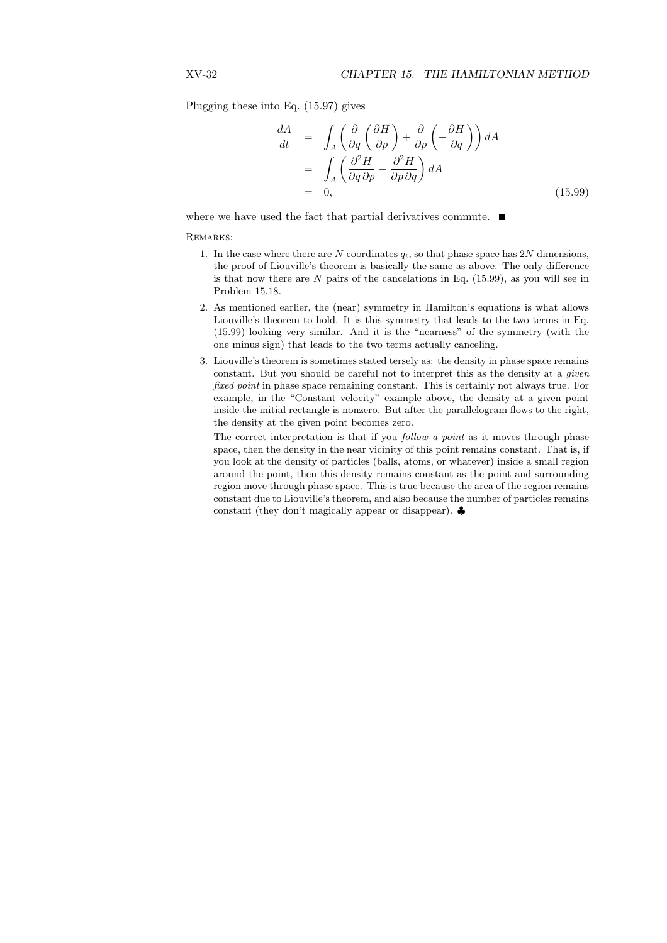Plugging these into Eq. (15.97) gives

$$
\frac{dA}{dt} = \int_{A} \left( \frac{\partial}{\partial q} \left( \frac{\partial H}{\partial p} \right) + \frac{\partial}{\partial p} \left( -\frac{\partial H}{\partial q} \right) \right) dA
$$
  
\n
$$
= \int_{A} \left( \frac{\partial^2 H}{\partial q \partial p} - \frac{\partial^2 H}{\partial p \partial q} \right) dA
$$
  
\n
$$
= 0,
$$
\n(15.99)

where we have used the fact that partial derivatives commute.  $\blacksquare$ 

#### REMARKS:

- 1. In the case where there are N coordinates  $q_i$ , so that phase space has 2N dimensions, the proof of Liouville's theorem is basically the same as above. The only difference is that now there are  $N$  pairs of the cancelations in Eq. (15.99), as you will see in Problem 15.18.
- 2. As mentioned earlier, the (near) symmetry in Hamilton's equations is what allows Liouville's theorem to hold. It is this symmetry that leads to the two terms in Eq. (15.99) looking very similar. And it is the "nearness" of the symmetry (with the one minus sign) that leads to the two terms actually canceling.
- 3. Liouville's theorem is sometimes stated tersely as: the density in phase space remains constant. But you should be careful not to interpret this as the density at a given fixed point in phase space remaining constant. This is certainly not always true. For example, in the "Constant velocity" example above, the density at a given point inside the initial rectangle is nonzero. But after the parallelogram flows to the right, the density at the given point becomes zero.

The correct interpretation is that if you *follow a point* as it moves through phase space, then the density in the near vicinity of this point remains constant. That is, if you look at the density of particles (balls, atoms, or whatever) inside a small region around the point, then this density remains constant as the point and surrounding region move through phase space. This is true because the area of the region remains constant due to Liouville's theorem, and also because the number of particles remains constant (they don't magically appear or disappear). ♣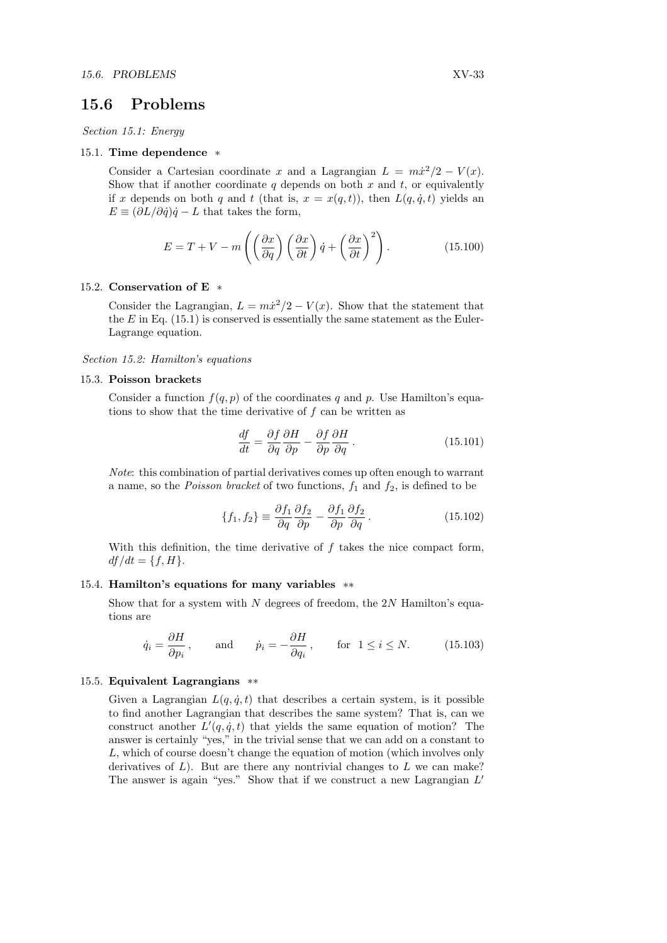# 15.6 Problems

Section 15.1: Energy

#### 15.1. Time dependence \*

Consider a Cartesian coordinate x and a Lagrangian  $L = m\dot{x}^2/2 - V(x)$ . Show that if another coordinate q depends on both  $x$  and  $t$ , or equivalently if x depends on both q and t (that is,  $x = x(q, t)$ ), then  $L(q, \dot{q}, t)$  yields an  $E \equiv (\partial L/\partial \dot{q})\dot{q} - L$  that takes the form,

$$
E = T + V - m\left(\left(\frac{\partial x}{\partial q}\right)\left(\frac{\partial x}{\partial t}\right)\dot{q} + \left(\frac{\partial x}{\partial t}\right)^2\right). \tag{15.100}
$$

#### 15.2. Conservation of E \*

Consider the Lagrangian,  $L = m\dot{x}^2/2 - V(x)$ . Show that the statement that the  $E$  in Eq. (15.1) is conserved is essentially the same statement as the Euler-Lagrange equation.

Section 15.2: Hamilton's equations

#### 15.3. Poisson brackets

Consider a function  $f(q, p)$  of the coordinates q and p. Use Hamilton's equations to show that the time derivative of f can be written as

$$
\frac{df}{dt} = \frac{\partial f}{\partial q} \frac{\partial H}{\partial p} - \frac{\partial f}{\partial p} \frac{\partial H}{\partial q}.
$$
\n(15.101)

Note: this combination of partial derivatives comes up often enough to warrant a name, so the *Poisson bracket* of two functions,  $f_1$  and  $f_2$ , is defined to be

$$
\{f_1, f_2\} \equiv \frac{\partial f_1}{\partial q} \frac{\partial f_2}{\partial p} - \frac{\partial f_1}{\partial p} \frac{\partial f_2}{\partial q}.
$$
 (15.102)

With this definition, the time derivative of  $f$  takes the nice compact form,  $df/dt = \{f, H\}.$ 

#### 15.4. Hamilton's equations for many variables \*\*

Show that for a system with  $N$  degrees of freedom, the  $2N$  Hamilton's equations are

$$
\dot{q}_i = \frac{\partial H}{\partial p_i}
$$
, and  $\dot{p}_i = -\frac{\partial H}{\partial q_i}$ , for  $1 \le i \le N$ . (15.103)

#### 15.5. Equivalent Lagrangians \*\*

Given a Lagrangian  $L(q, \dot{q}, t)$  that describes a certain system, is it possible to find another Lagrangian that describes the same system? That is, can we construct another  $L'(q, \dot{q}, t)$  that yields the same equation of motion? The answer is certainly "yes," in the trivial sense that we can add on a constant to L, which of course doesn't change the equation of motion (which involves only derivatives of  $L$ ). But are there any nontrivial changes to  $L$  we can make? The answer is again "yes." Show that if we construct a new Lagrangian  $L'$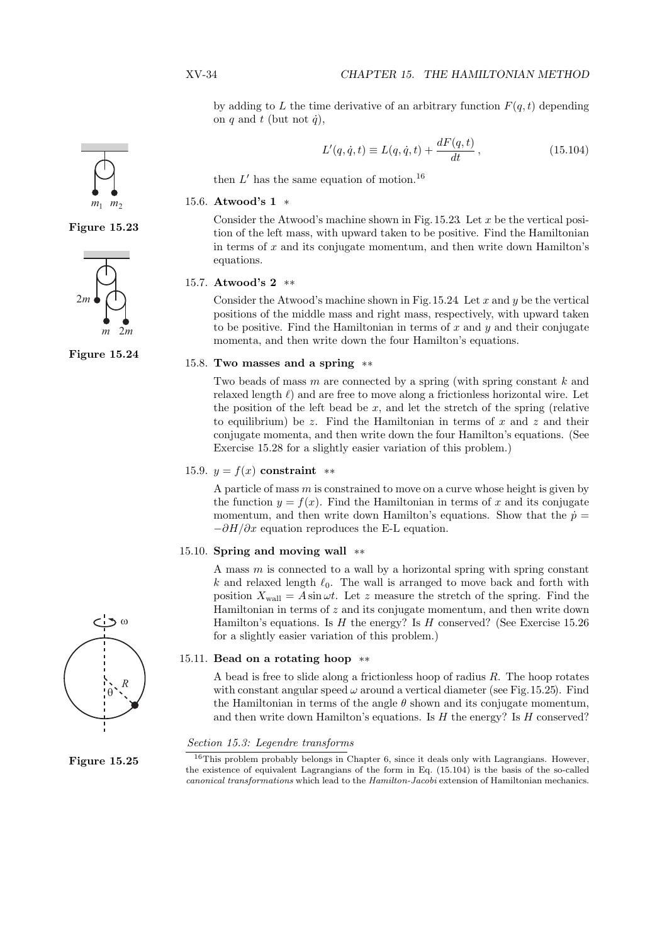by adding to L the time derivative of an arbitrary function  $F(q, t)$  depending on q and t (but not  $\dot{q}$ ),

$$
L'(q, \dot{q}, t) \equiv L(q, \dot{q}, t) + \frac{dF(q, t)}{dt}, \qquad (15.104)
$$

then  $L'$  has the same equation of motion.<sup>16</sup>

#### 15.6. Atwood's 1 \*

Consider the Atwood's machine shown in Fig.  $15.23$ . Let x be the vertical posi-Figure 15.23 tion of the left mass, with upward taken to be positive. Find the Hamiltonian in terms of  $x$  and its conjugate momentum, and then write down Hamilton's equations.

#### 15.7. Atwood's 2 \*\*

Consider the Atwood's machine shown in Fig.  $15.24$  Let x and y be the vertical positions of the middle mass and right mass, respectively, with upward taken to be positive. Find the Hamiltonian in terms of x and  $y$  and their conjugate momenta, and then write down the four Hamilton's equations.

#### 15.8. Two masses and a spring \*\*

Two beads of mass  $m$  are connected by a spring (with spring constant  $k$  and relaxed length  $\ell$ ) and are free to move along a frictionless horizontal wire. Let the position of the left bead be  $x$ , and let the stretch of the spring (relative to equilibrium) be z. Find the Hamiltonian in terms of  $x$  and  $z$  and their conjugate momenta, and then write down the four Hamilton's equations. (See Exercise 15.28 for a slightly easier variation of this problem.)

#### 15.9.  $y = f(x)$  constraint \*\*

A particle of mass  $m$  is constrained to move on a curve whose height is given by the function  $y = f(x)$ . Find the Hamiltonian in terms of x and its conjugate momentum, and then write down Hamilton's equations. Show that the  $\dot{p} =$  $-\partial H/\partial x$  equation reproduces the E-L equation.

### 15.10. Spring and moving wall \*\*

A mass  $m$  is connected to a wall by a horizontal spring with spring constant k and relaxed length  $\ell_0$ . The wall is arranged to move back and forth with position  $X_{\text{wall}} = A \sin \omega t$ . Let z measure the stretch of the spring. Find the Hamiltonian in terms of  $z$  and its conjugate momentum, and then write down Hamilton's equations. Is  $H$  the energy? Is  $H$  conserved? (See Exercise 15.26) for a slightly easier variation of this problem.)

#### 15.11. Bead on a rotating hoop \*\*

A bead is free to slide along a frictionless hoop of radius  $R$ . The hoop rotates with constant angular speed  $\omega$  around a vertical diameter (see Fig. 15.25). Find the Hamiltonian in terms of the angle  $\theta$  shown and its conjugate momentum, and then write down Hamilton's equations. Is  $H$  the energy? Is  $H$  conserved?

### Section 15.3: Legendre transforms

<sup>16</sup>This problem probably belongs in Chapter 6, since it deals only with Lagrangians. However, the existence of equivalent Lagrangians of the form in Eq. (15.104) is the basis of the so-called canonical transformations which lead to the Hamilton-Jacobi extension of Hamiltonian mechanics.







Figure 15.24



Figure 15.25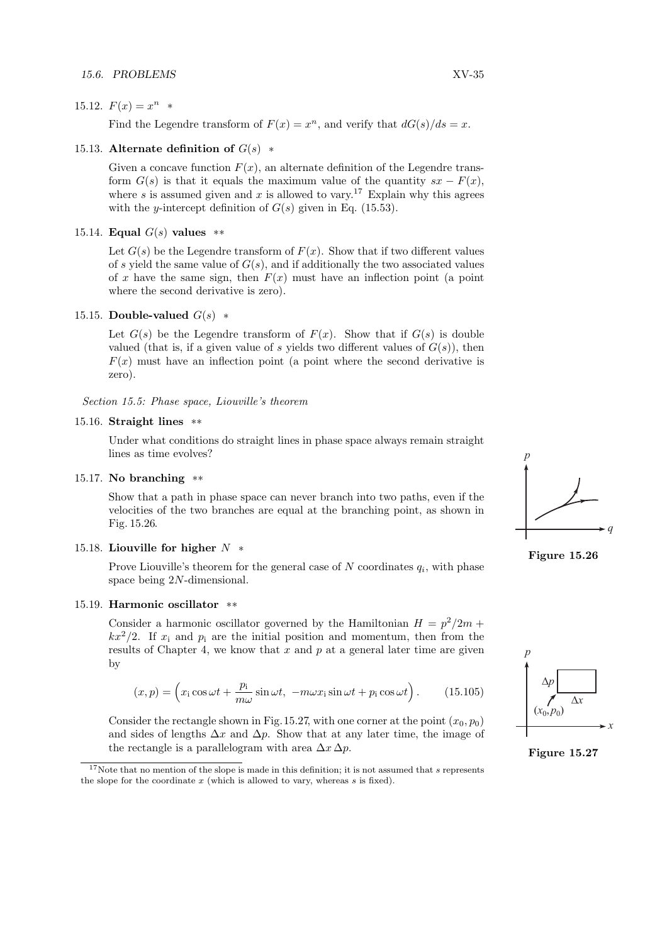#### 15.6. PROBLEMS XV-35

# 15.12.  $F(x) = x^n *$

Find the Legendre transform of  $F(x) = x^n$ , and verify that  $dG(s)/ds = x$ .

#### 15.13. Alternate definition of  $G(s)$  \*

Given a concave function  $F(x)$ , an alternate definition of the Legendre transform  $G(s)$  is that it equals the maximum value of the quantity  $sx - F(x)$ , where s is assumed given and x is allowed to vary.<sup>17</sup> Explain why this agrees with the y-intercept definition of  $G(s)$  given in Eq. (15.53).

#### 15.14. Equal  $G(s)$  values  $**$

Let  $G(s)$  be the Legendre transform of  $F(x)$ . Show that if two different values of s yield the same value of  $G(s)$ , and if additionally the two associated values of x have the same sign, then  $F(x)$  must have an inflection point (a point where the second derivative is zero).

### 15.15. Double-valued  $G(s)$  \*

Let  $G(s)$  be the Legendre transform of  $F(x)$ . Show that if  $G(s)$  is double valued (that is, if a given value of s yields two different values of  $G(s)$ ), then  $F(x)$  must have an inflection point (a point where the second derivative is zero).

#### Section 15.5: Phase space, Liouville's theorem

#### 15.16. Straight lines \*\*

Under what conditions do straight lines in phase space always remain straight lines as time evolves?

#### 15.17. No branching \*\*

Show that a path in phase space can never branch into two paths, even if the velocities of the two branches are equal at the branching point, as shown in Fig. 15.26.

# 15.18. Liouville for higher  $N$  \*

Prove Liouville's theorem for the general case of  $N$  coordinates  $q_i$ , with phase space being 2N-dimensional.

#### 15.19. Harmonic oscillator \*\*

Consider a harmonic oscillator governed by the Hamiltonian  $H = p^2/2m$  +  $kx^2/2$ . If  $x_i$  and  $p_i$  are the initial position and momentum, then from the results of Chapter 4, we know that x and p at a general later time are given by

$$
(x,p) = \left(x_1 \cos \omega t + \frac{p_1}{m\omega} \sin \omega t, \ -m\omega x_1 \sin \omega t + p_1 \cos \omega t\right). \tag{15.105}
$$

Consider the rectangle shown in Fig. 15.27, with one corner at the point  $(x_0, p_0)$ and sides of lengths  $\Delta x$  and  $\Delta p$ . Show that at any later time, the image of the rectangle is a parallelogram with area  $\Delta x \Delta p$ .





Figure 15.27

<sup>&</sup>lt;sup>17</sup>Note that no mention of the slope is made in this definition; it is not assumed that s represents the slope for the coordinate  $x$  (which is allowed to vary, whereas  $s$  is fixed).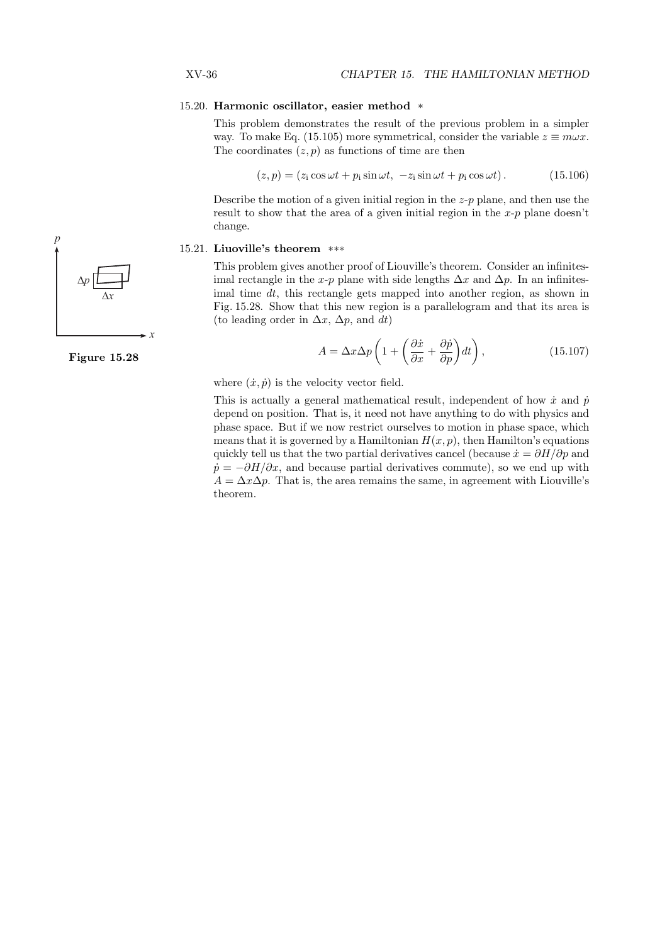#### 15.20. Harmonic oscillator, easier method \*

This problem demonstrates the result of the previous problem in a simpler way. To make Eq. (15.105) more symmetrical, consider the variable  $z \equiv m\omega x$ . The coordinates  $(z, p)$  as functions of time are then

$$
(z, p) = (zi cos \omega t + pi sin \omega t, -zi sin \omega t + pi cos \omega t).
$$
 (15.106)

Describe the motion of a given initial region in the  $z-p$  plane, and then use the result to show that the area of a given initial region in the  $x-p$  plane doesn't change.

#### 15.21. Liuoville's theorem \*\*\*

This problem gives another proof of Liouville's theorem. Consider an infinitesimal rectangle in the x-p plane with side lengths  $\Delta x$  and  $\Delta p$ . In an infinitesimal time  $dt$ , this rectangle gets mapped into another region, as shown in Fig. 15.28. Show that this new region is a parallelogram and that its area is (to leading order in  $\Delta x$ ,  $\Delta p$ , and dt)

$$
A = \Delta x \Delta p \left( 1 + \left( \frac{\partial \dot{x}}{\partial x} + \frac{\partial \dot{p}}{\partial p} \right) dt \right), \qquad (15.107)
$$

where  $(\dot{x}, \dot{p})$  is the velocity vector field.

This is actually a general mathematical result, independent of how  $\dot{x}$  and  $\dot{p}$ depend on position. That is, it need not have anything to do with physics and phase space. But if we now restrict ourselves to motion in phase space, which means that it is governed by a Hamiltonian  $H(x, p)$ , then Hamilton's equations quickly tell us that the two partial derivatives cancel (because  $\dot{x} = \partial H/\partial p$  and  $\dot{p} = -\partial H/\partial x$ , and because partial derivatives commute), so we end up with  $A = \Delta x \Delta p$ . That is, the area remains the same, in agreement with Liouville's theorem.



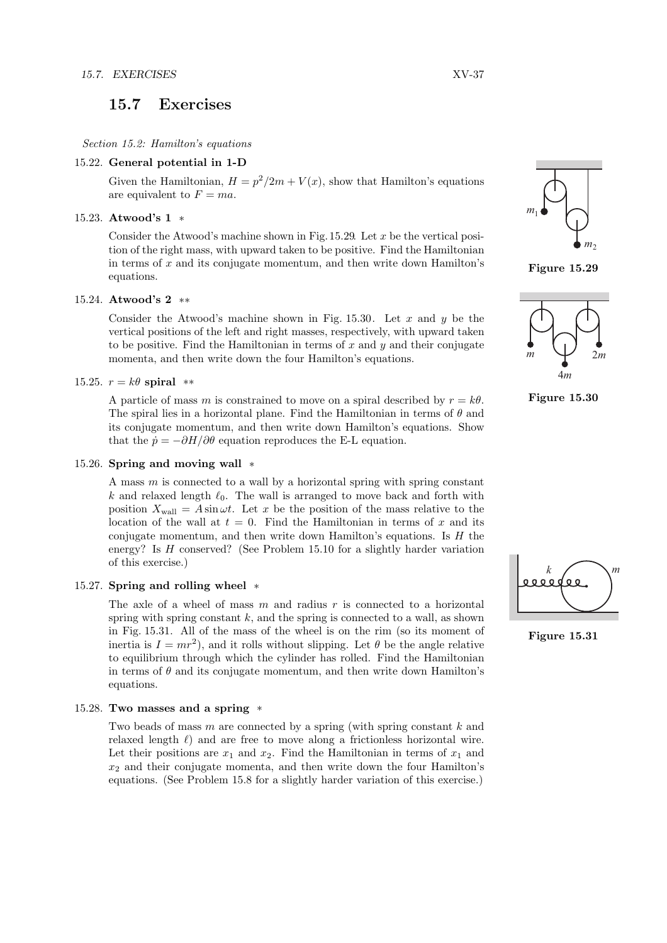# 15.7 Exercises

Section 15.2: Hamilton's equations

#### 15.22. General potential in 1-D

Given the Hamiltonian,  $H = p^2/2m + V(x)$ , show that Hamilton's equations are equivalent to  $F = ma$ .

# 15.23. Atwood's 1 \*

Consider the Atwood's machine shown in Fig.  $15.29$ . Let x be the vertical position of the right mass, with upward taken to be positive. Find the Hamiltonian in terms of  $x$  and its conjugate momentum, and then write down Hamilton's equations.

# 15.24. Atwood's 2 \*\*

Consider the Atwood's machine shown in Fig. 15.30. Let  $x$  and  $y$  be the vertical positions of the left and right masses, respectively, with upward taken to be positive. Find the Hamiltonian in terms of  $x$  and  $y$  and their conjugate momenta, and then write down the four Hamilton's equations.

### 15.25.  $r = k\theta$  spiral \*\*

A particle of mass m is constrained to move on a spiral described by  $r = k\theta$ . The spiral lies in a horizontal plane. Find the Hamiltonian in terms of  $\theta$  and its conjugate momentum, and then write down Hamilton's equations. Show that the  $\dot{p} = -\partial H/\partial \theta$  equation reproduces the E-L equation.

#### 15.26. Spring and moving wall \*

A mass  $m$  is connected to a wall by a horizontal spring with spring constant k and relaxed length  $\ell_0$ . The wall is arranged to move back and forth with position  $X_{\text{wall}} = A \sin \omega t$ . Let x be the position of the mass relative to the location of the wall at  $t = 0$ . Find the Hamiltonian in terms of x and its conjugate momentum, and then write down Hamilton's equations. Is  $H$  the energy? Is H conserved? (See Problem 15.10 for a slightly harder variation of this exercise.)

#### 15.27. Spring and rolling wheel \*

The axle of a wheel of mass  $m$  and radius  $r$  is connected to a horizontal spring with spring constant  $k$ , and the spring is connected to a wall, as shown in Fig. 15.31. All of the mass of the wheel is on the rim (so its moment of inertia is  $I = mr^2$ , and it rolls without slipping. Let  $\theta$  be the angle relative to equilibrium through which the cylinder has rolled. Find the Hamiltonian in terms of  $\theta$  and its conjugate momentum, and then write down Hamilton's equations.

#### 15.28. Two masses and a spring \*

Two beads of mass m are connected by a spring (with spring constant  $k$  and relaxed length  $\ell$ ) and are free to move along a frictionless horizontal wire. Let their positions are  $x_1$  and  $x_2$ . Find the Hamiltonian in terms of  $x_1$  and  $x_2$  and their conjugate momenta, and then write down the four Hamilton's equations. (See Problem 15.8 for a slightly harder variation of this exercise.)



Figure 15.29



Figure 15.30



Figure 15.31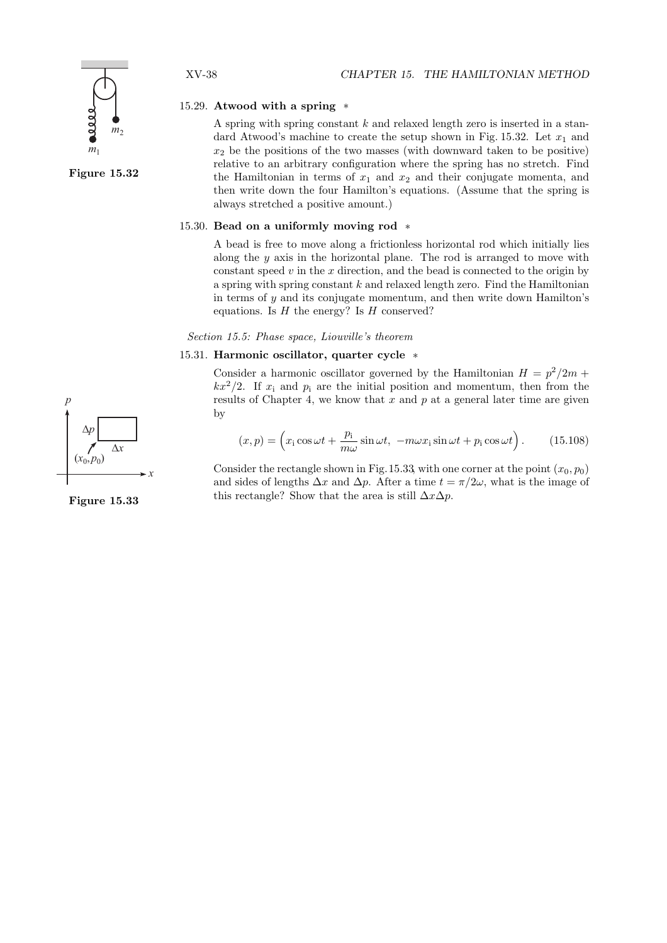#### 15.29. Atwood with a spring  $*$

A spring with spring constant  $k$  and relaxed length zero is inserted in a standard Atwood's machine to create the setup shown in Fig. 15.32. Let  $x_1$  and  $x_2$  be the positions of the two masses (with downward taken to be positive) relative to an arbitrary configuration where the spring has no stretch. Find the Hamiltonian in terms of  $x_1$  and  $x_2$  and their conjugate momenta, and then write down the four Hamilton's equations. (Assume that the spring is always stretched a positive amount.)

# 15.30. Bead on a uniformly moving rod \*

A bead is free to move along a frictionless horizontal rod which initially lies along the  $y$  axis in the horizontal plane. The rod is arranged to move with constant speed  $v$  in the  $x$  direction, and the bead is connected to the origin by a spring with spring constant  $k$  and relaxed length zero. Find the Hamiltonian in terms of y and its conjugate momentum, and then write down Hamilton's equations. Is  $H$  the energy? Is  $H$  conserved?

Section 15.5: Phase space, Liouville's theorem

### 15.31. Harmonic oscillator, quarter cycle \*

Consider a harmonic oscillator governed by the Hamiltonian  $H = p^2/2m$  +  $kx^2/2$ . If  $x_i$  and  $p_i$  are the initial position and momentum, then from the results of Chapter 4, we know that  $x$  and  $p$  at a general later time are given by

$$
(x,p) = \left(x_i \cos \omega t + \frac{p_i}{m\omega} \sin \omega t, \ -m\omega x_i \sin \omega t + p_i \cos \omega t\right). \tag{15.108}
$$

Consider the rectangle shown in Fig. 15.33, with one corner at the point  $(x_0, p_0)$ and sides of lengths  $\Delta x$  and  $\Delta p$ . After a time  $t = \pi/2\omega$ , what is the image of this rectangle? Show that the area is still  $\Delta x \Delta p$ .



*m*1

 $\frac{m}{2}$ 



Figure 15.33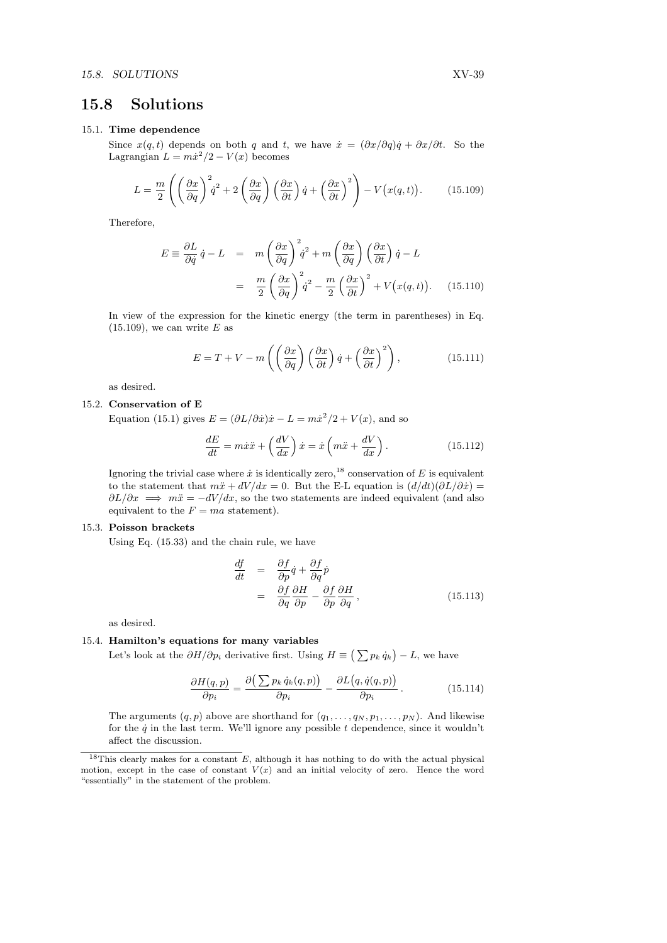# 15.8 Solutions

# 15.1. Time dependence

Since  $x(q, t)$  depends on both q and t, we have  $\dot{x} = (\partial x/\partial q)\dot{q} + \partial x/\partial t$ . So the Lagrangian  $L = m\dot{x}^2/2 - V(x)$  becomes

$$
L = \frac{m}{2} \left( \left( \frac{\partial x}{\partial q} \right)^2 \dot{q}^2 + 2 \left( \frac{\partial x}{\partial q} \right) \left( \frac{\partial x}{\partial t} \right) \dot{q} + \left( \frac{\partial x}{\partial t} \right)^2 \right) - V(x(q, t)). \tag{15.109}
$$

Therefore,

$$
E \equiv \frac{\partial L}{\partial \dot{q}} \dot{q} - L = m \left( \frac{\partial x}{\partial q} \right)^2 \dot{q}^2 + m \left( \frac{\partial x}{\partial q} \right) \left( \frac{\partial x}{\partial t} \right) \dot{q} - L
$$
  

$$
= \frac{m}{2} \left( \frac{\partial x}{\partial q} \right)^2 \dot{q}^2 - \frac{m}{2} \left( \frac{\partial x}{\partial t} \right)^2 + V(x(q, t)). \quad (15.110)
$$

In view of the expression for the kinetic energy (the term in parentheses) in Eq.  $(15.109)$ , we can write E as

$$
E = T + V - m\left(\left(\frac{\partial x}{\partial q}\right)\left(\frac{\partial x}{\partial t}\right)\dot{q} + \left(\frac{\partial x}{\partial t}\right)^2\right),\tag{15.111}
$$

as desired.

#### 15.2. Conservation of E

Equation (15.1) gives  $E = (\partial L/\partial \dot{x})\dot{x} - L = m\dot{x}^2/2 + V(x)$ , and so

$$
\frac{dE}{dt} = m\dot{x}\ddot{x} + \left(\frac{dV}{dx}\right)\dot{x} = \dot{x}\left(m\ddot{x} + \frac{dV}{dx}\right). \tag{15.112}
$$

Ignoring the trivial case where  $\dot{x}$  is identically zero,<sup>18</sup> conservation of E is equivalent to the statement that  $m\ddot{x} + dV/dx = 0$ . But the E-L equation is  $(d/dt)(\partial L/\partial \dot{x}) =$  $\partial L/\partial x \implies m\ddot{x} = -dV/dx$ , so the two statements are indeed equivalent (and also equivalent to the  $F = ma$  statement).

#### 15.3. Poisson brackets

Using Eq. (15.33) and the chain rule, we have

$$
\begin{aligned}\n\frac{df}{dt} &= \frac{\partial f}{\partial p}\dot{q} + \frac{\partial f}{\partial q}\dot{p} \\
&= \frac{\partial f}{\partial q}\frac{\partial H}{\partial p} - \frac{\partial f}{\partial p}\frac{\partial H}{\partial q},\n\end{aligned} \tag{15.113}
$$

as desired.

#### 15.4. Hamilton's equations for many variables

**Let's look at the**  $\partial H/\partial p_i$  **derivative first.** Using  $H \equiv \left(\sum p_k \dot{q}_k\right) - L$ , we have

$$
\frac{\partial H(q,p)}{\partial p_i} = \frac{\partial \left(\sum p_k \dot{q}_k(q,p)\right)}{\partial p_i} - \frac{\partial L(q, \dot{q}(q,p))}{\partial p_i}.
$$
\n(15.114)

The arguments  $(q, p)$  above are shorthand for  $(q_1, \ldots, q_N, p_1, \ldots, p_N)$ . And likewise for the  $\dot{q}$  in the last term. We'll ignore any possible t dependence, since it wouldn't affect the discussion.

<sup>&</sup>lt;sup>18</sup>This clearly makes for a constant  $E$ , although it has nothing to do with the actual physical motion, except in the case of constant  $V(x)$  and an initial velocity of zero. Hence the word "essentially" in the statement of the problem.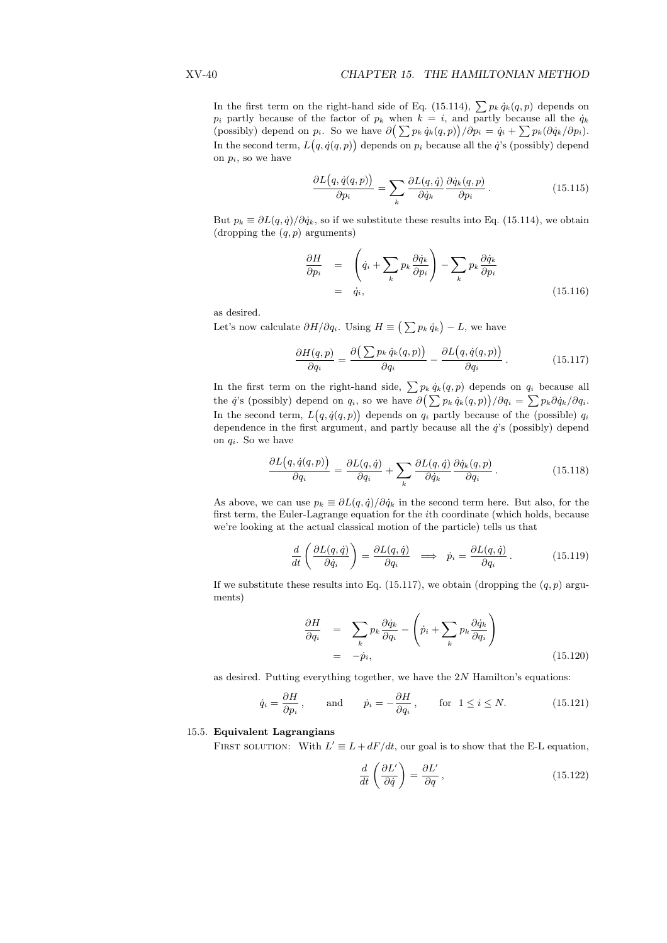In the first term on the right-hand side of Eq. (15.114),  $\sum p_k \dot{q}_k(q, p)$  depends on  $p_i$  partly because of the factor of  $p_k$  when  $k = i$ , and partly because all the  $q_k$ p<sub>i</sub> partly because of the factor of  $p_k$  when  $k = i$ , and partly because all the  $q_k$ <br>(possibly) depend on  $p_i$ . So we have  $\partial \left( \sum p_k \dot{q}_k(q, p) \right) / \partial p_i = \dot{q}_i + \sum p_k (\partial \dot{q}_k / \partial p_i)$ . In the second term,  $L(q, \dot{q}(q, p))$  depends on  $p_i$  because all the  $\dot{q}$ 's (possibly) depend on  $p_i$ , so we have

$$
\frac{\partial L(q, \dot{q}(q, p))}{\partial p_i} = \sum_k \frac{\partial L(q, \dot{q})}{\partial \dot{q}_k} \frac{\partial \dot{q}_k(q, p)}{\partial p_i}.
$$
\n(15.115)

But  $p_k \equiv \partial L(q, \dot{q})/\partial \dot{q}_k$ , so if we substitute these results into Eq. (15.114), we obtain (dropping the  $(q, p)$  arguments)

$$
\frac{\partial H}{\partial p_i} = \left( \dot{q}_i + \sum_k p_k \frac{\partial \dot{q}_k}{\partial p_i} \right) - \sum_k p_k \frac{\partial \dot{q}_k}{\partial p_i} \n= \dot{q}_i,
$$
\n(15.116)

as desired.

as desired.<br>Let's now calculate  $\partial H/\partial q_i$ . Using  $H \equiv \big(\sum p_k \,\dot q_k\big) - L,$  we have

$$
\frac{\partial H(q,p)}{\partial q_i} = \frac{\partial \left(\sum p_k \dot{q}_k(q,p)\right)}{\partial q_i} - \frac{\partial L\big(q, \dot{q}(q,p)\big)}{\partial q_i} \,. \tag{15.117}
$$

In the first term on the right-hand side,  $\sum p_k \dot{q}_k(q, p)$  depends on  $q_i$  because all In the first term on the right-hand side,  $\sum p_k q_k(q, p)$  depends on  $q_i$  because all<br>the  $\dot{q}$ 's (possibly) depend on  $q_i$ , so we have  $\partial \left( \sum p_k \dot{q}_k(q, p) \right) / \partial q_i = \sum p_k \partial \dot{q}_k / \partial q_i$ . In the second term,  $L(q, \dot{q}(q, p))$  depends on  $q_i$  partly because of the (possible)  $q_i$ dependence in the first argument, and partly because all the  $\dot{q}$ 's (possibly) depend on  $q_i$ . So we have

$$
\frac{\partial L(q, \dot{q}(q, p))}{\partial q_i} = \frac{\partial L(q, \dot{q})}{\partial q_i} + \sum_k \frac{\partial L(q, \dot{q})}{\partial \dot{q}_k} \frac{\partial \dot{q}_k(q, p)}{\partial q_i}.
$$
(15.118)

As above, we can use  $p_k \equiv \partial L(q, \dot{q})/\partial \dot{q}_k$  in the second term here. But also, for the first term, the Euler-Lagrange equation for the ith coordinate (which holds, because we're looking at the actual classical motion of the particle) tells us that

$$
\frac{d}{dt}\left(\frac{\partial L(q,\dot{q})}{\partial \dot{q}_i}\right) = \frac{\partial L(q,\dot{q})}{\partial q_i} \implies \dot{p}_i = \frac{\partial L(q,\dot{q})}{\partial q_i}.
$$
\n(15.119)

If we substitute these results into Eq. (15.117), we obtain (dropping the  $(q, p)$  arguments)

$$
\frac{\partial H}{\partial q_i} = \sum_k p_k \frac{\partial \dot{q}_k}{\partial q_i} - \left(\dot{p}_i + \sum_k p_k \frac{\partial \dot{q}_k}{\partial q_i}\right)
$$
\n
$$
= -\dot{p}_i,
$$
\n(15.120)

as desired. Putting everything together, we have the  $2N$  Hamilton's equations:

$$
\dot{q}_i = \frac{\partial H}{\partial p_i}
$$
, and  $\dot{p}_i = -\frac{\partial H}{\partial q_i}$ , for  $1 \le i \le N$ . (15.121)

#### 15.5. Equivalent Lagrangians

FIRST SOLUTION: With  $L' \equiv L + dF/dt$ , our goal is to show that the E-L equation,

$$
\frac{d}{dt}\left(\frac{\partial L'}{\partial \dot{q}}\right) = \frac{\partial L'}{\partial q},\qquad(15.122)
$$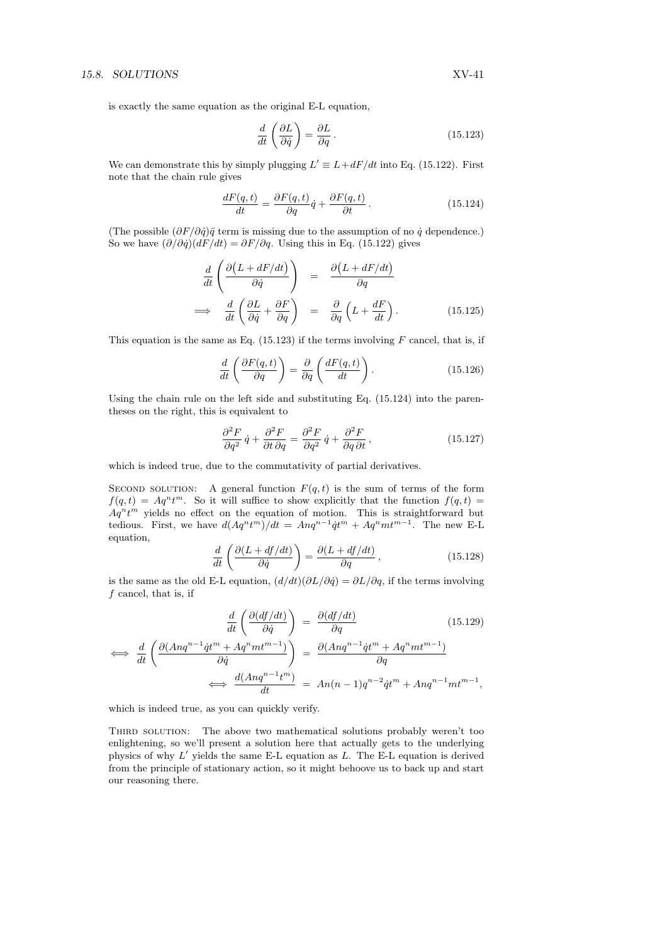is exactly the same equation as the original E-L equation,

$$
\frac{d}{dt}\left(\frac{\partial L}{\partial \dot{q}}\right) = \frac{\partial L}{\partial q}.
$$
\n(15.123)

We can demonstrate this by simply plugging  $L' \equiv L + dF/dt$  into Eq. (15.122). First note that the chain rule gives

$$
\frac{dF(q,t)}{dt} = \frac{\partial F(q,t)}{\partial q}\dot{q} + \frac{\partial F(q,t)}{\partial t}.
$$
\n(15.124)

(The possible  $(\partial F/\partial \dot{q})\ddot{q}$  term is missing due to the assumption of no  $\dot{q}$  dependence.) So we have  $(\partial/\partial \dot{q})(dF/dt) = \partial F/\partial q$ . Using this in Eq. (15.122) gives

$$
\frac{d}{dt} \left( \frac{\partial (L + dF/dt)}{\partial \dot{q}} \right) = \frac{\partial (L + dF/dt)}{\partial q}
$$
\n
$$
\implies \frac{d}{dt} \left( \frac{\partial L}{\partial \dot{q}} + \frac{\partial F}{\partial q} \right) = \frac{\partial}{\partial q} \left( L + \frac{dF}{dt} \right). \tag{15.125}
$$

This equation is the same as Eq.  $(15.123)$  if the terms involving F cancel, that is, if

$$
\frac{d}{dt}\left(\frac{\partial F(q,t)}{\partial q}\right) = \frac{\partial}{\partial q}\left(\frac{dF(q,t)}{dt}\right). \tag{15.126}
$$

Using the chain rule on the left side and substituting Eq. (15.124) into the parentheses on the right, this is equivalent to

$$
\frac{\partial^2 F}{\partial q^2} \dot{q} + \frac{\partial^2 F}{\partial t \partial q} = \frac{\partial^2 F}{\partial q^2} \dot{q} + \frac{\partial^2 F}{\partial q \partial t},
$$
\n(15.127)

which is indeed true, due to the commutativity of partial derivatives.

SECOND SOLUTION: A general function  $F(q, t)$  is the sum of terms of the form  $f(q,t) = Aq^n t^m$ . So it will suffice to show explicitly that the function  $f(q,t)$  $Aq^n t^m$  yields no effect on the equation of motion. This is straightforward but tedious. First, we have  $d(Aq^n t^m)/dt = A nq^{n-1} \dot{q}t^m + Aq^n mt^{m-1}$ . The new E-L equation,  $\mathbf{r}$ 

$$
\frac{d}{dt}\left(\frac{\partial(L+df/dt)}{\partial \dot{q}}\right) = \frac{\partial(L+df/dt)}{\partial q},\qquad(15.128)
$$

is the same as the old E-L equation,  $(d/dt)(\partial L/\partial \dot{q}) = \partial L/\partial q$ , if the terms involving f cancel, that is, if

$$
\frac{d}{dt}\left(\frac{\partial(df/dt)}{\partial \dot{q}}\right) = \frac{\partial(df/dt)}{\partial q} \tag{15.129}
$$

$$
\iff \frac{d}{dt} \left( \frac{\partial (Anq^{n-1}\dot{q}t^m + Aq^nmt^{m-1})}{\partial \dot{q}} \right) = \frac{\partial (Anq^{n-1}\dot{q}t^m + Aq^nmt^{m-1})}{\partial q}
$$
\n
$$
\iff \frac{d(Anq^{n-1}t^m)}{dt} = An(n-1)q^{n-2}\dot{q}t^m + Anq^{n-1}mt^{m-1},
$$

which is indeed true, as you can quickly verify.

THIRD SOLUTION: The above two mathematical solutions probably weren't too enlightening, so we'll present a solution here that actually gets to the underlying physics of why  $L'$  yields the same E-L equation as  $L$ . The E-L equation is derived from the principle of stationary action, so it might behoove us to back up and start our reasoning there.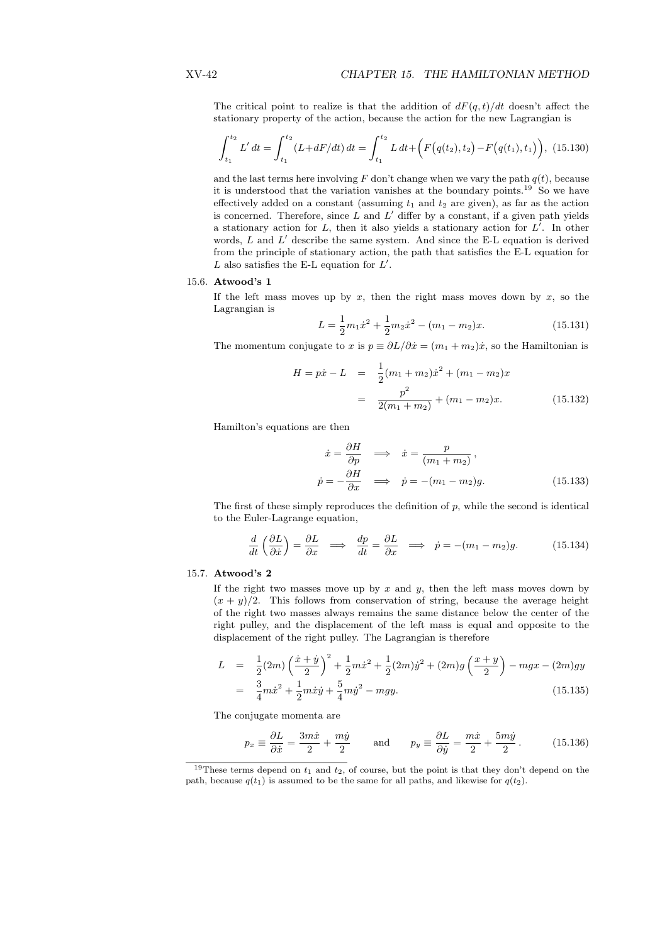The critical point to realize is that the addition of  $dF(q, t)/dt$  doesn't affect the stationary property of the action, because the action for the new Lagrangian is

$$
\int_{t_1}^{t_2} L' dt = \int_{t_1}^{t_2} (L + dF/dt) dt = \int_{t_1}^{t_2} L dt + \left( F(q(t_2), t_2) - F(q(t_1), t_1) \right), (15.130)
$$

and the last terms here involving  $F$  don't change when we vary the path  $q(t)$ , because it is understood that the variation vanishes at the boundary points.<sup>19</sup> So we have effectively added on a constant (assuming  $t_1$  and  $t_2$  are given), as far as the action is concerned. Therefore, since  $L$  and  $L'$  differ by a constant, if a given path yields a stationary action for  $L$ , then it also yields a stationary action for  $L'$ . In other words,  $L$  and  $L'$  describe the same system. And since the E-L equation is derived from the principle of stationary action, the path that satisfies the E-L equation for L also satisfies the E-L equation for  $L'$ .

#### 15.6. Atwood's 1

If the left mass moves up by  $x$ , then the right mass moves down by  $x$ , so the Lagrangian is

$$
L = \frac{1}{2}m_1\dot{x}^2 + \frac{1}{2}m_2\dot{x}^2 - (m_1 - m_2)x.
$$
 (15.131)

The momentum conjugate to x is  $p \equiv \partial L/\partial \dot{x} = (m_1 + m_2)\dot{x}$ , so the Hamiltonian is

$$
H = p\dot{x} - L = \frac{1}{2}(m_1 + m_2)\dot{x}^2 + (m_1 - m_2)x
$$

$$
= \frac{p^2}{2(m_1 + m_2)} + (m_1 - m_2)x.
$$
 (15.132)

Hamilton's equations are then

$$
\begin{aligned}\n\dot{x} &= \frac{\partial H}{\partial p} \quad \Longrightarrow \quad \dot{x} = \frac{p}{(m_1 + m_2)},\\ \n\dot{p} &= -\frac{\partial H}{\partial x} \quad \Longrightarrow \quad \dot{p} = -(m_1 - m_2)g.\n\end{aligned} \tag{15.133}
$$

The first of these simply reproduces the definition of  $p$ , while the second is identical to the Euler-Lagrange equation,

$$
\frac{d}{dt}\left(\frac{\partial L}{\partial \dot{x}}\right) = \frac{\partial L}{\partial x} \implies \frac{dp}{dt} = \frac{\partial L}{\partial x} \implies \dot{p} = -(m_1 - m_2)g. \tag{15.134}
$$

#### 15.7. Atwood's 2

If the right two masses move up by  $x$  and  $y$ , then the left mass moves down by  $(x + y)/2$ . This follows from conservation of string, because the average height of the right two masses always remains the same distance below the center of the right pulley, and the displacement of the left mass is equal and opposite to the displacement of the right pulley. The Lagrangian is therefore

$$
L = \frac{1}{2}(2m)\left(\frac{\dot{x} + \dot{y}}{2}\right)^2 + \frac{1}{2}m\dot{x}^2 + \frac{1}{2}(2m)\dot{y}^2 + (2m)g\left(\frac{x+y}{2}\right) - mgx - (2m)gy
$$
  
= 
$$
\frac{3}{4}m\dot{x}^2 + \frac{1}{2}m\dot{x}\dot{y} + \frac{5}{4}m\dot{y}^2 - mgy.
$$
 (15.135)

The conjugate momenta are

$$
p_x \equiv \frac{\partial L}{\partial \dot{x}} = \frac{3m\dot{x}}{2} + \frac{m\dot{y}}{2} \quad \text{and} \quad p_y \equiv \frac{\partial L}{\partial \dot{y}} = \frac{m\dot{x}}{2} + \frac{5m\dot{y}}{2}. \quad (15.136)
$$

<sup>&</sup>lt;sup>19</sup>These terms depend on  $t_1$  and  $t_2$ , of course, but the point is that they don't depend on the path, because  $q(t_1)$  is assumed to be the same for all paths, and likewise for  $q(t_2)$ .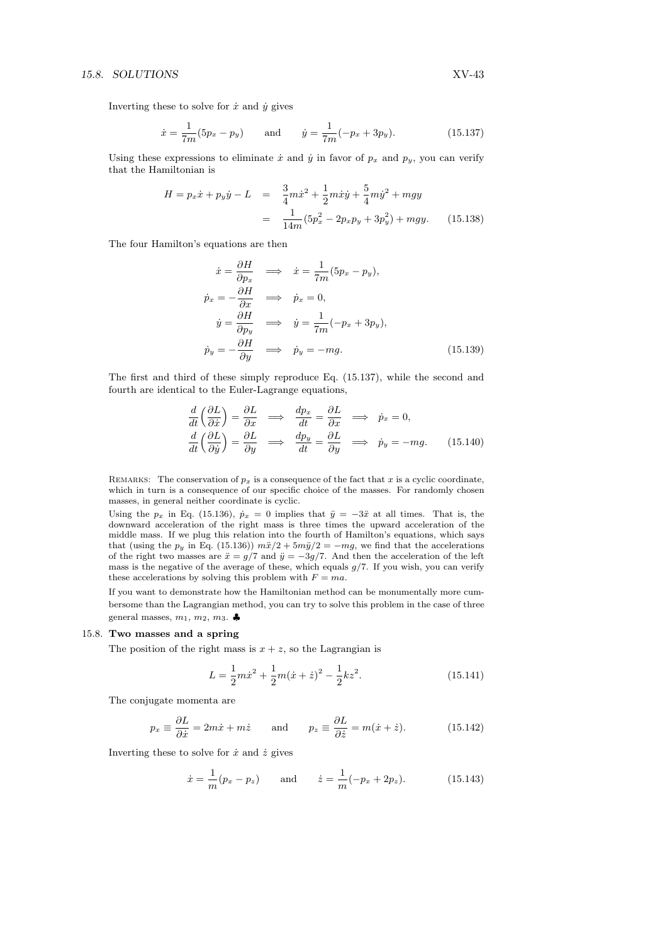Inverting these to solve for  $\dot{x}$  and  $\dot{y}$  gives

$$
\dot{x} = \frac{1}{7m}(5p_x - p_y) \quad \text{and} \quad \dot{y} = \frac{1}{7m}(-p_x + 3p_y). \quad (15.137)
$$

Using these expressions to eliminate  $\dot{x}$  and  $\dot{y}$  in favor of  $p_x$  and  $p_y$ , you can verify that the Hamiltonian is

$$
H = p_x \dot{x} + p_y \dot{y} - L = \frac{3}{4} m \dot{x}^2 + \frac{1}{2} m \dot{x} \dot{y} + \frac{5}{4} m \dot{y}^2 + mgy
$$
  

$$
= \frac{1}{14m} (5p_x^2 - 2p_x p_y + 3p_y^2) + mgy. \tag{15.138}
$$

The four Hamilton's equations are then

$$
\begin{aligned}\n\dot{x} &= \frac{\partial H}{\partial p_x} \implies \dot{x} = \frac{1}{7m}(5p_x - p_y), \\
\dot{p}_x &= -\frac{\partial H}{\partial x} \implies \dot{p}_x = 0, \\
\dot{y} &= \frac{\partial H}{\partial p_y} \implies \dot{y} = \frac{1}{7m}(-p_x + 3p_y), \\
\dot{p}_y &= -\frac{\partial H}{\partial y} \implies \dot{p}_y = -mg.\n\end{aligned}
$$
\n(15.139)

The first and third of these simply reproduce Eq. (15.137), while the second and fourth are identical to the Euler-Lagrange equations,

$$
\frac{d}{dt}\left(\frac{\partial L}{\partial \dot{x}}\right) = \frac{\partial L}{\partial x} \implies \frac{dp_x}{dt} = \frac{\partial L}{\partial x} \implies \dot{p}_x = 0,
$$
\n
$$
\frac{d}{dt}\left(\frac{\partial L}{\partial \dot{y}}\right) = \frac{\partial L}{\partial y} \implies \frac{dp_y}{dt} = \frac{\partial L}{\partial y} \implies \dot{p}_y = -mg. \tag{15.140}
$$

REMARKS: The conservation of  $p_x$  is a consequence of the fact that x is a cyclic coordinate, which in turn is a consequence of our specific choice of the masses. For randomly chosen masses, in general neither coordinate is cyclic.

Using the  $p_x$  in Eq. (15.136),  $\dot{p}_x = 0$  implies that  $\ddot{y} = -3\ddot{x}$  at all times. That is, the downward acceleration of the right mass is three times the upward acceleration of the middle mass. If we plug this relation into the fourth of Hamilton's equations, which says that (using the  $p_y$  in Eq. (15.136))  $m\ddot{x}/2 + 5m\ddot{y}/2 = -mg$ , we find that the accelerations of the right two masses are  $\ddot{x} = g/7$  and  $\ddot{y} = -3g/7$ . And then the acceleration of the left mass is the negative of the average of these, which equals  $g/7$ . If you wish, you can verify these accelerations by solving this problem with  $F = ma$ .

If you want to demonstrate how the Hamiltonian method can be monumentally more cumbersome than the Lagrangian method, you can try to solve this problem in the case of three general masses,  $m_1, m_2, m_3$ .

#### 15.8. Two masses and a spring

The position of the right mass is  $x + z$ , so the Lagrangian is

$$
L = \frac{1}{2}m\dot{x}^2 + \frac{1}{2}m(\dot{x} + \dot{z})^2 - \frac{1}{2}kz^2.
$$
 (15.141)

The conjugate momenta are

$$
p_x \equiv \frac{\partial L}{\partial \dot{x}} = 2m\dot{x} + m\dot{z} \quad \text{and} \quad p_z \equiv \frac{\partial L}{\partial \dot{z}} = m(\dot{x} + \dot{z}). \quad (15.142)
$$

Inverting these to solve for  $\dot{x}$  and  $\dot{z}$  gives

$$
\dot{x} = \frac{1}{m}(p_x - p_z)
$$
 and  $\dot{z} = \frac{1}{m}(-p_x + 2p_z).$  (15.143)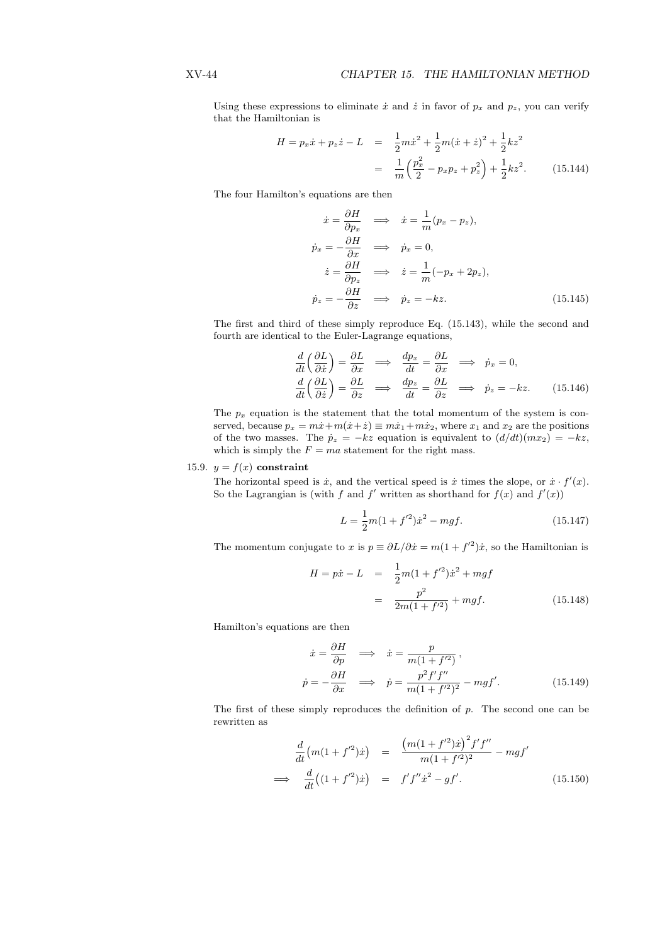Using these expressions to eliminate  $\dot{x}$  and  $\dot{z}$  in favor of  $p_x$  and  $p_z$ , you can verify that the Hamiltonian is

$$
H = p_x \dot{x} + p_z \dot{z} - L = \frac{1}{2} m \dot{x}^2 + \frac{1}{2} m (\dot{x} + \dot{z})^2 + \frac{1}{2} k z^2
$$
  

$$
= \frac{1}{m} \left( \frac{p_x^2}{2} - p_x p_z + p_z^2 \right) + \frac{1}{2} k z^2.
$$
 (15.144)

The four Hamilton's equations are then

$$
\begin{aligned}\n\dot{x} &= \frac{\partial H}{\partial p_x} \implies \dot{x} = \frac{1}{m}(p_x - p_z), \\
\dot{p}_x &= -\frac{\partial H}{\partial x} \implies \dot{p}_x = 0, \\
\dot{z} &= \frac{\partial H}{\partial p_z} \implies \dot{z} = \frac{1}{m}(-p_x + 2p_z), \\
\dot{p}_z &= -\frac{\partial H}{\partial z} \implies \dot{p}_z = -kz.\n\end{aligned}
$$
(15.145)

The first and third of these simply reproduce Eq. (15.143), while the second and fourth are identical to the Euler-Lagrange equations,

$$
\frac{d}{dt}\left(\frac{\partial L}{\partial \dot{x}}\right) = \frac{\partial L}{\partial x} \implies \frac{dp_x}{dt} = \frac{\partial L}{\partial x} \implies \dot{p}_x = 0,
$$
\n
$$
\frac{d}{dt}\left(\frac{\partial L}{\partial \dot{z}}\right) = \frac{\partial L}{\partial z} \implies \frac{dp_z}{dt} = \frac{\partial L}{\partial z} \implies \dot{p}_z = -kz.
$$
\n(15.146)

The  $p_x$  equation is the statement that the total momentum of the system is conserved, because  $p_x = m\dot{x} + m(\dot{x} + \dot{z}) \equiv m\dot{x}_1 + m\dot{x}_2$ , where  $x_1$  and  $x_2$  are the positions of the two masses. The  $\dot{p}_z = -kz$  equation is equivalent to  $(d/dt)(mx_2) = -kz$ , which is simply the  $F = ma$  statement for the right mass.

#### 15.9.  $y = f(x)$  constraint

The horizontal speed is  $\dot{x}$ , and the vertical speed is  $\dot{x}$  times the slope, or  $\dot{x} \cdot f'(x)$ . So the Lagrangian is (with f and f' written as shorthand for  $f(x)$  and  $f'(x)$ )

$$
L = \frac{1}{2}m(1 + f'^2)\dot{x}^2 - mgf.
$$
 (15.147)

The momentum conjugate to x is  $p \equiv \partial L/\partial \dot{x} = m(1 + f'^2)\dot{x}$ , so the Hamiltonian is

$$
H = p\dot{x} - L = \frac{1}{2}m(1 + f'^2)\dot{x}^2 + mgf
$$
  
= 
$$
\frac{p^2}{2m(1 + f'^2)} + mgf.
$$
 (15.148)

Hamilton's equations are then

∂H

$$
\begin{aligned}\n\dot{x} &= \frac{\partial H}{\partial p} \quad \Longrightarrow \quad \dot{x} = \frac{p}{m(1 + f'^2)},\\ \n\dot{p} &= -\frac{\partial H}{\partial x} \quad \Longrightarrow \quad \dot{p} = \frac{p^2 f' f''}{m(1 + f'^2)^2} - mgf'.\n\end{aligned} \tag{15.149}
$$

The first of these simply reproduces the definition of  $p$ . The second one can be rewritten as

$$
\frac{d}{dt}\left(m(1+f'^2)\dot{x}\right) = \frac{\left(m(1+f'^2)\dot{x}\right)^2 f' f''}{m(1+f'^2)^2} - mgf'
$$
\n
$$
\implies \frac{d}{dt}\left((1+f'^2)\dot{x}\right) = f'f''\dot{x}^2 - gf'.
$$
\n(15.150)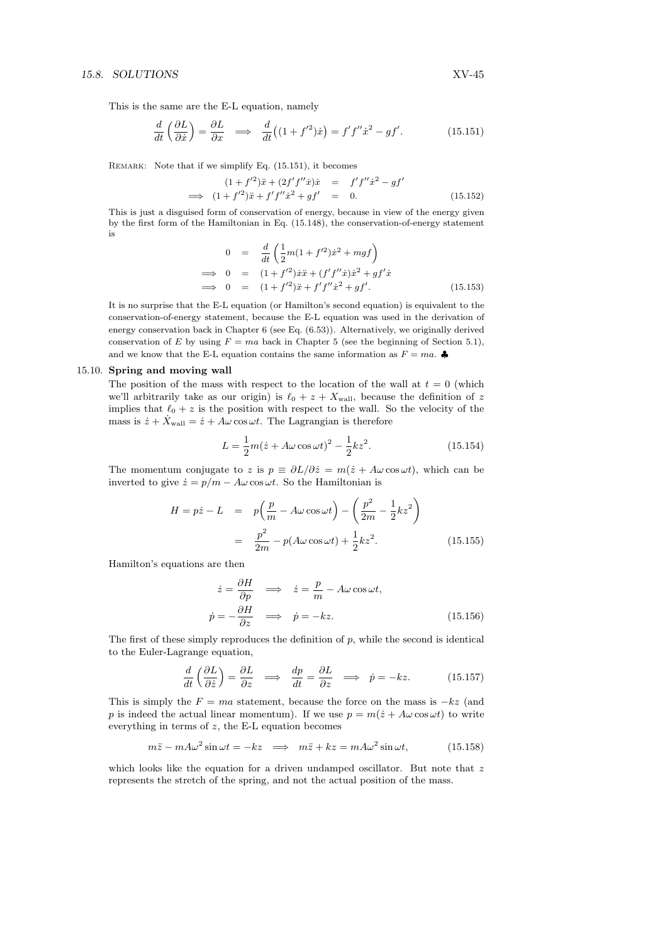This is the same are the E-L equation, namely

$$
\frac{d}{dt}\left(\frac{\partial L}{\partial \dot{x}}\right) = \frac{\partial L}{\partial x} \implies \frac{d}{dt}\left((1+f'^2)\dot{x}\right) = f'f''\dot{x}^2 - gf'.\tag{15.151}
$$

REMARK: Note that if we simplify Eq. (15.151), it becomes

$$
(1+f'^2)\ddot{x} + (2f'f''\dot{x})\dot{x} = f'f''\dot{x}^2 - gf'
$$
  
\n
$$
\implies (1+f'^2)\ddot{x} + f'f''\dot{x}^2 + gf' = 0.
$$
 (15.152)

This is just a disguised form of conservation of energy, because in view of the energy given by the first form of the Hamiltonian in Eq. (15.148), the conservation-of-energy statement is

$$
0 = \frac{d}{dt} \left( \frac{1}{2}m(1+f'^2)\dot{x}^2 + mgf \right)
$$
  
\n
$$
\implies 0 = (1+f'^2)\dot{x}\ddot{x} + (f'f''\dot{x})\dot{x}^2 + gf'\dot{x}
$$
  
\n
$$
\implies 0 = (1+f'^2)\ddot{x} + f'f''\dot{x}^2 + gf'.
$$
 (15.153)

It is no surprise that the E-L equation (or Hamilton's second equation) is equivalent to the conservation-of-energy statement, because the E-L equation was used in the derivation of energy conservation back in Chapter 6 (see Eq. (6.53)). Alternatively, we originally derived conservation of E by using  $F = ma$  back in Chapter 5 (see the beginning of Section 5.1), and we know that the E-L equation contains the same information as  $F = ma$ .

#### 15.10. Spring and moving wall

The position of the mass with respect to the location of the wall at  $t = 0$  (which we'll arbitrarily take as our origin) is  $\ell_0 + z + X_{\text{wall}}$ , because the definition of z implies that  $\ell_0 + z$  is the position with respect to the wall. So the velocity of the mass is  $\dot{z} + \dot{X}_{\text{wall}} = \dot{z} + A\omega \cos \omega t$ . The Lagrangian is therefore

$$
L = \frac{1}{2}m(\dot{z} + A\omega\cos\omega t)^2 - \frac{1}{2}kz^2.
$$
 (15.154)

The momentum conjugate to z is  $p \equiv \partial L/\partial \dot{z} = m(\dot{z} + A\omega \cos \omega t)$ , which can be inverted to give  $\dot{z} = p/m - A\omega \cos \omega t$ . So the Hamiltonian is

$$
H = p\dot{z} - L = p\left(\frac{p}{m} - A\omega\cos\omega t\right) - \left(\frac{p^2}{2m} - \frac{1}{2}kz^2\right)
$$

$$
= \frac{p^2}{2m} - p(A\omega\cos\omega t) + \frac{1}{2}kz^2.
$$
(15.155)

Hamilton's equations are then

$$
\dot{z} = \frac{\partial H}{\partial p} \implies \dot{z} = \frac{p}{m} - A\omega \cos \omega t,
$$
  

$$
\dot{p} = -\frac{\partial H}{\partial z} \implies \dot{p} = -kz.
$$
 (15.156)

The first of these simply reproduces the definition of  $p$ , while the second is identical to the Euler-Lagrange equation,

$$
\frac{d}{dt}\left(\frac{\partial L}{\partial \dot{z}}\right) = \frac{\partial L}{\partial z} \implies \frac{dp}{dt} = \frac{\partial L}{\partial z} \implies \dot{p} = -kz.
$$
 (15.157)

This is simply the  $F = ma$  statement, because the force on the mass is  $-kz$  (and p is indeed the actual linear momentum). If we use  $p = m(\dot{z} + A\omega \cos \omega t)$  to write everything in terms of  $z$ , the E-L equation becomes

$$
m\ddot{z} - m A \omega^2 \sin \omega t = -kz \implies m\ddot{z} + kz = m A \omega^2 \sin \omega t, \qquad (15.158)
$$

which looks like the equation for a driven undamped oscillator. But note that  $z$ represents the stretch of the spring, and not the actual position of the mass.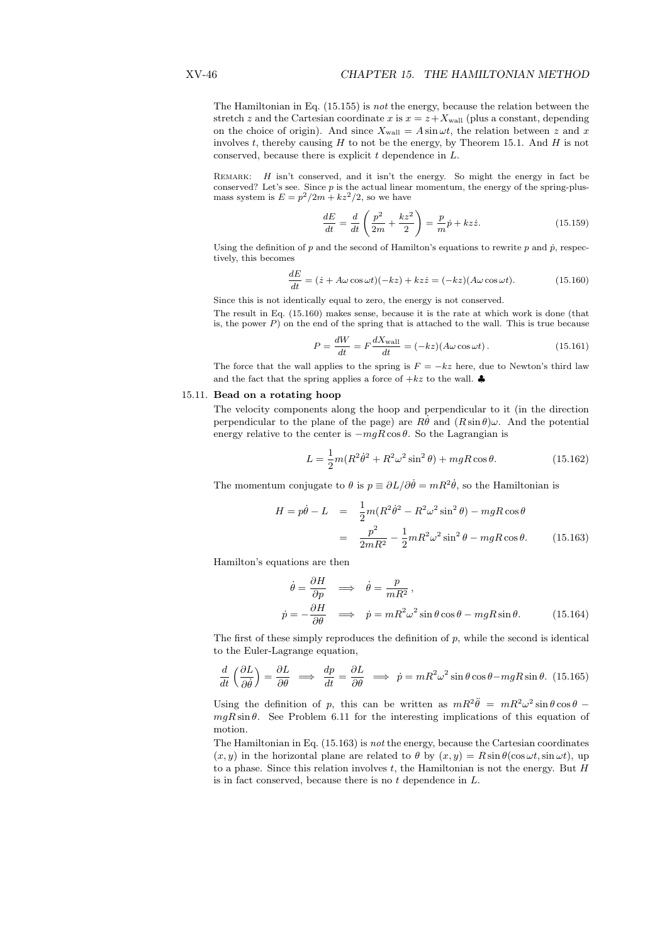The Hamiltonian in Eq. (15.155) is not the energy, because the relation between the stretch z and the Cartesian coordinate x is  $x = z + X_{\text{wall}}$  (plus a constant, depending on the choice of origin). And since  $X_{wall} = A \sin \omega t$ , the relation between z and x involves t, thereby causing  $H$  to not be the energy, by Theorem 15.1. And  $H$  is not conserved, because there is explicit  $t$  dependence in  $L$ .

REMARK: *H* isn't conserved, and it isn't the energy. So might the energy in fact be conserved? Let's see. Since  $p$  is the actual linear momentum, the energy of the spring-plusmass system is  $E = p^2/2m + kz^2/2$ , so we have  $\mathbf{r}$ 

$$
\frac{dE}{dt} = \frac{d}{dt} \left( \frac{p^2}{2m} + \frac{kz^2}{2} \right) = \frac{p}{m}\dot{p} + kz\dot{z}.
$$
 (15.159)

Using the definition of  $p$  and the second of Hamilton's equations to rewrite  $p$  and  $\dot{p}$ , respectively, this becomes

$$
\frac{dE}{dt} = (\dot{z} + A\omega\cos\omega t)(-kz) + kz\dot{z} = (-kz)(A\omega\cos\omega t). \tag{15.160}
$$

Since this is not identically equal to zero, the energy is not conserved.

The result in Eq. (15.160) makes sense, because it is the rate at which work is done (that is, the power  $P$ ) on the end of the spring that is attached to the wall. This is true because

$$
P = \frac{dW}{dt} = F \frac{dX_{\text{wall}}}{dt} = (-kz)(A\omega\cos\omega t). \tag{15.161}
$$

The force that the wall applies to the spring is  $F = -kz$  here, due to Newton's third law and the fact that the spring applies a force of  $+kz$  to the wall.

#### 15.11. Bead on a rotating hoop

The velocity components along the hoop and perpendicular to it (in the direction perpendicular to the plane of the page) are  $R\dot{\theta}$  and  $(R\sin\theta)\omega$ . And the potential energy relative to the center is  $-mgR\cos\theta$ . So the Lagrangian is

$$
L = \frac{1}{2}m(R^2\dot{\theta}^2 + R^2\omega^2\sin^2\theta) + mgR\cos\theta.
$$
 (15.162)

The momentum conjugate to  $\theta$  is  $p \equiv \partial L/\partial \dot{\theta} = mR^2 \dot{\theta}$ , so the Hamiltonian is

$$
H = p\dot{\theta} - L = \frac{1}{2}m(R^2\dot{\theta}^2 - R^2\omega^2\sin^2\theta) - mgR\cos\theta
$$

$$
= \frac{p^2}{2mR^2} - \frac{1}{2}mR^2\omega^2\sin^2\theta - mgR\cos\theta. \tag{15.163}
$$

Hamilton's equations are then

$$
\dot{\theta} = \frac{\partial H}{\partial p} \implies \dot{\theta} = \frac{p}{mR^2},
$$
\n
$$
\dot{p} = -\frac{\partial H}{\partial \theta} \implies \dot{p} = mR^2\omega^2 \sin\theta \cos\theta - mgR\sin\theta. \tag{15.164}
$$

The first of these simply reproduces the definition of  $p$ , while the second is identical to the Euler-Lagrange equation,

$$
\frac{d}{dt}\left(\frac{\partial L}{\partial \dot{\theta}}\right) = \frac{\partial L}{\partial \theta} \implies \frac{dp}{dt} = \frac{\partial L}{\partial \theta} \implies \dot{p} = mR^2\omega^2 \sin\theta \cos\theta - mgR\sin\theta. \tag{15.165}
$$

Using the definition of p, this can be written as  $mR^2\ddot{\theta} = mR^2\omega^2 \sin\theta \cos\theta$  $mgR\sin\theta$ . See Problem 6.11 for the interesting implications of this equation of motion.

The Hamiltonian in Eq. (15.163) is not the energy, because the Cartesian coordinates  $(x, y)$  in the horizontal plane are related to  $\theta$  by  $(x, y) = R \sin \theta(\cos \omega t, \sin \omega t)$ , up to a phase. Since this relation involves  $t$ , the Hamiltonian is not the energy. But  $H$ is in fact conserved, because there is no  $t$  dependence in  $L$ .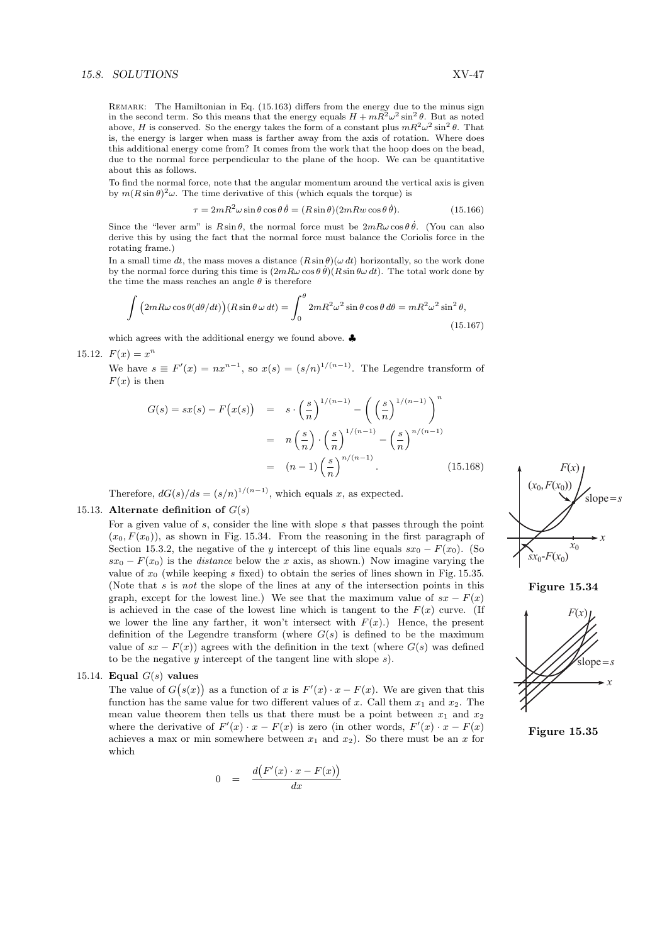REMARK: The Hamiltonian in Eq. (15.163) differs from the energy due to the minus sign in the second term. So this means that the energy equals  $H + mR^2\omega^2 \sin^2\theta$ . But as noted above, H is conserved. So the energy takes the form of a constant plus  $mR^2\omega^2\sin^2\theta$ . That is, the energy is larger when mass is farther away from the axis of rotation. Where does this additional energy come from? It comes from the work that the hoop does on the bead, due to the normal force perpendicular to the plane of the hoop. We can be quantitative about this as follows.

To find the normal force, note that the angular momentum around the vertical axis is given by  $m(R\sin\theta)^2\omega$ . The time derivative of this (which equals the torque) is

$$
\tau = 2mR^2\omega\sin\theta\cos\theta\,\dot{\theta} = (R\sin\theta)(2mRw\cos\theta\,\dot{\theta}).\tag{15.166}
$$

Since the "lever arm" is  $R\sin\theta$ , the normal force must be  $2mR\omega\cos\theta\dot{\theta}$ . (You can also derive this by using the fact that the normal force must balance the Coriolis force in the rotating frame.)

In a small time dt, the mass moves a distance  $(R \sin \theta)(\omega dt)$  horizontally, so the work done by the normal force during this time is  $(2mR\omega \cos \theta \dot{\theta})(R \sin \theta \omega dt)$ . The total work done by the time the mass reaches an angle  $\theta$  is therefore

$$
\int (2mR\omega\cos\theta(d\theta/dt))(R\sin\theta\omega dt) = \int_0^\theta 2mR^2\omega^2\sin\theta\cos\theta d\theta = mR^2\omega^2\sin^2\theta,
$$
\n(15.167)

which agrees with the additional energy we found above. ♣

15.12.  $F(x) = x^n$ 

We have  $s \equiv F'(x) = nx^{n-1}$ , so  $x(s) = (s/n)^{1/(n-1)}$ . The Legendre transform of  $F(r)$  is then

$$
G(s) = sx(s) - F(x(s)) = s \cdot \left(\frac{s}{n}\right)^{1/(n-1)} - \left(\left(\frac{s}{n}\right)^{1/(n-1)}\right)^n
$$
  
=  $n\left(\frac{s}{n}\right) \cdot \left(\frac{s}{n}\right)^{1/(n-1)} - \left(\frac{s}{n}\right)^{n/(n-1)}$   
=  $(n-1)\left(\frac{s}{n}\right)^{n/(n-1)}$ . (15.168)

Therefore,  $dG(s)/ds = (s/n)^{1/(n-1)}$ , which equals x, as expected.

# 15.13. Alternate definition of  $G(s)$

For a given value of s, consider the line with slope s that passes through the point  $(x_0, F(x_0))$ , as shown in Fig. 15.34. From the reasoning in the first paragraph of Section 15.3.2, the negative of the y intercept of this line equals  $sx_0 - F(x_0)$ . (So  $sx_0 - F(x_0)$  is the *distance* below the x axis, as shown.) Now imagine varying the value of  $x_0$  (while keeping s fixed) to obtain the series of lines shown in Fig. 15.35. (Note that  $s$  is *not* the slope of the lines at any of the intersection points in this graph, except for the lowest line.) We see that the maximum value of  $sx - F(x)$ is achieved in the case of the lowest line which is tangent to the  $F(x)$  curve. (If we lower the line any farther, it won't intersect with  $F(x)$ .) Hence, the present definition of the Legendre transform (where  $G(s)$ ) is defined to be the maximum value of  $sx - F(x)$ ) agrees with the definition in the text (where  $G(s)$ ) was defined to be the negative  $y$  intercept of the tangent line with slope  $s$ ).

# 15.14. Equal  $G(s)$  values

**Equal G**(s) values<br>The value of  $G(s(x))$  as a function of x is  $F'(x) \cdot x - F(x)$ . We are given that this function has the same value for two different values of x. Call them  $x_1$  and  $x_2$ . The mean value theorem then tells us that there must be a point between  $x_1$  and  $x_2$ where the derivative of  $F'(x) \cdot x - F(x)$  is zero (in other words,  $F'(x) \cdot x - F(x)$ ) achieves a max or min somewhere between  $x_1$  and  $x_2$ ). So there must be an x for which

$$
0 = \frac{d(F'(x) \cdot x - F(x))}{dx}
$$







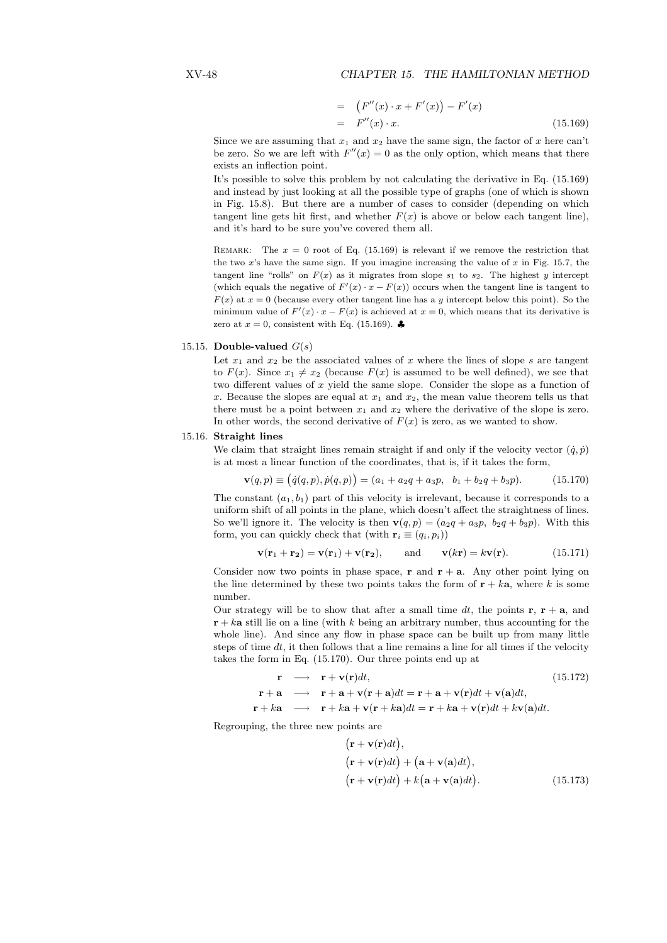#### XV-48 CHAPTER 15. THE HAMILTONIAN METHOD

$$
= (F''(x) \cdot x + F'(x)) - F'(x)
$$
  
= F''(x) \cdot x. (15.169)

Since we are assuming that  $x_1$  and  $x_2$  have the same sign, the factor of x here can't be zero. So we are left with  $F''(x) = 0$  as the only option, which means that there exists an inflection point.

It's possible to solve this problem by not calculating the derivative in Eq. (15.169) and instead by just looking at all the possible type of graphs (one of which is shown in Fig. 15.8). But there are a number of cases to consider (depending on which tangent line gets hit first, and whether  $F(x)$  is above or below each tangent line), and it's hard to be sure you've covered them all.

REMARK: The  $x = 0$  root of Eq. (15.169) is relevant if we remove the restriction that the two  $x$ 's have the same sign. If you imagine increasing the value of  $x$  in Fig. 15.7, the tangent line "rolls" on  $F(x)$  as it migrates from slope  $s_1$  to  $s_2$ . The highest y intercept (which equals the negative of  $F'(x) \cdot x - F(x)$ ) occurs when the tangent line is tangent to  $F(x)$  at  $x = 0$  (because every other tangent line has a y intercept below this point). So the minimum value of  $F'(x) \cdot x - F(x)$  is achieved at  $x = 0$ , which means that its derivative is zero at  $x = 0$ , consistent with Eq. (15.169).

#### 15.15. Double-valued  $G(s)$

Let  $x_1$  and  $x_2$  be the associated values of x where the lines of slope s are tangent to  $F(x)$ . Since  $x_1 \neq x_2$  (because  $F(x)$  is assumed to be well defined), we see that two different values of  $x$  yield the same slope. Consider the slope as a function of x. Because the slopes are equal at  $x_1$  and  $x_2$ , the mean value theorem tells us that there must be a point between  $x_1$  and  $x_2$  where the derivative of the slope is zero. In other words, the second derivative of  $F(x)$  is zero, as we wanted to show.

#### 15.16. Straight lines

We claim that straight lines remain straight if and only if the velocity vector  $(\dot{q}, \dot{p})$ is at most a linear function of the coordinates, that is, if it takes the form, ¡ ¢

$$
\mathbf{v}(q,p) \equiv (\dot{q}(q,p), \dot{p}(q,p)) = (a_1 + a_2q + a_3p, \ b_1 + b_2q + b_3p). \tag{15.170}
$$

The constant  $(a_1, b_1)$  part of this velocity is irrelevant, because it corresponds to a uniform shift of all points in the plane, which doesn't affect the straightness of lines. So we'll ignore it. The velocity is then  $\mathbf{v}(q, p) = (a_2q + a_3p, b_2q + b_3p)$ . With this form, you can quickly check that (with  $\mathbf{r}_i \equiv (q_i, p_i)$ )

$$
\mathbf{v}(\mathbf{r}_1 + \mathbf{r}_2) = \mathbf{v}(\mathbf{r}_1) + \mathbf{v}(\mathbf{r}_2), \quad \text{and} \quad \mathbf{v}(k\mathbf{r}) = k\mathbf{v}(\mathbf{r}). \tag{15.171}
$$

Consider now two points in phase space, **r** and  $\mathbf{r} + \mathbf{a}$ . Any other point lying on the line determined by these two points takes the form of  $\mathbf{r} + k\mathbf{a}$ , where k is some number.

Our strategy will be to show that after a small time dt, the points  $\mathbf{r}, \mathbf{r} + \mathbf{a}$ , and  $\mathbf{r} + k\mathbf{a}$  still lie on a line (with k being an arbitrary number, thus accounting for the whole line). And since any flow in phase space can be built up from many little steps of time dt, it then follows that a line remains a line for all times if the velocity takes the form in Eq. (15.170). Our three points end up at

$$
\mathbf{r} \longrightarrow \mathbf{r} + \mathbf{v}(\mathbf{r})dt, \qquad (15.172)
$$
\n
$$
\mathbf{r} + \mathbf{a} \longrightarrow \mathbf{r} + \mathbf{a} + \mathbf{v}(\mathbf{r} + \mathbf{a})dt = \mathbf{r} + \mathbf{a} + \mathbf{v}(\mathbf{r})dt + \mathbf{v}(\mathbf{a})dt, \qquad \mathbf{r} + k\mathbf{a} \longrightarrow \mathbf{r} + k\mathbf{a} + \mathbf{v}(\mathbf{r} + k\mathbf{a})dt = \mathbf{r} + k\mathbf{a} + \mathbf{v}(\mathbf{r})dt + k\mathbf{v}(\mathbf{a})dt.
$$

Regrouping, the three new points are ∶<br>∕

$$
(\mathbf{r} + \mathbf{v}(\mathbf{r})dt),\n(\mathbf{r} + \mathbf{v}(\mathbf{r})dt) + (\mathbf{a} + \mathbf{v}(\mathbf{a})dt),\n(\mathbf{r} + \mathbf{v}(\mathbf{r})dt) + k(\mathbf{a} + \mathbf{v}(\mathbf{a})dt).
$$
\n(15.173)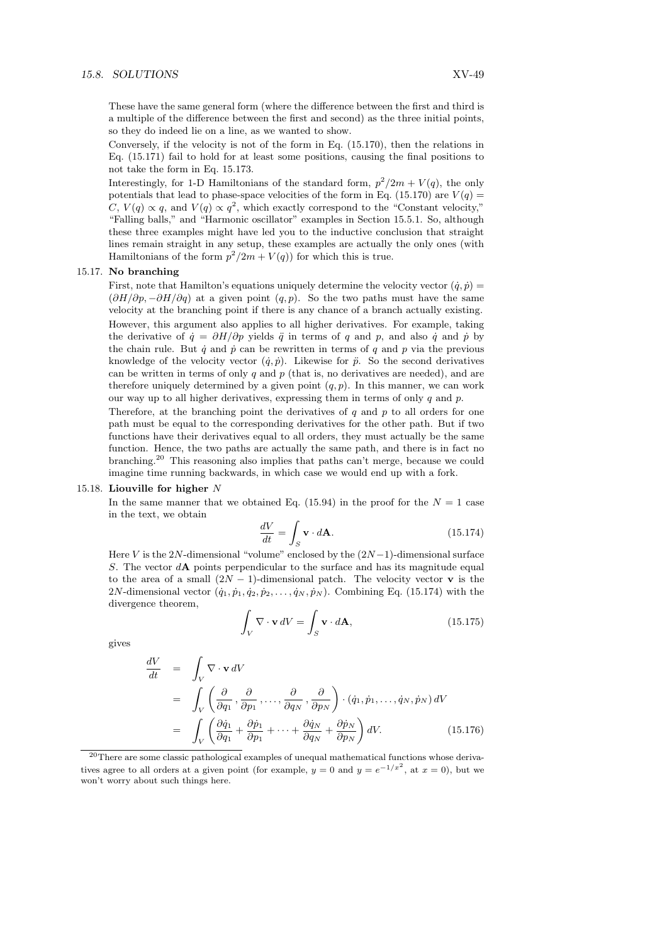#### 15.8. SOLUTIONS XV-49

These have the same general form (where the difference between the first and third is a multiple of the difference between the first and second) as the three initial points, so they do indeed lie on a line, as we wanted to show.

Conversely, if the velocity is not of the form in Eq. (15.170), then the relations in Eq. (15.171) fail to hold for at least some positions, causing the final positions to not take the form in Eq. 15.173.

Interestingly, for 1-D Hamiltonians of the standard form,  $p^2/2m + V(q)$ , the only potentials that lead to phase-space velocities of the form in Eq. (15.170) are  $V(q)$ C,  $V(q) \propto q$ , and  $V(q) \propto q^2$ , which exactly correspond to the "Constant velocity," "Falling balls," and "Harmonic oscillator" examples in Section 15.5.1. So, although these three examples might have led you to the inductive conclusion that straight lines remain straight in any setup, these examples are actually the only ones (with Hamiltonians of the form  $p^2/2m + V(q)$  for which this is true.

#### 15.17. No branching

First, note that Hamilton's equations uniquely determine the velocity vector  $(\dot{q}, \dot{p}) =$  $(\partial H/\partial p, -\partial H/\partial q)$  at a given point  $(q, p)$ . So the two paths must have the same velocity at the branching point if there is any chance of a branch actually existing. However, this argument also applies to all higher derivatives. For example, taking the derivative of  $\dot{q} = \partial H/\partial p$  yields  $\ddot{q}$  in terms of q and p, and also  $\dot{q}$  and  $\dot{p}$  by the chain rule. But  $\dot{q}$  and  $\dot{p}$  can be rewritten in terms of q and p via the previous knowledge of the velocity vector  $(\dot{q}, \dot{p})$ . Likewise for  $\ddot{p}$ . So the second derivatives can be written in terms of only  $q$  and  $p$  (that is, no derivatives are needed), and are therefore uniquely determined by a given point  $(q, p)$ . In this manner, we can work our way up to all higher derivatives, expressing them in terms of only  $q$  and  $p$ .

Therefore, at the branching point the derivatives of q and p to all orders for one path must be equal to the corresponding derivatives for the other path. But if two functions have their derivatives equal to all orders, they must actually be the same function. Hence, the two paths are actually the same path, and there is in fact no branching.<sup>20</sup> This reasoning also implies that paths can't merge, because we could imagine time running backwards, in which case we would end up with a fork.

#### 15.18. Liouville for higher N

In the same manner that we obtained Eq. (15.94) in the proof for the  $N = 1$  case in the text, we obtain

$$
\frac{dV}{dt} = \int_{S} \mathbf{v} \cdot d\mathbf{A}.\tag{15.174}
$$

Here V is the 2N-dimensional "volume" enclosed by the  $(2N-1)$ -dimensional surface S. The vector  $dA$  points perpendicular to the surface and has its magnitude equal to the area of a small  $(2N-1)$ -dimensional patch. The velocity vector **v** is the 2N-dimensional vector  $(\dot{q}_1, \dot{p}_1, \dot{q}_2, \dot{p}_2, \dots, \dot{q}_N, \dot{p}_N)$ . Combining Eq. (15.174) with the divergence theorem,

$$
\int_{V} \nabla \cdot \mathbf{v} \, dV = \int_{S} \mathbf{v} \cdot d\mathbf{A},\tag{15.175}
$$

gives

$$
\frac{dV}{dt} = \int_{V} \nabla \cdot \mathbf{v} \, dV
$$
\n
$$
= \int_{V} \left( \frac{\partial}{\partial q_{1}} , \frac{\partial}{\partial p_{1}} , \dots , \frac{\partial}{\partial q_{N}} , \frac{\partial}{\partial p_{N}} \right) \cdot (q_{1}, \dot{p}_{1}, \dots, \dot{q}_{N}, \dot{p}_{N}) \, dV
$$
\n
$$
= \int_{V} \left( \frac{\partial \dot{q}_{1}}{\partial q_{1}} + \frac{\partial \dot{p}_{1}}{\partial p_{1}} + \dots + \frac{\partial \dot{q}_{N}}{\partial q_{N}} + \frac{\partial \dot{p}_{N}}{\partial p_{N}} \right) dV.
$$
\n(15.176)

<sup>&</sup>lt;sup>20</sup>There are some classic pathological examples of unequal mathematical functions whose derivatives agree to all orders at a given point (for example,  $y = 0$  and  $y = e^{-1/x^2}$ , at  $x = 0$ ), but we won't worry about such things here.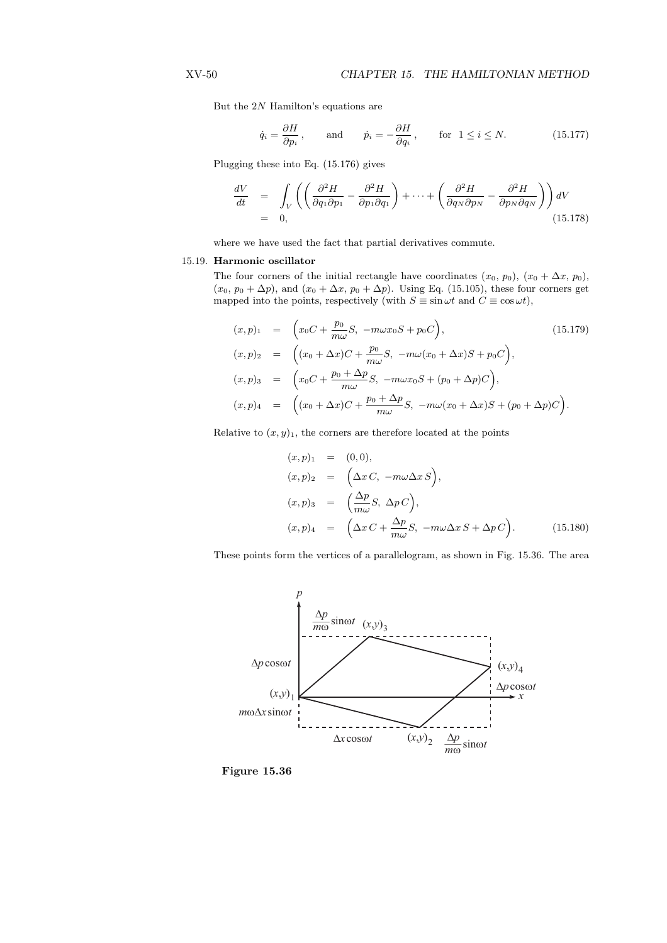But the 2N Hamilton's equations are

$$
\dot{q}_i = \frac{\partial H}{\partial p_i}
$$
, and  $\dot{p}_i = -\frac{\partial H}{\partial q_i}$ , for  $1 \le i \le N$ . (15.177)

Plugging these into Eq. (15.176) gives

$$
\frac{dV}{dt} = \int_{V} \left( \left( \frac{\partial^2 H}{\partial q_1 \partial p_1} - \frac{\partial^2 H}{\partial p_1 \partial q_1} \right) + \dots + \left( \frac{\partial^2 H}{\partial q_N \partial p_N} - \frac{\partial^2 H}{\partial p_N \partial q_N} \right) \right) dV
$$
\n
$$
= 0, \qquad (15.178)
$$

where we have used the fact that partial derivatives commute.

#### 15.19. Harmonic oscillator

The four corners of the initial rectangle have coordinates  $(x_0, p_0)$ ,  $(x_0 + \Delta x, p_0)$ ,  $(x_0, p_0 + \Delta p)$ , and  $(x_0 + \Delta x, p_0 + \Delta p)$ . Using Eq. (15.105), these four corners get mapped into the points, respectively (with  $S \equiv \sin \omega t$  and  $C \equiv \cos \omega t$ ),

$$
(x, p)_1 = \left( x_0 C + \frac{p_0}{m\omega} S, -m\omega x_0 S + p_0 C \right),
$$
  
\n
$$
(x, p)_2 = \left( (x_0 + \Delta x) C + \frac{p_0}{m\omega} S, -m\omega (x_0 + \Delta x) S + p_0 C \right),
$$
  
\n
$$
(x, p)_3 = \left( x_0 C + \frac{p_0 + \Delta p}{m\omega} S, -m\omega x_0 S + (p_0 + \Delta p) C \right),
$$
  
\n
$$
(x, p)_4 = \left( (x_0 + \Delta x) C + \frac{p_0 + \Delta p}{m\omega} S, -m\omega (x_0 + \Delta x) S + (p_0 + \Delta p) C \right).
$$
  
\n(15.179)

Relative to  $(x, y)_1$ , the corners are therefore located at the points

$$
(x, p)1 = (0, 0),(x, p)2 = (\Delta x C, -m\omega \Delta x S),(x, p)3 = (\frac{\Delta p}{m\omega} S, \Delta p C),(x, p)4 = (\Delta x C + \frac{\Delta p}{m\omega} S, -m\omega \Delta x S + \Delta p C). \t(15.180)
$$

These points form the vertices of a parallelogram, as shown in Fig. 15.36. The area



Figure 15.36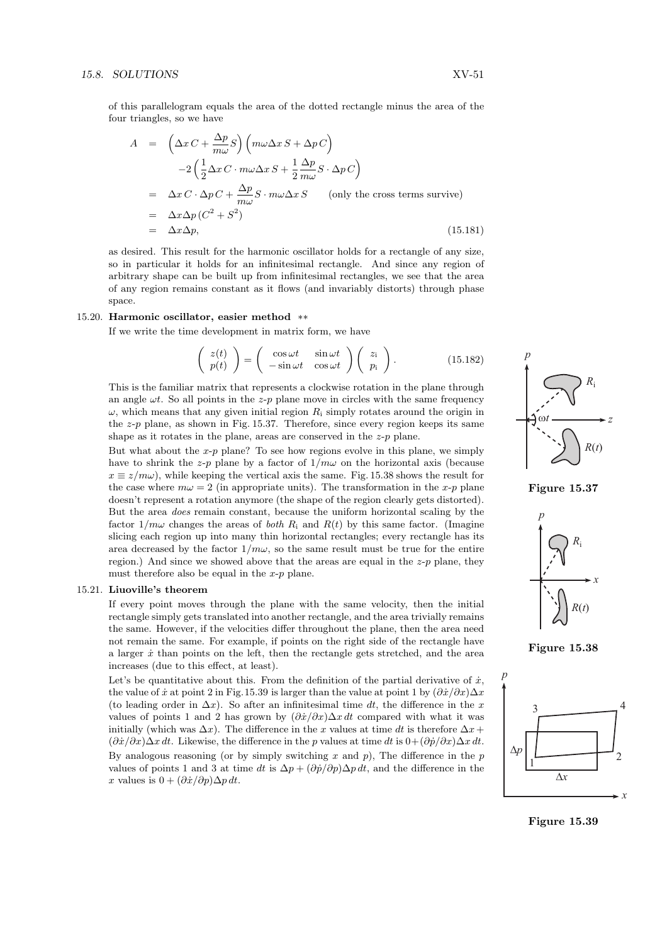of this parallelogram equals the area of the dotted rectangle minus the area of the four triangles, so we have

$$
A = \left(\Delta x C + \frac{\Delta p}{m\omega} S\right) \left(m\omega \Delta x S + \Delta p C\right)
$$
  
\n
$$
-2\left(\frac{1}{2}\Delta x C \cdot m\omega \Delta x S + \frac{1}{2}\frac{\Delta p}{m\omega} S \cdot \Delta p C\right)
$$
  
\n
$$
= \Delta x C \cdot \Delta p C + \frac{\Delta p}{m\omega} S \cdot m\omega \Delta x S \qquad \text{(only the cross terms survive)}
$$
  
\n
$$
= \Delta x \Delta p (C^2 + S^2)
$$
  
\n
$$
= \Delta x \Delta p,
$$
  
\n(15.181)

as desired. This result for the harmonic oscillator holds for a rectangle of any size, so in particular it holds for an infinitesimal rectangle. And since any region of arbitrary shape can be built up from infinitesimal rectangles, we see that the area of any region remains constant as it flows (and invariably distorts) through phase space.

#### 15.20. Harmonic oscillator, easier method \*\*

If we write the time development in matrix form, we have

$$
\begin{pmatrix} z(t) \\ p(t) \end{pmatrix} = \begin{pmatrix} \cos \omega t & \sin \omega t \\ -\sin \omega t & \cos \omega t \end{pmatrix} \begin{pmatrix} z_i \\ p_i \end{pmatrix}.
$$
 (15.182)

This is the familiar matrix that represents a clockwise rotation in the plane through an angle  $\omega t$ . So all points in the z-p plane move in circles with the same frequency  $\omega$ , which means that any given initial region R<sub>i</sub> simply rotates around the origin in the  $z-p$  plane, as shown in Fig. 15.37. Therefore, since every region keeps its same shape as it rotates in the plane, areas are conserved in the  $z-p$  plane.

But what about the  $x-p$  plane? To see how regions evolve in this plane, we simply have to shrink the z-p plane by a factor of  $1/m\omega$  on the horizontal axis (because  $x \equiv z/m\omega$ , while keeping the vertical axis the same. Fig. 15.38 shows the result for the case where  $m\omega = 2$  (in appropriate units). The transformation in the x-p plane doesn't represent a rotation anymore (the shape of the region clearly gets distorted). But the area does remain constant, because the uniform horizontal scaling by the factor  $1/m\omega$  changes the areas of both  $R_i$  and  $R(t)$  by this same factor. (Imagine slicing each region up into many thin horizontal rectangles; every rectangle has its area decreased by the factor  $1/m\omega$ , so the same result must be true for the entire region.) And since we showed above that the areas are equal in the  $z-p$  plane, they must therefore also be equal in the  $x-p$  plane.

#### 15.21. Liuoville's theorem

If every point moves through the plane with the same velocity, then the initial rectangle simply gets translated into another rectangle, and the area trivially remains the same. However, if the velocities differ throughout the plane, then the area need not remain the same. For example, if points on the right side of the rectangle have a larger  $\dot{x}$  than points on the left, then the rectangle gets stretched, and the area increases (due to this effect, at least).

Let's be quantitative about this. From the definition of the partial derivative of  $\dot{x}$ , the value of  $\dot{x}$  at point 2 in Fig.15.39 is larger than the value at point 1 by  $(\partial \dot{x}/\partial x)\Delta x$ (to leading order in  $\Delta x$ ). So after an infinitesimal time dt, the difference in the x values of points 1 and 2 has grown by  $(\partial \dot{x}/\partial x) \Delta x dt$  compared with what it was initially (which was  $\Delta x$ ). The difference in the x values at time dt is therefore  $\Delta x +$  $(\partial \dot{x}/\partial x)\Delta x dt$ . Likewise, the difference in the p values at time dt is  $0+(\partial \dot{p}/\partial x)\Delta x dt$ . By analogous reasoning (or by simply switching x and  $p$ ), The difference in the  $p$ values of points 1 and 3 at time dt is  $\Delta p + (\partial \dot{p}/\partial p) \Delta p dt$ , and the difference in the x values is  $0 + (\partial \dot{x}/\partial p) \Delta p dt$ .







Figure 15.38



Figure 15.39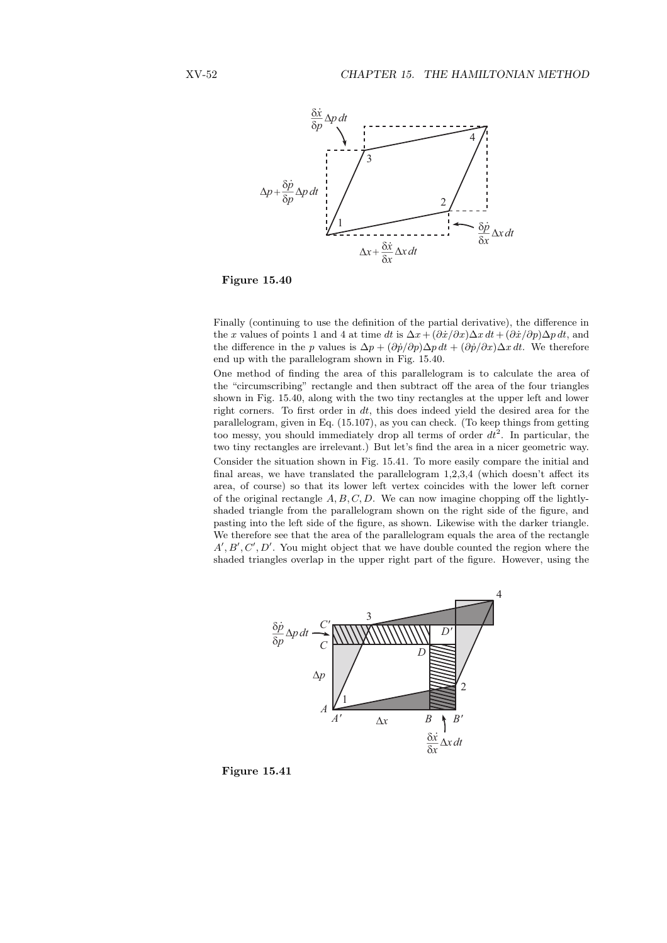

Figure 15.40

Finally (continuing to use the definition of the partial derivative), the difference in the x values of points 1 and 4 at time dt is  $\Delta x + (\partial \dot{x}/\partial x) \Delta x dt + (\partial \dot{x}/\partial p) \Delta p dt$ , and the difference in the p values is  $\Delta p + (\partial \dot{p}/\partial p) \Delta p dt + (\partial \dot{p}/\partial x) \Delta x dt$ . We therefore end up with the parallelogram shown in Fig. 15.40.

One method of finding the area of this parallelogram is to calculate the area of the "circumscribing" rectangle and then subtract off the area of the four triangles shown in Fig. 15.40, along with the two tiny rectangles at the upper left and lower right corners. To first order in  $dt$ , this does indeed yield the desired area for the parallelogram, given in Eq. (15.107), as you can check. (To keep things from getting too messy, you should immediately drop all terms of order  $dt^2$ . In particular, the two tiny rectangles are irrelevant.) But let's find the area in a nicer geometric way. Consider the situation shown in Fig. 15.41. To more easily compare the initial and final areas, we have translated the parallelogram 1,2,3,4 (which doesn't affect its area, of course) so that its lower left vertex coincides with the lower left corner of the original rectangle  $A, B, C, D$ . We can now imagine chopping off the lightlyshaded triangle from the parallelogram shown on the right side of the figure, and pasting into the left side of the figure, as shown. Likewise with the darker triangle. We therefore see that the area of the parallelogram equals the area of the rectangle  $A', B', C', D'$ . You might object that we have double counted the region where the shaded triangles overlap in the upper right part of the figure. However, using the



Figure 15.41